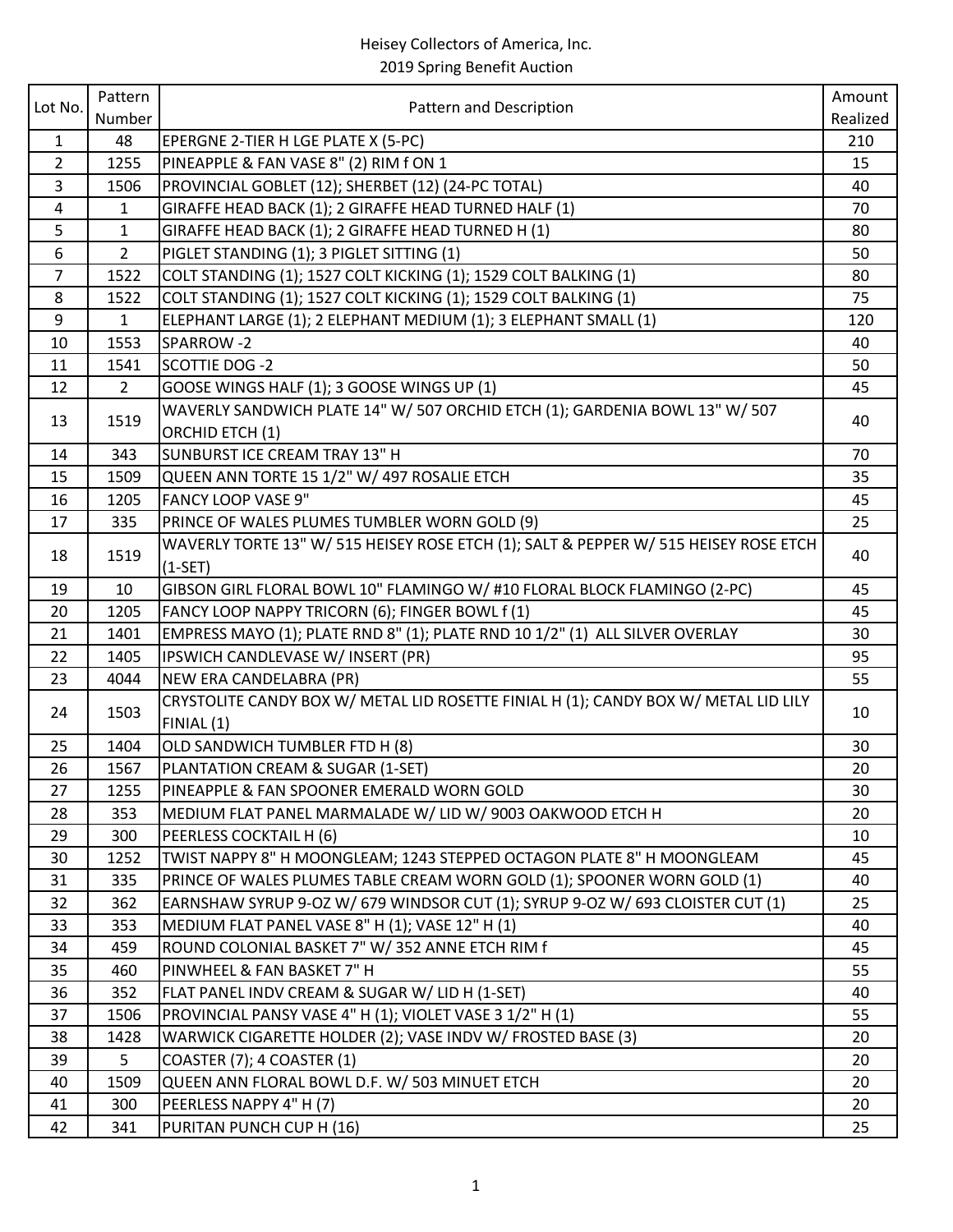|                | Pattern        |                                                                                                   | Amount   |
|----------------|----------------|---------------------------------------------------------------------------------------------------|----------|
| Lot No.        | Number         | Pattern and Description                                                                           | Realized |
| $\mathbf{1}$   | 48             | EPERGNE 2-TIER H LGE PLATE X (5-PC)                                                               | 210      |
| $\overline{2}$ | 1255           | PINEAPPLE & FAN VASE 8" (2) RIM f ON 1                                                            | 15       |
| $\overline{3}$ | 1506           | PROVINCIAL GOBLET (12); SHERBET (12) (24-PC TOTAL)                                                | 40       |
| 4              | $\mathbf{1}$   | GIRAFFE HEAD BACK (1); 2 GIRAFFE HEAD TURNED HALF (1)                                             | 70       |
| 5              | $\mathbf{1}$   | GIRAFFE HEAD BACK (1); 2 GIRAFFE HEAD TURNED H (1)                                                | 80       |
| 6              | $\overline{2}$ | PIGLET STANDING (1); 3 PIGLET SITTING (1)                                                         | 50       |
| $\overline{7}$ | 1522           | COLT STANDING (1); 1527 COLT KICKING (1); 1529 COLT BALKING (1)                                   | 80       |
| 8              | 1522           | COLT STANDING (1); 1527 COLT KICKING (1); 1529 COLT BALKING (1)                                   | 75       |
| 9              | $\mathbf{1}$   | ELEPHANT LARGE (1); 2 ELEPHANT MEDIUM (1); 3 ELEPHANT SMALL (1)                                   | 120      |
| 10             | 1553           | SPARROW-2                                                                                         | 40       |
| 11             | 1541           | <b>SCOTTIE DOG -2</b>                                                                             | 50       |
| 12             | $\overline{2}$ | GOOSE WINGS HALF (1); 3 GOOSE WINGS UP (1)                                                        | 45       |
| 13             | 1519           | WAVERLY SANDWICH PLATE 14" W/ 507 ORCHID ETCH (1); GARDENIA BOWL 13" W/ 507                       | 40       |
|                |                | ORCHID ETCH (1)                                                                                   |          |
| 14             | 343            | SUNBURST ICE CREAM TRAY 13" H                                                                     | 70       |
| 15             | 1509           | QUEEN ANN TORTE 15 1/2" W/ 497 ROSALIE ETCH                                                       | 35       |
| 16             | 1205           | <b>FANCY LOOP VASE 9"</b>                                                                         | 45       |
| 17             | 335            | PRINCE OF WALES PLUMES TUMBLER WORN GOLD (9)                                                      | 25       |
| 18             | 1519           | WAVERLY TORTE 13" W/ 515 HEISEY ROSE ETCH (1); SALT & PEPPER W/ 515 HEISEY ROSE ETCH<br>$(1-SET)$ | 40       |
| 19             | 10             | GIBSON GIRL FLORAL BOWL 10" FLAMINGO W/ #10 FLORAL BLOCK FLAMINGO (2-PC)                          | 45       |
| 20             | 1205           | FANCY LOOP NAPPY TRICORN (6); FINGER BOWL f(1)                                                    | 45       |
| 21             | 1401           | EMPRESS MAYO (1); PLATE RND 8" (1); PLATE RND 10 1/2" (1) ALL SILVER OVERLAY                      | 30       |
| 22             | 1405           | IPSWICH CANDLEVASE W/ INSERT (PR)                                                                 | 95       |
| 23             | 4044           | NEW ERA CANDELABRA (PR)                                                                           | 55       |
| 24             | 1503           | CRYSTOLITE CANDY BOX W/ METAL LID ROSETTE FINIAL H (1); CANDY BOX W/ METAL LID LILY               | 10       |
|                |                | FINIAL (1)                                                                                        |          |
| 25             | 1404           | OLD SANDWICH TUMBLER FTD H (8)                                                                    | 30       |
| 26<br>27       | 1567<br>1255   | PLANTATION CREAM & SUGAR (1-SET)<br>PINEAPPLE & FAN SPOONER EMERALD WORN GOLD                     | 20<br>30 |
| 28             | 353            | MEDIUM FLAT PANEL MARMALADE W/ LID W/ 9003 OAKWOOD ETCH H                                         | 20       |
| 29             | 300            | PEERLESS COCKTAIL H (6)                                                                           | 10       |
| 30             | 1252           | TWIST NAPPY 8" H MOONGLEAM; 1243 STEPPED OCTAGON PLATE 8" H MOONGLEAM                             | 45       |
| 31             | 335            | PRINCE OF WALES PLUMES TABLE CREAM WORN GOLD (1); SPOONER WORN GOLD (1)                           | 40       |
| 32             | 362            | EARNSHAW SYRUP 9-OZ W/ 679 WINDSOR CUT (1); SYRUP 9-OZ W/ 693 CLOISTER CUT (1)                    | 25       |
| 33             | 353            | MEDIUM FLAT PANEL VASE 8" H (1); VASE 12" H (1)                                                   | 40       |
| 34             | 459            | ROUND COLONIAL BASKET 7" W/352 ANNE ETCH RIM f                                                    | 45       |
| 35             | 460            | PINWHEEL & FAN BASKET 7" H                                                                        | 55       |
| 36             | 352            | FLAT PANEL INDV CREAM & SUGAR W/ LID H (1-SET)                                                    | 40       |
| 37             | 1506           | PROVINCIAL PANSY VASE 4" H (1); VIOLET VASE 3 1/2" H (1)                                          | 55       |
| 38             | 1428           | WARWICK CIGARETTE HOLDER (2); VASE INDV W/ FROSTED BASE (3)                                       | 20       |
| 39             | 5              | COASTER (7); 4 COASTER (1)                                                                        | 20       |
| 40             | 1509           | QUEEN ANN FLORAL BOWL D.F. W/ 503 MINUET ETCH                                                     | 20       |
| 41             | 300            | PEERLESS NAPPY 4" H (7)                                                                           | 20       |
| 42             | 341            | PURITAN PUNCH CUP H (16)                                                                          | 25       |
|                |                |                                                                                                   |          |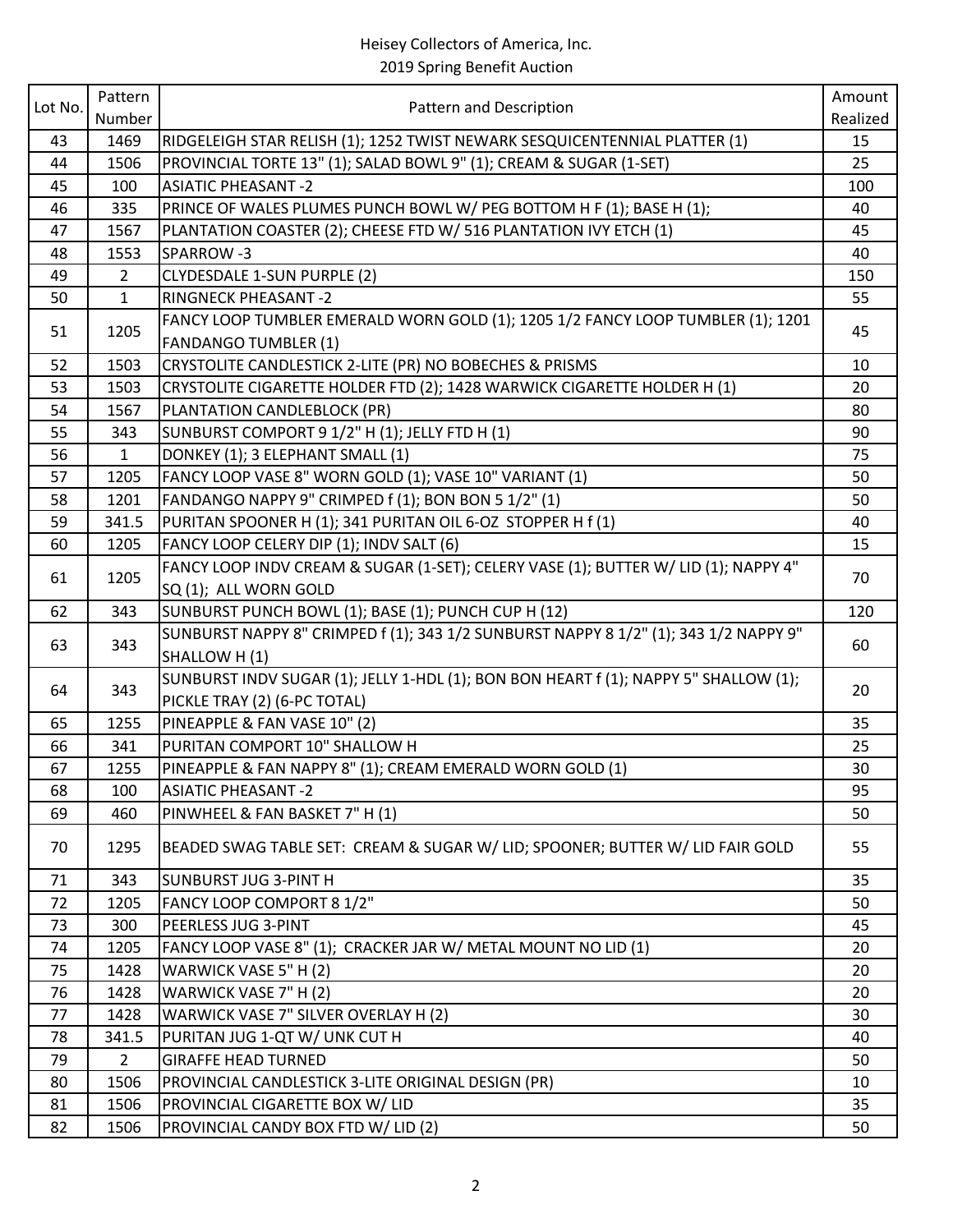| Lot No. | Pattern        |                                                                                      | Amount   |
|---------|----------------|--------------------------------------------------------------------------------------|----------|
|         | Number         | Pattern and Description                                                              | Realized |
| 43      | 1469           | RIDGELEIGH STAR RELISH (1); 1252 TWIST NEWARK SESQUICENTENNIAL PLATTER (1)           | 15       |
| 44      | 1506           | PROVINCIAL TORTE 13" (1); SALAD BOWL 9" (1); CREAM & SUGAR (1-SET)                   | 25       |
| 45      | 100            | <b>ASIATIC PHEASANT-2</b>                                                            | 100      |
| 46      | 335            | PRINCE OF WALES PLUMES PUNCH BOWL W/ PEG BOTTOM H F (1); BASE H (1);                 | 40       |
| 47      | 1567           | PLANTATION COASTER (2); CHEESE FTD W/ 516 PLANTATION IVY ETCH (1)                    | 45       |
| 48      | 1553           | SPARROW-3                                                                            | 40       |
| 49      | $\overline{2}$ | CLYDESDALE 1-SUN PURPLE (2)                                                          | 150      |
| 50      | $\mathbf{1}$   | <b>RINGNECK PHEASANT -2</b>                                                          | 55       |
| 51      | 1205           | FANCY LOOP TUMBLER EMERALD WORN GOLD (1); 1205 1/2 FANCY LOOP TUMBLER (1); 1201      | 45       |
|         |                | <b>FANDANGO TUMBLER (1)</b>                                                          |          |
| 52      | 1503           | CRYSTOLITE CANDLESTICK 2-LITE (PR) NO BOBECHES & PRISMS                              | 10       |
| 53      | 1503           | CRYSTOLITE CIGARETTE HOLDER FTD (2); 1428 WARWICK CIGARETTE HOLDER H (1)             | 20       |
| 54      | 1567           | PLANTATION CANDLEBLOCK (PR)                                                          | 80       |
| 55      | 343            | SUNBURST COMPORT 9 1/2" H (1); JELLY FTD H (1)                                       | 90       |
| 56      | $\mathbf{1}$   | DONKEY (1); 3 ELEPHANT SMALL (1)                                                     | 75       |
| 57      | 1205           | FANCY LOOP VASE 8" WORN GOLD (1); VASE 10" VARIANT (1)                               | 50       |
| 58      | 1201           | FANDANGO NAPPY 9" CRIMPED f (1); BON BON 5 1/2" (1)                                  | 50       |
| 59      | 341.5          | PURITAN SPOONER H (1); 341 PURITAN OIL 6-OZ STOPPER H f (1)                          | 40       |
| 60      | 1205           | FANCY LOOP CELERY DIP (1); INDV SALT (6)                                             | 15       |
| 61      | 1205           | FANCY LOOP INDV CREAM & SUGAR (1-SET); CELERY VASE (1); BUTTER W/ LID (1); NAPPY 4"  | 70       |
|         |                | SQ (1); ALL WORN GOLD                                                                |          |
| 62      | 343            | SUNBURST PUNCH BOWL (1); BASE (1); PUNCH CUP H (12)                                  | 120      |
| 63      | 343            | SUNBURST NAPPY 8" CRIMPED f (1); 343 1/2 SUNBURST NAPPY 8 1/2" (1); 343 1/2 NAPPY 9" | 60       |
|         |                | SHALLOW H (1)                                                                        |          |
| 64      | 343            | SUNBURST INDV SUGAR (1); JELLY 1-HDL (1); BON BON HEART f (1); NAPPY 5" SHALLOW (1); | 20       |
|         |                | PICKLE TRAY (2) (6-PC TOTAL)                                                         |          |
| 65      | 1255           | PINEAPPLE & FAN VASE 10" (2)                                                         | 35       |
| 66      | 341            | PURITAN COMPORT 10" SHALLOW H                                                        | 25       |
| 67      | 1255           | PINEAPPLE & FAN NAPPY 8" (1); CREAM EMERALD WORN GOLD (1)                            | 30       |
| 68      | 100            | <b>ASIATIC PHEASANT-2</b>                                                            | 95       |
| 69      | 460            | PINWHEEL & FAN BASKET 7" H (1)                                                       | 50       |
| 70      | 1295           | BEADED SWAG TABLE SET: CREAM & SUGAR W/ LID; SPOONER; BUTTER W/ LID FAIR GOLD        | 55       |
| 71      | 343            | <b>SUNBURST JUG 3-PINT H</b>                                                         | 35       |
| 72      | 1205           | FANCY LOOP COMPORT 8 1/2"                                                            | 50       |
| 73      | 300            | PEERLESS JUG 3-PINT                                                                  | 45       |
| 74      | 1205           | FANCY LOOP VASE 8" (1); CRACKER JAR W/ METAL MOUNT NO LID (1)                        | 20       |
| 75      | 1428           | WARWICK VASE 5" H (2)                                                                | 20       |
| 76      | 1428           | WARWICK VASE 7" H (2)                                                                | 20       |
| 77      | 1428           | WARWICK VASE 7" SILVER OVERLAY H (2)                                                 | 30       |
| 78      | 341.5          | PURITAN JUG 1-QT W/ UNK CUT H                                                        | 40       |
| 79      | $2^{\circ}$    | <b>GIRAFFE HEAD TURNED</b>                                                           | 50       |
| 80      | 1506           | PROVINCIAL CANDLESTICK 3-LITE ORIGINAL DESIGN (PR)                                   | 10       |
| 81      | 1506           | PROVINCIAL CIGARETTE BOX W/ LID                                                      | 35       |
| 82      | 1506           | PROVINCIAL CANDY BOX FTD W/ LID (2)                                                  | 50       |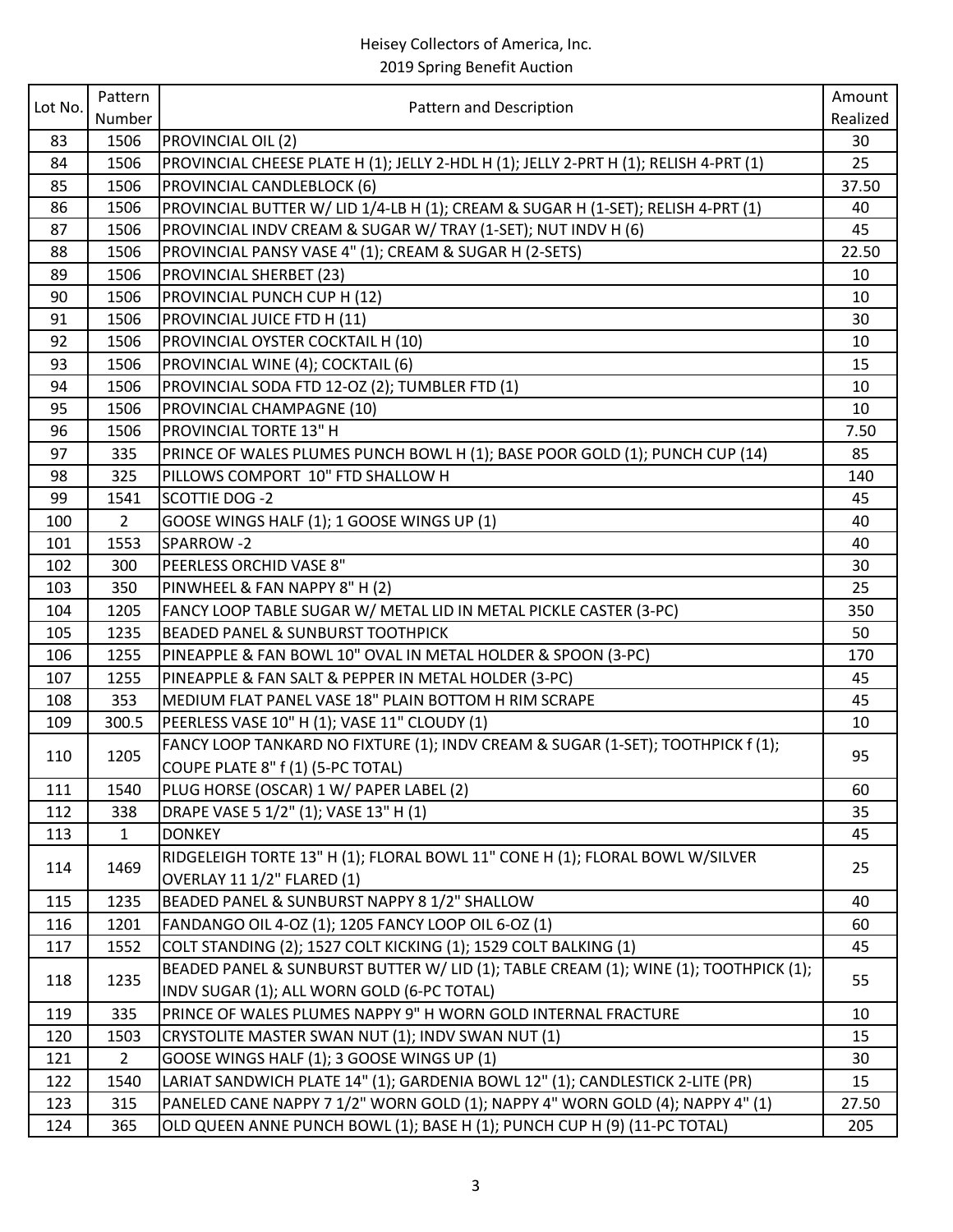|         | Pattern        |                                                                                       | Amount   |
|---------|----------------|---------------------------------------------------------------------------------------|----------|
| Lot No. | Number         | Pattern and Description                                                               | Realized |
| 83      | 1506           | PROVINCIAL OIL (2)                                                                    | 30       |
| 84      | 1506           | PROVINCIAL CHEESE PLATE H (1); JELLY 2-HDL H (1); JELLY 2-PRT H (1); RELISH 4-PRT (1) | 25       |
| 85      | 1506           | PROVINCIAL CANDLEBLOCK (6)                                                            | 37.50    |
| 86      | 1506           | PROVINCIAL BUTTER W/ LID 1/4-LB H (1); CREAM & SUGAR H (1-SET); RELISH 4-PRT (1)      | 40       |
| 87      | 1506           | PROVINCIAL INDV CREAM & SUGAR W/ TRAY (1-SET); NUT INDV H (6)                         | 45       |
| 88      | 1506           | PROVINCIAL PANSY VASE 4" (1); CREAM & SUGAR H (2-SETS)                                | 22.50    |
| 89      | 1506           | PROVINCIAL SHERBET (23)                                                               | 10       |
| 90      | 1506           | PROVINCIAL PUNCH CUP H (12)                                                           | 10       |
| 91      | 1506           | PROVINCIAL JUICE FTD H (11)                                                           | 30       |
| 92      | 1506           | PROVINCIAL OYSTER COCKTAIL H (10)                                                     | 10       |
| 93      | 1506           | PROVINCIAL WINE (4); COCKTAIL (6)                                                     | 15       |
| 94      | 1506           | PROVINCIAL SODA FTD 12-OZ (2); TUMBLER FTD (1)                                        | 10       |
| 95      | 1506           | PROVINCIAL CHAMPAGNE (10)                                                             | 10       |
| 96      | 1506           | PROVINCIAL TORTE 13" H                                                                | 7.50     |
| 97      | 335            | PRINCE OF WALES PLUMES PUNCH BOWL H (1); BASE POOR GOLD (1); PUNCH CUP (14)           | 85       |
| 98      | 325            | PILLOWS COMPORT 10" FTD SHALLOW H                                                     | 140      |
| 99      | 1541           | <b>SCOTTIE DOG -2</b>                                                                 | 45       |
| 100     | $\overline{2}$ | GOOSE WINGS HALF (1); 1 GOOSE WINGS UP (1)                                            | 40       |
| 101     | 1553           | SPARROW-2                                                                             | 40       |
| 102     | 300            | PEERLESS ORCHID VASE 8"                                                               | 30       |
| 103     | 350            | PINWHEEL & FAN NAPPY 8" H (2)                                                         | 25       |
| 104     | 1205           | FANCY LOOP TABLE SUGAR W/ METAL LID IN METAL PICKLE CASTER (3-PC)                     | 350      |
| 105     | 1235           | <b>BEADED PANEL &amp; SUNBURST TOOTHPICK</b>                                          | 50       |
| 106     | 1255           | PINEAPPLE & FAN BOWL 10" OVAL IN METAL HOLDER & SPOON (3-PC)                          | 170      |
| 107     | 1255           | PINEAPPLE & FAN SALT & PEPPER IN METAL HOLDER (3-PC)                                  | 45       |
| 108     | 353            | MEDIUM FLAT PANEL VASE 18" PLAIN BOTTOM H RIM SCRAPE                                  | 45       |
| 109     | 300.5          | PEERLESS VASE 10" H (1); VASE 11" CLOUDY (1)                                          | 10       |
| 110     | 1205           | FANCY LOOP TANKARD NO FIXTURE (1); INDV CREAM & SUGAR (1-SET); TOOTHPICK f (1);       | 95       |
|         |                | COUPE PLATE 8" f (1) (5-PC TOTAL)                                                     |          |
| 111     | 1540           | PLUG HORSE (OSCAR) 1 W/ PAPER LABEL (2)                                               | 60       |
| 112     | 338            | DRAPE VASE 5 1/2" (1); VASE 13" H (1)                                                 | 35       |
| 113     | $\mathbf{1}$   | <b>DONKEY</b>                                                                         | 45       |
| 114     | 1469           | RIDGELEIGH TORTE 13" H (1); FLORAL BOWL 11" CONE H (1); FLORAL BOWL W/SILVER          | 25       |
|         |                | OVERLAY 11 1/2" FLARED (1)                                                            |          |
| 115     | 1235           | BEADED PANEL & SUNBURST NAPPY 8 1/2" SHALLOW                                          | 40       |
| 116     | 1201           | FANDANGO OIL 4-OZ (1); 1205 FANCY LOOP OIL 6-OZ (1)                                   | 60       |
| 117     | 1552           | COLT STANDING (2); 1527 COLT KICKING (1); 1529 COLT BALKING (1)                       | 45       |
| 118     | 1235           | BEADED PANEL & SUNBURST BUTTER W/ LID (1); TABLE CREAM (1); WINE (1); TOOTHPICK (1);  | 55       |
|         |                | INDV SUGAR (1); ALL WORN GOLD (6-PC TOTAL)                                            |          |
| 119     | 335            | PRINCE OF WALES PLUMES NAPPY 9" H WORN GOLD INTERNAL FRACTURE                         | 10       |
| 120     | 1503           | CRYSTOLITE MASTER SWAN NUT (1); INDV SWAN NUT (1)                                     | 15       |
| 121     | $\overline{2}$ | GOOSE WINGS HALF (1); 3 GOOSE WINGS UP (1)                                            | 30       |
| 122     | 1540           | LARIAT SANDWICH PLATE 14" (1); GARDENIA BOWL 12" (1); CANDLESTICK 2-LITE (PR)         | 15       |
| 123     | 315            | PANELED CANE NAPPY 7 1/2" WORN GOLD (1); NAPPY 4" WORN GOLD (4); NAPPY 4" (1)         | 27.50    |
| 124     | 365            | OLD QUEEN ANNE PUNCH BOWL (1); BASE H (1); PUNCH CUP H (9) (11-PC TOTAL)              | 205      |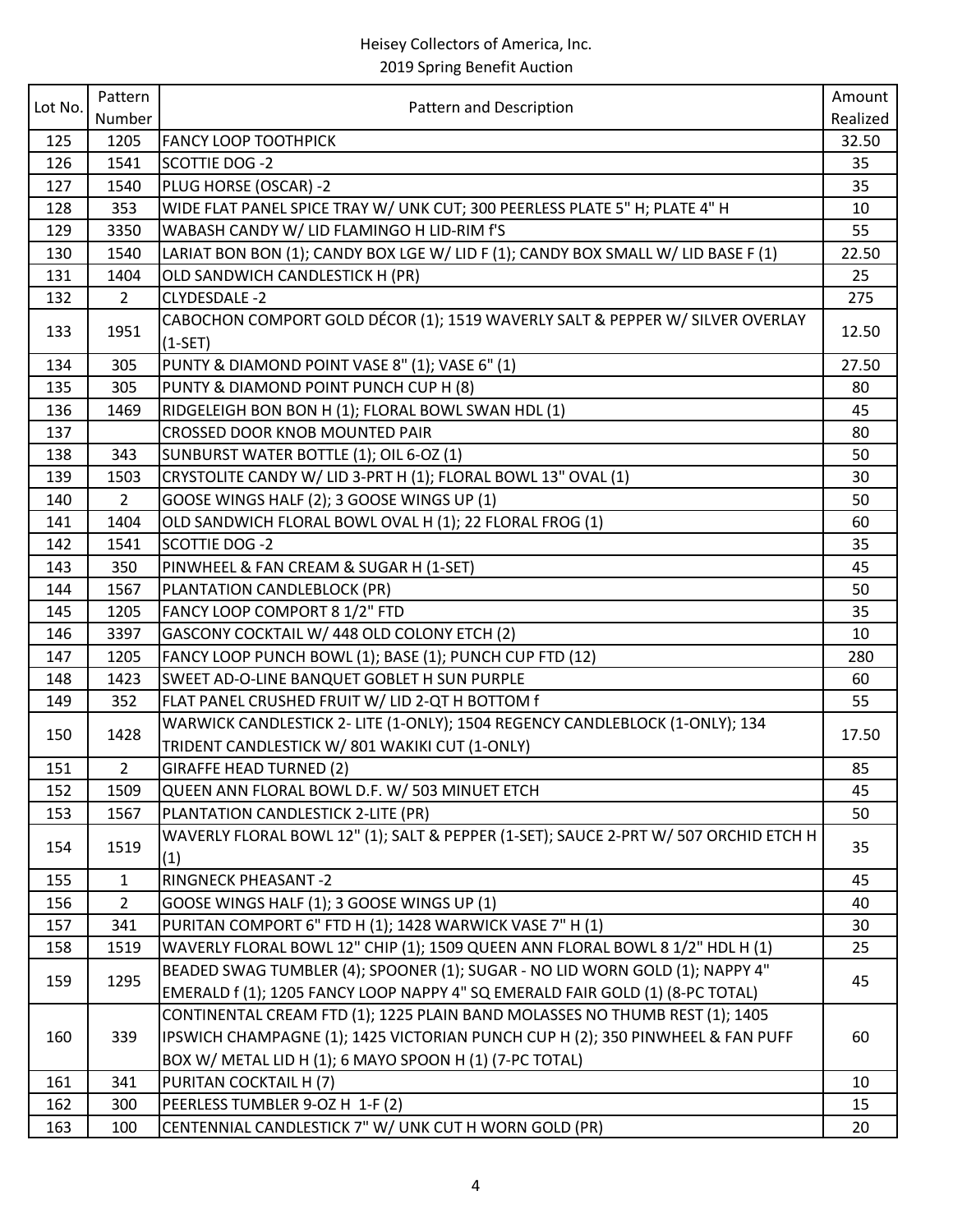| Lot No. | Pattern        | Pattern and Description                                                                                                                                       | Amount   |
|---------|----------------|---------------------------------------------------------------------------------------------------------------------------------------------------------------|----------|
|         | Number         |                                                                                                                                                               | Realized |
| 125     | 1205           | <b>FANCY LOOP TOOTHPICK</b>                                                                                                                                   | 32.50    |
| 126     | 1541           | <b>SCOTTIE DOG -2</b>                                                                                                                                         | 35       |
| 127     | 1540           | PLUG HORSE (OSCAR) -2                                                                                                                                         | 35       |
| 128     | 353            | WIDE FLAT PANEL SPICE TRAY W/ UNK CUT; 300 PEERLESS PLATE 5" H; PLATE 4" H                                                                                    | 10       |
| 129     | 3350           | WABASH CANDY W/ LID FLAMINGO H LID-RIM f'S                                                                                                                    | 55       |
| 130     | 1540           | LARIAT BON BON (1); CANDY BOX LGE W/ LID F (1); CANDY BOX SMALL W/ LID BASE F (1)                                                                             | 22.50    |
| 131     | 1404           | OLD SANDWICH CANDLESTICK H (PR)                                                                                                                               | 25       |
| 132     | $\overline{2}$ | CLYDESDALE -2                                                                                                                                                 | 275      |
| 133     | 1951           | CABOCHON COMPORT GOLD DÉCOR (1); 1519 WAVERLY SALT & PEPPER W/ SILVER OVERLAY<br>$(1-SET)$                                                                    | 12.50    |
| 134     | 305            | PUNTY & DIAMOND POINT VASE 8" (1); VASE 6" (1)                                                                                                                | 27.50    |
| 135     | 305            | PUNTY & DIAMOND POINT PUNCH CUP H (8)                                                                                                                         | 80       |
| 136     | 1469           | RIDGELEIGH BON BON H (1); FLORAL BOWL SWAN HDL (1)                                                                                                            | 45       |
| 137     |                | CROSSED DOOR KNOB MOUNTED PAIR                                                                                                                                | 80       |
| 138     | 343            | SUNBURST WATER BOTTLE (1); OIL 6-OZ (1)                                                                                                                       | 50       |
| 139     | 1503           | CRYSTOLITE CANDY W/ LID 3-PRT H (1); FLORAL BOWL 13" OVAL (1)                                                                                                 | 30       |
| 140     | 2              | GOOSE WINGS HALF (2); 3 GOOSE WINGS UP (1)                                                                                                                    | 50       |
| 141     | 1404           | OLD SANDWICH FLORAL BOWL OVAL H (1); 22 FLORAL FROG (1)                                                                                                       | 60       |
| 142     | 1541           | <b>SCOTTIE DOG -2</b>                                                                                                                                         | 35       |
| 143     | 350            | PINWHEEL & FAN CREAM & SUGAR H (1-SET)                                                                                                                        | 45       |
| 144     | 1567           | PLANTATION CANDLEBLOCK (PR)                                                                                                                                   | 50       |
| 145     | 1205           | FANCY LOOP COMPORT 8 1/2" FTD                                                                                                                                 | 35       |
| 146     | 3397           | GASCONY COCKTAIL W/ 448 OLD COLONY ETCH (2)                                                                                                                   | 10       |
| 147     | 1205           | FANCY LOOP PUNCH BOWL (1); BASE (1); PUNCH CUP FTD (12)                                                                                                       | 280      |
| 148     | 1423           | SWEET AD-O-LINE BANQUET GOBLET H SUN PURPLE                                                                                                                   | 60       |
| 149     | 352            | FLAT PANEL CRUSHED FRUIT W/ LID 2-QT H BOTTOM f                                                                                                               | 55       |
| 150     | 1428           | WARWICK CANDLESTICK 2- LITE (1-ONLY); 1504 REGENCY CANDLEBLOCK (1-ONLY); 134                                                                                  | 17.50    |
|         |                | TRIDENT CANDLESTICK W/801 WAKIKI CUT (1-ONLY)                                                                                                                 |          |
| 151     | $\overline{2}$ | <b>GIRAFFE HEAD TURNED (2)</b>                                                                                                                                | 85       |
| 152     | 1509           | QUEEN ANN FLORAL BOWL D.F. W/ 503 MINUET ETCH                                                                                                                 | 45       |
| 153     | 1567           | PLANTATION CANDLESTICK 2-LITE (PR)                                                                                                                            | 50       |
| 154     | 1519           | WAVERLY FLORAL BOWL 12" (1); SALT & PEPPER (1-SET); SAUCE 2-PRT W/ 507 ORCHID ETCH H<br>(1)                                                                   | 35       |
| 155     | $\mathbf{1}$   | <b>RINGNECK PHEASANT-2</b>                                                                                                                                    | 45       |
| 156     | $\overline{2}$ | GOOSE WINGS HALF (1); 3 GOOSE WINGS UP (1)                                                                                                                    | 40       |
| 157     | 341            | PURITAN COMPORT 6" FTD H (1); 1428 WARWICK VASE 7" H (1)                                                                                                      | 30       |
| 158     | 1519           | WAVERLY FLORAL BOWL 12" CHIP (1); 1509 QUEEN ANN FLORAL BOWL 8 1/2" HDL H (1)                                                                                 | 25       |
| 159     | 1295           | BEADED SWAG TUMBLER (4); SPOONER (1); SUGAR - NO LID WORN GOLD (1); NAPPY 4"<br>EMERALD f (1); 1205 FANCY LOOP NAPPY 4" SQ EMERALD FAIR GOLD (1) (8-PC TOTAL) | 45       |
|         |                | CONTINENTAL CREAM FTD (1); 1225 PLAIN BAND MOLASSES NO THUMB REST (1); 1405                                                                                   |          |
| 160     | 339            | IPSWICH CHAMPAGNE (1); 1425 VICTORIAN PUNCH CUP H (2); 350 PINWHEEL & FAN PUFF                                                                                | 60       |
|         |                | BOX W/ METAL LID H (1); 6 MAYO SPOON H (1) (7-PC TOTAL)                                                                                                       |          |
| 161     | 341            | PURITAN COCKTAIL H (7)                                                                                                                                        | 10       |
| 162     | 300            | PEERLESS TUMBLER 9-OZ H 1-F (2)                                                                                                                               | 15       |
| 163     | 100            | CENTENNIAL CANDLESTICK 7" W/ UNK CUT H WORN GOLD (PR)                                                                                                         | 20       |
|         |                |                                                                                                                                                               |          |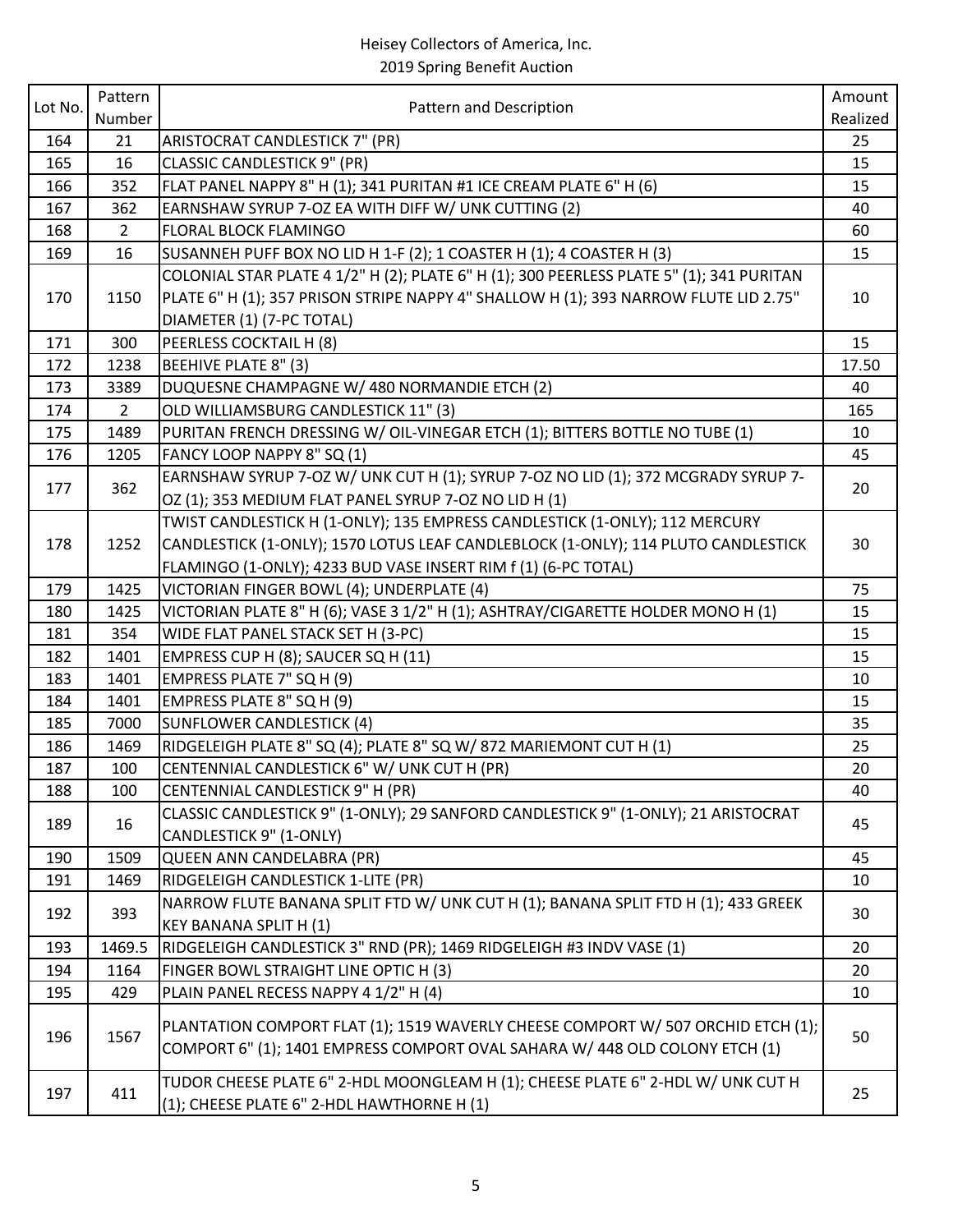|         | Pattern        |                                                                                          | Amount   |
|---------|----------------|------------------------------------------------------------------------------------------|----------|
| Lot No. | Number         | Pattern and Description                                                                  | Realized |
| 164     | 21             | ARISTOCRAT CANDLESTICK 7" (PR)                                                           | 25       |
| 165     | 16             | <b>CLASSIC CANDLESTICK 9" (PR)</b>                                                       | 15       |
| 166     | 352            | FLAT PANEL NAPPY 8" H (1); 341 PURITAN #1 ICE CREAM PLATE 6" H (6)                       | 15       |
| 167     | 362            | EARNSHAW SYRUP 7-OZ EA WITH DIFF W/ UNK CUTTING (2)                                      | 40       |
| 168     | $\overline{2}$ | FLORAL BLOCK FLAMINGO                                                                    | 60       |
| 169     | 16             | SUSANNEH PUFF BOX NO LID H 1-F (2); 1 COASTER H (1); 4 COASTER H (3)                     | 15       |
|         |                | COLONIAL STAR PLATE 4 1/2" H (2); PLATE 6" H (1); 300 PEERLESS PLATE 5" (1); 341 PURITAN |          |
| 170     | 1150           | PLATE 6" H (1); 357 PRISON STRIPE NAPPY 4" SHALLOW H (1); 393 NARROW FLUTE LID 2.75"     | 10       |
|         |                | DIAMETER (1) (7-PC TOTAL)                                                                |          |
| 171     | 300            | PEERLESS COCKTAIL H (8)                                                                  | 15       |
| 172     | 1238           | <b>BEEHIVE PLATE 8" (3)</b>                                                              | 17.50    |
| 173     | 3389           | DUQUESNE CHAMPAGNE W/ 480 NORMANDIE ETCH (2)                                             | 40       |
| 174     | $\overline{2}$ | OLD WILLIAMSBURG CANDLESTICK 11" (3)                                                     | 165      |
| 175     | 1489           | PURITAN FRENCH DRESSING W/ OIL-VINEGAR ETCH (1); BITTERS BOTTLE NO TUBE (1)              | 10       |
| 176     | 1205           | FANCY LOOP NAPPY 8" SQ (1)                                                               | 45       |
|         |                | EARNSHAW SYRUP 7-OZ W/ UNK CUT H (1); SYRUP 7-OZ NO LID (1); 372 MCGRADY SYRUP 7-        |          |
| 177     | 362            | OZ (1); 353 MEDIUM FLAT PANEL SYRUP 7-OZ NO LID H (1)                                    | 20       |
|         |                | TWIST CANDLESTICK H (1-ONLY); 135 EMPRESS CANDLESTICK (1-ONLY); 112 MERCURY              |          |
| 178     | 1252           | CANDLESTICK (1-ONLY); 1570 LOTUS LEAF CANDLEBLOCK (1-ONLY); 114 PLUTO CANDLESTICK        | 30       |
|         |                | FLAMINGO (1-ONLY); 4233 BUD VASE INSERT RIM f (1) (6-PC TOTAL)                           |          |
| 179     | 1425           | VICTORIAN FINGER BOWL (4); UNDERPLATE (4)                                                | 75       |
| 180     | 1425           | VICTORIAN PLATE 8" H (6); VASE 3 1/2" H (1); ASHTRAY/CIGARETTE HOLDER MONO H (1)         | 15       |
| 181     | 354            | WIDE FLAT PANEL STACK SET H (3-PC)                                                       | 15       |
| 182     | 1401           | EMPRESS CUP H (8); SAUCER SQ H (11)                                                      | 15       |
| 183     | 1401           | EMPRESS PLATE 7" SQ H (9)                                                                | 10       |
| 184     | 1401           | EMPRESS PLATE 8" SQ H (9)                                                                | 15       |
| 185     | 7000           | <b>SUNFLOWER CANDLESTICK (4)</b>                                                         | 35       |
| 186     | 1469           | RIDGELEIGH PLATE 8" SQ (4); PLATE 8" SQ W/ 872 MARIEMONT CUT H (1)                       | 25       |
| 187     | 100            | CENTENNIAL CANDLESTICK 6" W/ UNK CUT H (PR)                                              | 20       |
| 188     | 100            | CENTENNIAL CANDLESTICK 9" H (PR)                                                         | 40       |
|         |                | CLASSIC CANDLESTICK 9" (1-ONLY); 29 SANFORD CANDLESTICK 9" (1-ONLY); 21 ARISTOCRAT       |          |
| 189     | 16             | CANDLESTICK 9" (1-ONLY)                                                                  | 45       |
| 190     | 1509           | QUEEN ANN CANDELABRA (PR)                                                                | 45       |
| 191     | 1469           | RIDGELEIGH CANDLESTICK 1-LITE (PR)                                                       | 10       |
|         |                | NARROW FLUTE BANANA SPLIT FTD W/ UNK CUT H (1); BANANA SPLIT FTD H (1); 433 GREEK        |          |
| 192     | 393            | <b>KEY BANANA SPLIT H (1)</b>                                                            | 30       |
| 193     | 1469.5         | RIDGELEIGH CANDLESTICK 3" RND (PR); 1469 RIDGELEIGH #3 INDV VASE (1)                     | 20       |
| 194     | 1164           | FINGER BOWL STRAIGHT LINE OPTIC H (3)                                                    | 20       |
| 195     | 429            | PLAIN PANEL RECESS NAPPY 4 1/2" H (4)                                                    | 10       |
|         |                | PLANTATION COMPORT FLAT (1); 1519 WAVERLY CHEESE COMPORT W/ 507 ORCHID ETCH (1);         |          |
| 196     | 1567           | COMPORT 6" (1); 1401 EMPRESS COMPORT OVAL SAHARA W/ 448 OLD COLONY ETCH (1)              | 50       |
| 197     | 411            | TUDOR CHEESE PLATE 6" 2-HDL MOONGLEAM H (1); CHEESE PLATE 6" 2-HDL W/ UNK CUT H          | 25       |
|         |                | (1); CHEESE PLATE 6" 2-HDL HAWTHORNE H (1)                                               |          |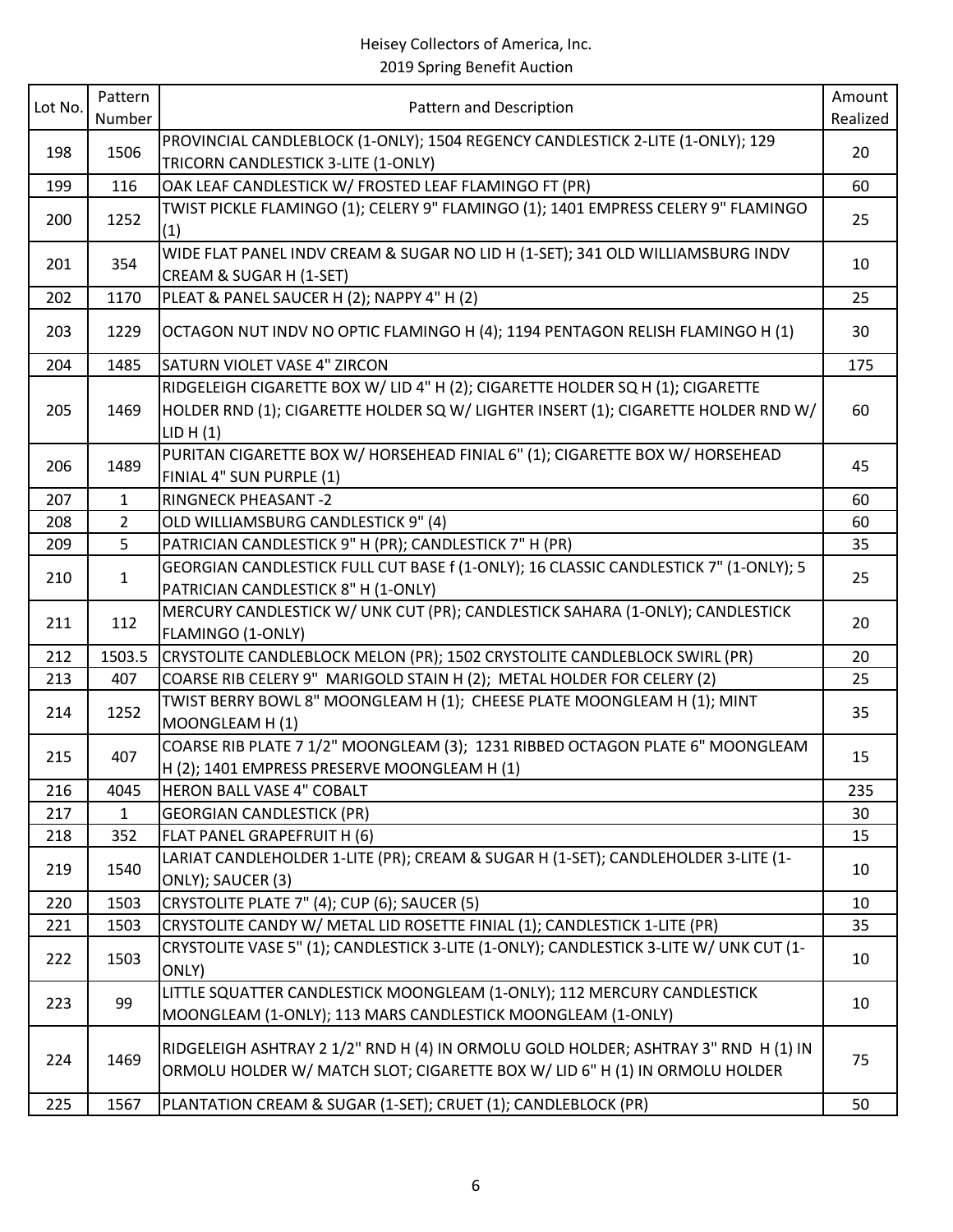| Lot No. | Pattern<br>Number | Pattern and Description                                                                                                                                                          | Amount<br>Realized |
|---------|-------------------|----------------------------------------------------------------------------------------------------------------------------------------------------------------------------------|--------------------|
| 198     | 1506              | PROVINCIAL CANDLEBLOCK (1-ONLY); 1504 REGENCY CANDLESTICK 2-LITE (1-ONLY); 129<br>TRICORN CANDLESTICK 3-LITE (1-ONLY)                                                            | 20                 |
| 199     | 116               | OAK LEAF CANDLESTICK W/ FROSTED LEAF FLAMINGO FT (PR)                                                                                                                            | 60                 |
| 200     | 1252              | TWIST PICKLE FLAMINGO (1); CELERY 9" FLAMINGO (1); 1401 EMPRESS CELERY 9" FLAMINGO<br>(1)                                                                                        | 25                 |
| 201     | 354               | WIDE FLAT PANEL INDV CREAM & SUGAR NO LID H (1-SET); 341 OLD WILLIAMSBURG INDV<br>CREAM & SUGAR H (1-SET)                                                                        | 10                 |
| 202     | 1170              | PLEAT & PANEL SAUCER H (2); NAPPY 4" H (2)                                                                                                                                       | 25                 |
| 203     | 1229              | OCTAGON NUT INDV NO OPTIC FLAMINGO H (4); 1194 PENTAGON RELISH FLAMINGO H (1)                                                                                                    | 30                 |
| 204     | 1485              | SATURN VIOLET VASE 4" ZIRCON                                                                                                                                                     | 175                |
| 205     | 1469              | RIDGELEIGH CIGARETTE BOX W/ LID 4" H (2); CIGARETTE HOLDER SQ H (1); CIGARETTE<br>HOLDER RND (1); CIGARETTE HOLDER SQ W/ LIGHTER INSERT (1); CIGARETTE HOLDER RND W/<br>LID H(1) | 60                 |
| 206     | 1489              | PURITAN CIGARETTE BOX W/ HORSEHEAD FINIAL 6" (1); CIGARETTE BOX W/ HORSEHEAD<br>FINIAL 4" SUN PURPLE (1)                                                                         | 45                 |
| 207     | $\mathbf{1}$      | <b>RINGNECK PHEASANT -2</b>                                                                                                                                                      | 60                 |
| 208     | $\overline{2}$    | OLD WILLIAMSBURG CANDLESTICK 9" (4)                                                                                                                                              | 60                 |
| 209     | 5                 | PATRICIAN CANDLESTICK 9" H (PR); CANDLESTICK 7" H (PR)                                                                                                                           | 35                 |
| 210     | $\mathbf{1}$      | GEORGIAN CANDLESTICK FULL CUT BASE f (1-ONLY); 16 CLASSIC CANDLESTICK 7" (1-ONLY); 5<br>PATRICIAN CANDLESTICK 8" H (1-ONLY)                                                      | 25                 |
| 211     | 112               | MERCURY CANDLESTICK W/ UNK CUT (PR); CANDLESTICK SAHARA (1-ONLY); CANDLESTICK<br>FLAMINGO (1-ONLY)                                                                               | 20                 |
| 212     | 1503.5            | CRYSTOLITE CANDLEBLOCK MELON (PR); 1502 CRYSTOLITE CANDLEBLOCK SWIRL (PR)                                                                                                        | 20                 |
| 213     | 407               | COARSE RIB CELERY 9" MARIGOLD STAIN H (2); METAL HOLDER FOR CELERY (2)                                                                                                           | 25                 |
| 214     | 1252              | TWIST BERRY BOWL 8" MOONGLEAM H (1); CHEESE PLATE MOONGLEAM H (1); MINT<br>MOONGLEAM H (1)                                                                                       | 35                 |
| 215     | 407               | COARSE RIB PLATE 7 1/2" MOONGLEAM (3); 1231 RIBBED OCTAGON PLATE 6" MOONGLEAM<br>H (2); 1401 EMPRESS PRESERVE MOONGLEAM H (1)                                                    | 15                 |
| 216     | 4045              | <b>HERON BALL VASE 4" COBALT</b>                                                                                                                                                 | 235                |
| 217     | 1                 | <b>GEORGIAN CANDLESTICK (PR)</b>                                                                                                                                                 | 30                 |
| 218     | 352               | FLAT PANEL GRAPEFRUIT H (6)                                                                                                                                                      | 15                 |
| 219     | 1540              | LARIAT CANDLEHOLDER 1-LITE (PR); CREAM & SUGAR H (1-SET); CANDLEHOLDER 3-LITE (1-<br>ONLY); SAUCER (3)                                                                           | 10                 |
| 220     | 1503              | CRYSTOLITE PLATE 7" (4); CUP (6); SAUCER (5)                                                                                                                                     | 10                 |
| 221     | 1503              | CRYSTOLITE CANDY W/ METAL LID ROSETTE FINIAL (1); CANDLESTICK 1-LITE (PR)                                                                                                        | 35                 |
| 222     | 1503              | CRYSTOLITE VASE 5" (1); CANDLESTICK 3-LITE (1-ONLY); CANDLESTICK 3-LITE W/ UNK CUT (1-<br>ONLY)                                                                                  | 10                 |
| 223     | 99                | LITTLE SQUATTER CANDLESTICK MOONGLEAM (1-ONLY); 112 MERCURY CANDLESTICK<br>MOONGLEAM (1-ONLY); 113 MARS CANDLESTICK MOONGLEAM (1-ONLY)                                           | 10                 |
| 224     | 1469              | RIDGELEIGH ASHTRAY 2 1/2" RND H (4) IN ORMOLU GOLD HOLDER; ASHTRAY 3" RND H (1) IN<br>ORMOLU HOLDER W/ MATCH SLOT; CIGARETTE BOX W/ LID 6" H (1) IN ORMOLU HOLDER                | 75                 |
| 225     | 1567              | PLANTATION CREAM & SUGAR (1-SET); CRUET (1); CANDLEBLOCK (PR)                                                                                                                    | 50                 |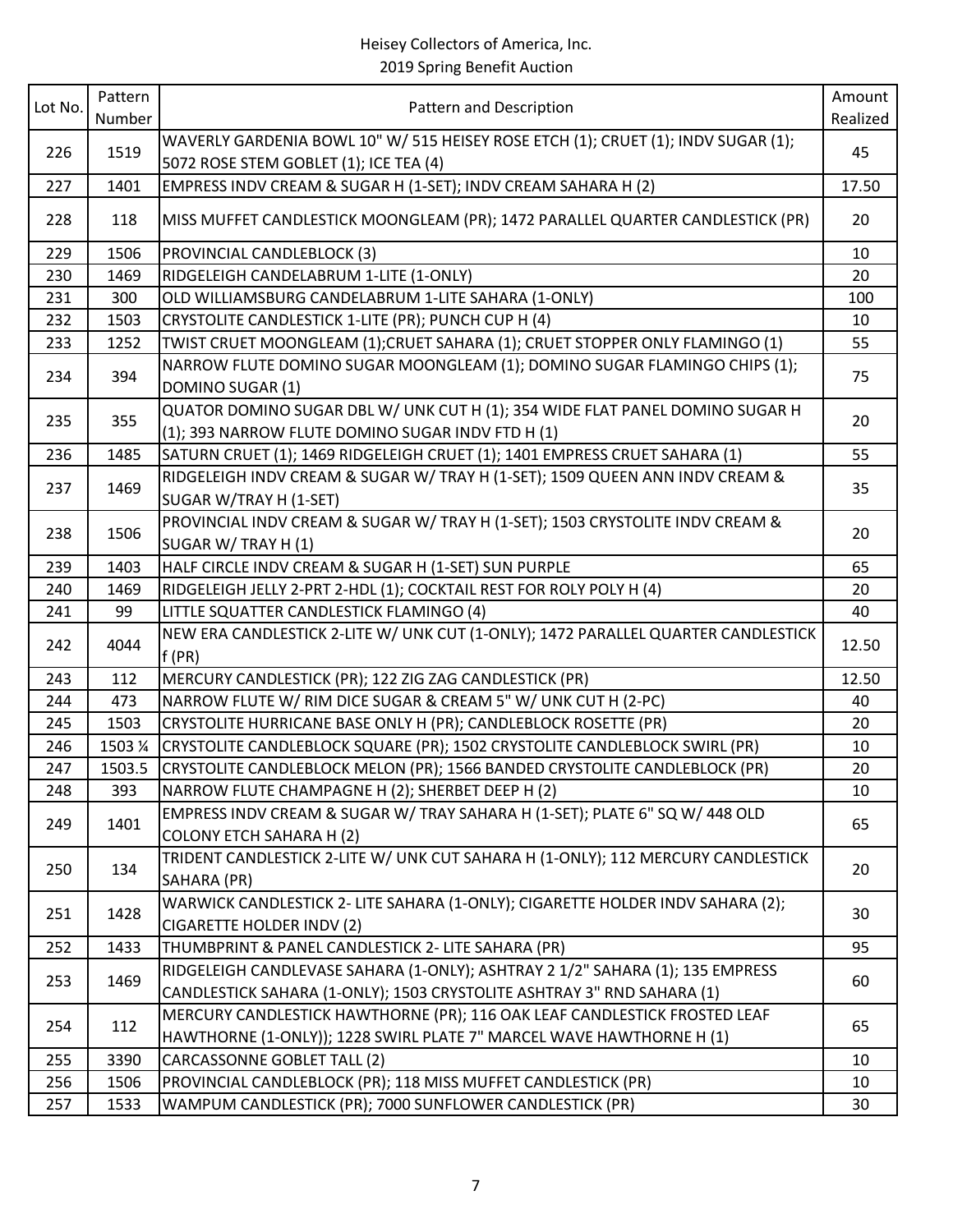| Lot No. | Pattern<br>Number | Pattern and Description                                                                                                                                 | Amount<br>Realized |
|---------|-------------------|---------------------------------------------------------------------------------------------------------------------------------------------------------|--------------------|
| 226     | 1519              | WAVERLY GARDENIA BOWL 10" W/ 515 HEISEY ROSE ETCH (1); CRUET (1); INDV SUGAR (1);                                                                       | 45                 |
| 227     | 1401              | 5072 ROSE STEM GOBLET (1); ICE TEA (4)<br>EMPRESS INDV CREAM & SUGAR H (1-SET); INDV CREAM SAHARA H (2)                                                 | 17.50              |
| 228     | 118               | MISS MUFFET CANDLESTICK MOONGLEAM (PR); 1472 PARALLEL QUARTER CANDLESTICK (PR)                                                                          | 20                 |
| 229     | 1506              | PROVINCIAL CANDLEBLOCK (3)                                                                                                                              | 10                 |
| 230     | 1469              | RIDGELEIGH CANDELABRUM 1-LITE (1-ONLY)                                                                                                                  | 20                 |
| 231     | 300               | OLD WILLIAMSBURG CANDELABRUM 1-LITE SAHARA (1-ONLY)                                                                                                     | 100                |
| 232     | 1503              | CRYSTOLITE CANDLESTICK 1-LITE (PR); PUNCH CUP H (4)                                                                                                     | 10                 |
| 233     | 1252              | TWIST CRUET MOONGLEAM (1);CRUET SAHARA (1); CRUET STOPPER ONLY FLAMINGO (1)                                                                             | 55                 |
| 234     | 394               | NARROW FLUTE DOMINO SUGAR MOONGLEAM (1); DOMINO SUGAR FLAMINGO CHIPS (1);<br>DOMINO SUGAR (1)                                                           | 75                 |
| 235     | 355               | QUATOR DOMINO SUGAR DBL W/ UNK CUT H (1); 354 WIDE FLAT PANEL DOMINO SUGAR H<br>(1); 393 NARROW FLUTE DOMINO SUGAR INDV FTD H (1)                       | 20                 |
| 236     | 1485              | SATURN CRUET (1); 1469 RIDGELEIGH CRUET (1); 1401 EMPRESS CRUET SAHARA (1)                                                                              | 55                 |
| 237     | 1469              | RIDGELEIGH INDV CREAM & SUGAR W/ TRAY H (1-SET); 1509 QUEEN ANN INDV CREAM &<br>SUGAR W/TRAY H (1-SET)                                                  | 35                 |
| 238     | 1506              | PROVINCIAL INDV CREAM & SUGAR W/ TRAY H (1-SET); 1503 CRYSTOLITE INDV CREAM &<br>SUGAR W/ TRAY H (1)                                                    | 20                 |
| 239     | 1403              | HALF CIRCLE INDV CREAM & SUGAR H (1-SET) SUN PURPLE                                                                                                     | 65                 |
| 240     | 1469              | RIDGELEIGH JELLY 2-PRT 2-HDL (1); COCKTAIL REST FOR ROLY POLY H (4)                                                                                     | 20                 |
| 241     | 99                | LITTLE SQUATTER CANDLESTICK FLAMINGO (4)                                                                                                                | 40                 |
| 242     | 4044              | NEW ERA CANDLESTICK 2-LITE W/ UNK CUT (1-ONLY); 1472 PARALLEL QUARTER CANDLESTICK<br>f(PR)                                                              | 12.50              |
| 243     | 112               | MERCURY CANDLESTICK (PR); 122 ZIG ZAG CANDLESTICK (PR)                                                                                                  | 12.50              |
| 244     | 473               | NARROW FLUTE W/ RIM DICE SUGAR & CREAM 5" W/ UNK CUT H (2-PC)                                                                                           | 40                 |
| 245     | 1503              | CRYSTOLITE HURRICANE BASE ONLY H (PR); CANDLEBLOCK ROSETTE (PR)                                                                                         | 20                 |
| 246     | 1503 %            | CRYSTOLITE CANDLEBLOCK SQUARE (PR); 1502 CRYSTOLITE CANDLEBLOCK SWIRL (PR)                                                                              | 10                 |
| 247     | 1503.5            | CRYSTOLITE CANDLEBLOCK MELON (PR); 1566 BANDED CRYSTOLITE CANDLEBLOCK (PR)                                                                              | 20                 |
| 248     | 393               | NARROW FLUTE CHAMPAGNE H (2); SHERBET DEEP H (2)                                                                                                        | 10                 |
| 249     | 1401              | EMPRESS INDV CREAM & SUGAR W/ TRAY SAHARA H (1-SET); PLATE 6" SQ W/ 448 OLD<br><b>COLONY ETCH SAHARA H (2)</b>                                          | 65                 |
| 250     | 134               | TRIDENT CANDLESTICK 2-LITE W/ UNK CUT SAHARA H (1-ONLY); 112 MERCURY CANDLESTICK<br>SAHARA (PR)                                                         | 20                 |
| 251     | 1428              | WARWICK CANDLESTICK 2- LITE SAHARA (1-ONLY); CIGARETTE HOLDER INDV SAHARA (2);<br><b>CIGARETTE HOLDER INDV (2)</b>                                      | 30                 |
| 252     | 1433              | THUMBPRINT & PANEL CANDLESTICK 2- LITE SAHARA (PR)                                                                                                      | 95                 |
| 253     | 1469              | RIDGELEIGH CANDLEVASE SAHARA (1-ONLY); ASHTRAY 2 1/2" SAHARA (1); 135 EMPRESS<br>CANDLESTICK SAHARA (1-ONLY); 1503 CRYSTOLITE ASHTRAY 3" RND SAHARA (1) | 60                 |
| 254     | 112               | MERCURY CANDLESTICK HAWTHORNE (PR); 116 OAK LEAF CANDLESTICK FROSTED LEAF<br>HAWTHORNE (1-ONLY)); 1228 SWIRL PLATE 7" MARCEL WAVE HAWTHORNE H (1)       | 65                 |
| 255     | 3390              | CARCASSONNE GOBLET TALL (2)                                                                                                                             | 10                 |
| 256     | 1506              | PROVINCIAL CANDLEBLOCK (PR); 118 MISS MUFFET CANDLESTICK (PR)                                                                                           | 10                 |
| 257     | 1533              | WAMPUM CANDLESTICK (PR); 7000 SUNFLOWER CANDLESTICK (PR)                                                                                                | 30                 |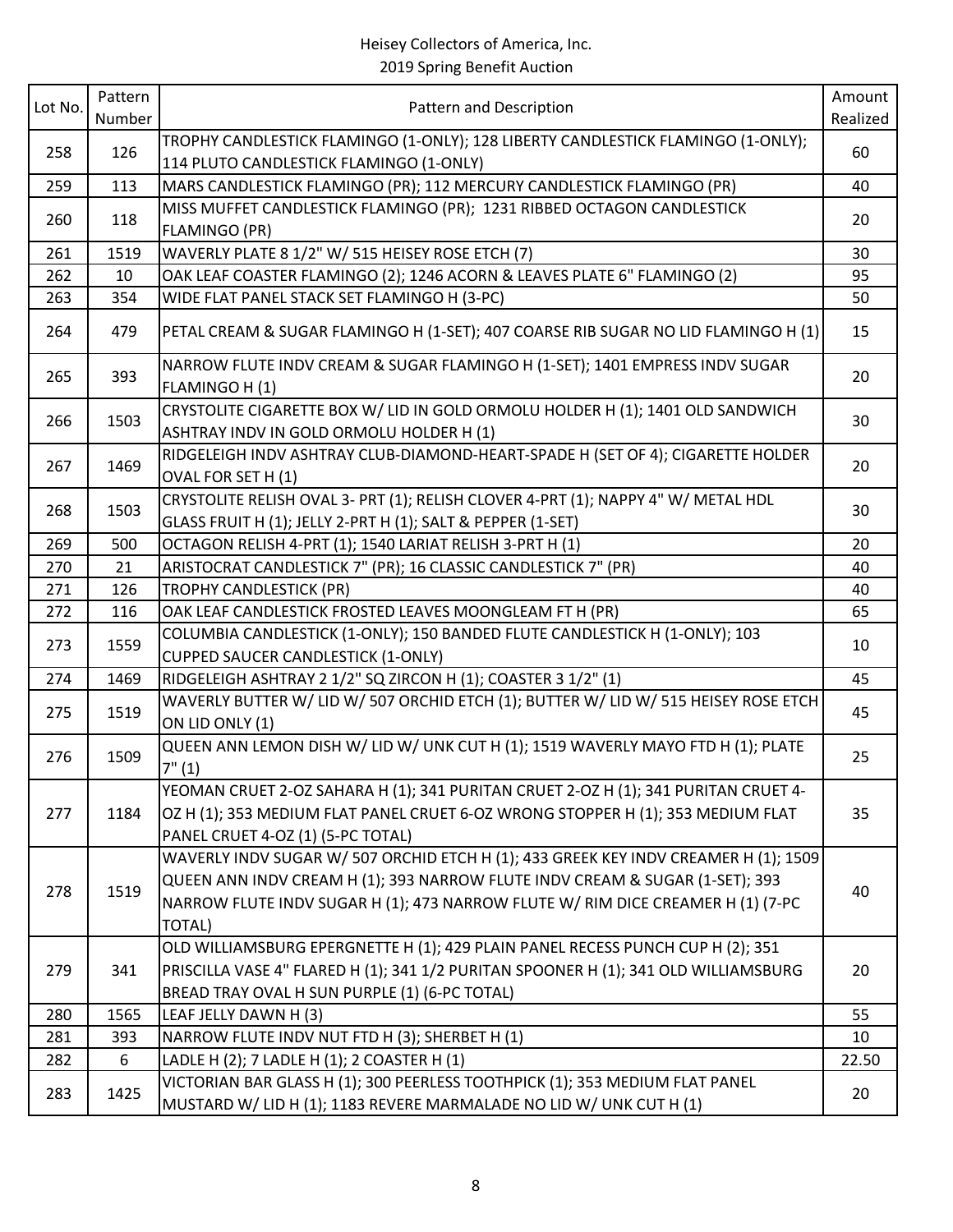| Lot No. | Pattern<br>Number | Pattern and Description                                                                                                                                                                                                                                                 | Amount<br>Realized |
|---------|-------------------|-------------------------------------------------------------------------------------------------------------------------------------------------------------------------------------------------------------------------------------------------------------------------|--------------------|
| 258     | 126               | TROPHY CANDLESTICK FLAMINGO (1-ONLY); 128 LIBERTY CANDLESTICK FLAMINGO (1-ONLY);<br>114 PLUTO CANDLESTICK FLAMINGO (1-ONLY)                                                                                                                                             | 60                 |
| 259     | 113               | MARS CANDLESTICK FLAMINGO (PR); 112 MERCURY CANDLESTICK FLAMINGO (PR)                                                                                                                                                                                                   | 40                 |
| 260     | 118               | MISS MUFFET CANDLESTICK FLAMINGO (PR); 1231 RIBBED OCTAGON CANDLESTICK<br><b>FLAMINGO (PR)</b>                                                                                                                                                                          | 20                 |
| 261     | 1519              | WAVERLY PLATE 8 1/2" W/ 515 HEISEY ROSE ETCH (7)                                                                                                                                                                                                                        | 30                 |
| 262     | 10                | OAK LEAF COASTER FLAMINGO (2); 1246 ACORN & LEAVES PLATE 6" FLAMINGO (2)                                                                                                                                                                                                | 95                 |
| 263     | 354               | WIDE FLAT PANEL STACK SET FLAMINGO H (3-PC)                                                                                                                                                                                                                             | 50                 |
| 264     | 479               | PETAL CREAM & SUGAR FLAMINGO H (1-SET); 407 COARSE RIB SUGAR NO LID FLAMINGO H (1)                                                                                                                                                                                      | 15                 |
| 265     | 393               | NARROW FLUTE INDV CREAM & SUGAR FLAMINGO H (1-SET); 1401 EMPRESS INDV SUGAR<br>FLAMINGO H (1)                                                                                                                                                                           | 20                 |
| 266     | 1503              | CRYSTOLITE CIGARETTE BOX W/ LID IN GOLD ORMOLU HOLDER H (1); 1401 OLD SANDWICH<br>ASHTRAY INDV IN GOLD ORMOLU HOLDER H (1)                                                                                                                                              | 30                 |
| 267     | 1469              | RIDGELEIGH INDV ASHTRAY CLUB-DIAMOND-HEART-SPADE H (SET OF 4); CIGARETTE HOLDER<br>OVAL FOR SET H (1)                                                                                                                                                                   | 20                 |
| 268     | 1503              | CRYSTOLITE RELISH OVAL 3- PRT (1); RELISH CLOVER 4-PRT (1); NAPPY 4" W/ METAL HDL<br>GLASS FRUIT H (1); JELLY 2-PRT H (1); SALT & PEPPER (1-SET)                                                                                                                        | 30                 |
| 269     | 500               | OCTAGON RELISH 4-PRT (1); 1540 LARIAT RELISH 3-PRT H (1)                                                                                                                                                                                                                | 20                 |
| 270     | 21                | ARISTOCRAT CANDLESTICK 7" (PR); 16 CLASSIC CANDLESTICK 7" (PR)                                                                                                                                                                                                          | 40                 |
| 271     | 126               | <b>TROPHY CANDLESTICK (PR)</b>                                                                                                                                                                                                                                          | 40                 |
| 272     | 116               | OAK LEAF CANDLESTICK FROSTED LEAVES MOONGLEAM FT H (PR)                                                                                                                                                                                                                 | 65                 |
| 273     | 1559              | COLUMBIA CANDLESTICK (1-ONLY); 150 BANDED FLUTE CANDLESTICK H (1-ONLY); 103<br><b>CUPPED SAUCER CANDLESTICK (1-ONLY)</b>                                                                                                                                                | 10                 |
| 274     | 1469              | RIDGELEIGH ASHTRAY 2 1/2" SQ ZIRCON H (1); COASTER 3 1/2" (1)                                                                                                                                                                                                           | 45                 |
| 275     | 1519              | WAVERLY BUTTER W/ LID W/ 507 ORCHID ETCH (1); BUTTER W/ LID W/ 515 HEISEY ROSE ETCH<br>ON LID ONLY (1)                                                                                                                                                                  | 45                 |
| 276     | 1509              | QUEEN ANN LEMON DISH W/ LID W/ UNK CUT H (1); 1519 WAVERLY MAYO FTD H (1); PLATE<br>7" (1)                                                                                                                                                                              | 25                 |
| 277     | 1184              | YEOMAN CRUET 2-OZ SAHARA H (1); 341 PURITAN CRUET 2-OZ H (1); 341 PURITAN CRUET 4-<br>OZ H (1); 353 MEDIUM FLAT PANEL CRUET 6-OZ WRONG STOPPER H (1); 353 MEDIUM FLAT<br>PANEL CRUET 4-OZ (1) (5-PC TOTAL)                                                              | 35                 |
| 278     | 1519              | WAVERLY INDV SUGAR W/ 507 ORCHID ETCH H (1); 433 GREEK KEY INDV CREAMER H (1); 1509<br>QUEEN ANN INDV CREAM H (1); 393 NARROW FLUTE INDV CREAM & SUGAR (1-SET); 393<br>NARROW FLUTE INDV SUGAR H (1); 473 NARROW FLUTE W/ RIM DICE CREAMER H (1) (7-PC<br><b>TOTAL)</b> | 40                 |
| 279     | 341               | OLD WILLIAMSBURG EPERGNETTE H (1); 429 PLAIN PANEL RECESS PUNCH CUP H (2); 351<br>PRISCILLA VASE 4" FLARED H (1); 341 1/2 PURITAN SPOONER H (1); 341 OLD WILLIAMSBURG<br>BREAD TRAY OVAL H SUN PURPLE (1) (6-PC TOTAL)                                                  | 20                 |
| 280     | 1565              | LEAF JELLY DAWN H (3)                                                                                                                                                                                                                                                   | 55                 |
| 281     | 393               | NARROW FLUTE INDV NUT FTD H (3); SHERBET H (1)                                                                                                                                                                                                                          | 10                 |
| 282     | 6                 | LADLE H (2); 7 LADLE H (1); 2 COASTER H (1)                                                                                                                                                                                                                             | 22.50              |
| 283     | 1425              | VICTORIAN BAR GLASS H (1); 300 PEERLESS TOOTHPICK (1); 353 MEDIUM FLAT PANEL<br>MUSTARD W/ LID H (1); 1183 REVERE MARMALADE NO LID W/ UNK CUT H (1)                                                                                                                     | 20                 |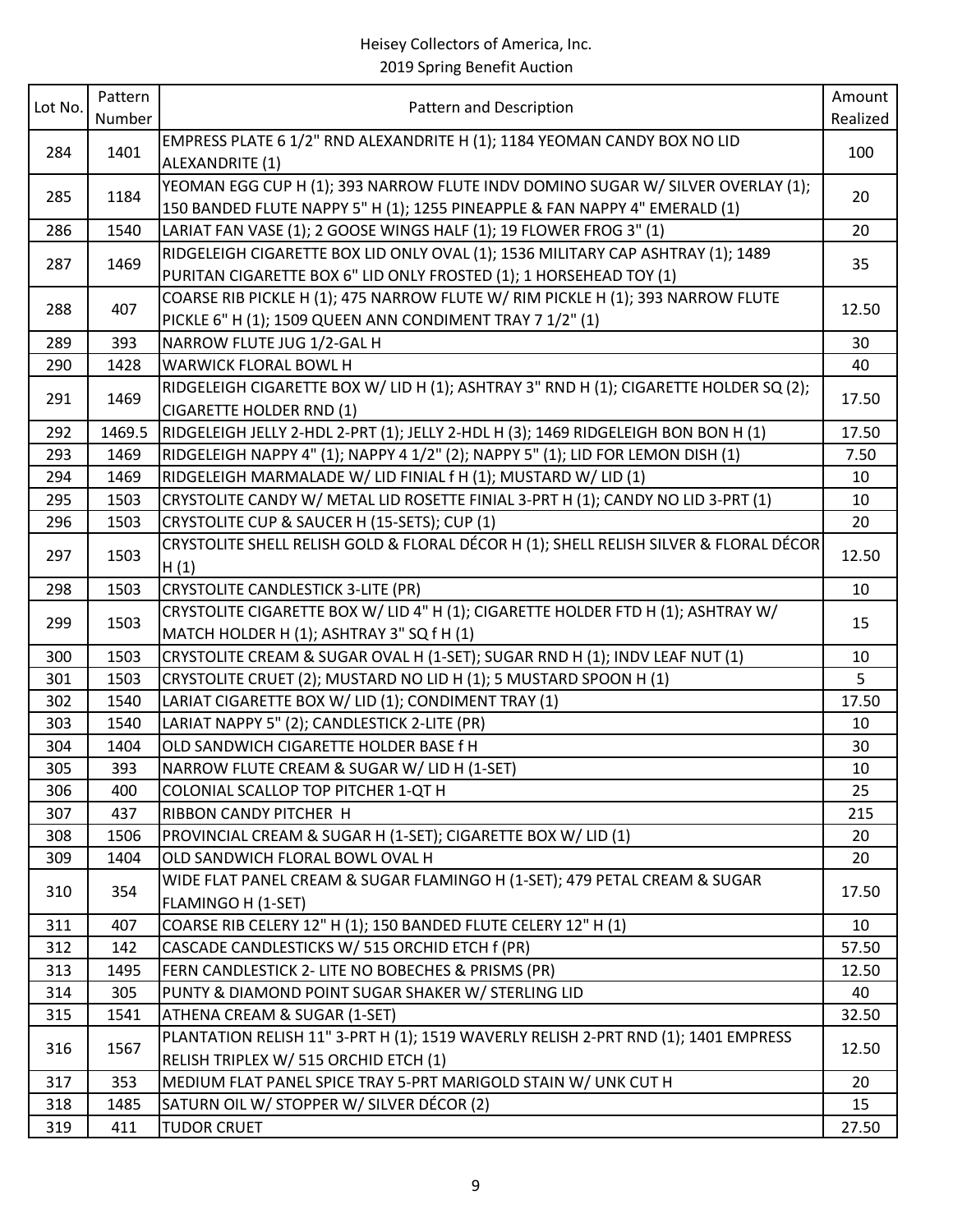| Lot No.    | Pattern      |                                                                                                                                                    | Amount        |
|------------|--------------|----------------------------------------------------------------------------------------------------------------------------------------------------|---------------|
|            | Number       | Pattern and Description                                                                                                                            | Realized      |
| 284        | 1401         | EMPRESS PLATE 6 1/2" RND ALEXANDRITE H (1); 1184 YEOMAN CANDY BOX NO LID                                                                           | 100           |
|            |              | ALEXANDRITE (1)                                                                                                                                    |               |
| 285        | 1184         | YEOMAN EGG CUP H (1); 393 NARROW FLUTE INDV DOMINO SUGAR W/ SILVER OVERLAY (1);                                                                    | 20            |
|            |              | 150 BANDED FLUTE NAPPY 5" H (1); 1255 PINEAPPLE & FAN NAPPY 4" EMERALD (1)                                                                         |               |
| 286        | 1540         | LARIAT FAN VASE (1); 2 GOOSE WINGS HALF (1); 19 FLOWER FROG 3" (1)                                                                                 | 20            |
| 287        | 1469         | RIDGELEIGH CIGARETTE BOX LID ONLY OVAL (1); 1536 MILITARY CAP ASHTRAY (1); 1489                                                                    | 35            |
|            |              | PURITAN CIGARETTE BOX 6" LID ONLY FROSTED (1); 1 HORSEHEAD TOY (1)                                                                                 |               |
| 288        | 407          | COARSE RIB PICKLE H (1); 475 NARROW FLUTE W/ RIM PICKLE H (1); 393 NARROW FLUTE                                                                    | 12.50         |
|            |              | PICKLE 6" H (1); 1509 QUEEN ANN CONDIMENT TRAY 7 1/2" (1)                                                                                          |               |
| 289        | 393          | NARROW FLUTE JUG 1/2-GAL H                                                                                                                         | 30            |
| 290        | 1428         | WARWICK FLORAL BOWL H                                                                                                                              | 40            |
| 291        | 1469         | RIDGELEIGH CIGARETTE BOX W/ LID H (1); ASHTRAY 3" RND H (1); CIGARETTE HOLDER SQ (2);                                                              | 17.50         |
|            |              | <b>CIGARETTE HOLDER RND (1)</b>                                                                                                                    |               |
| 292<br>293 | 1469.5       | RIDGELEIGH JELLY 2-HDL 2-PRT (1); JELLY 2-HDL H (3); 1469 RIDGELEIGH BON BON H (1)                                                                 | 17.50<br>7.50 |
|            | 1469         | RIDGELEIGH NAPPY 4" (1); NAPPY 4 1/2" (2); NAPPY 5" (1); LID FOR LEMON DISH (1)                                                                    |               |
| 294<br>295 | 1469<br>1503 | RIDGELEIGH MARMALADE W/ LID FINIAL f H (1); MUSTARD W/ LID (1)<br>CRYSTOLITE CANDY W/ METAL LID ROSETTE FINIAL 3-PRT H (1); CANDY NO LID 3-PRT (1) | 10<br>10      |
|            |              | CRYSTOLITE CUP & SAUCER H (15-SETS); CUP (1)                                                                                                       | 20            |
| 296        | 1503         | CRYSTOLITE SHELL RELISH GOLD & FLORAL DÉCOR H (1); SHELL RELISH SILVER & FLORAL DÉCOR                                                              |               |
| 297        | 1503         | H(1)                                                                                                                                               | 12.50         |
| 298        | 1503         | <b>CRYSTOLITE CANDLESTICK 3-LITE (PR)</b>                                                                                                          | 10            |
|            |              | CRYSTOLITE CIGARETTE BOX W/ LID 4" H (1); CIGARETTE HOLDER FTD H (1); ASHTRAY W/                                                                   |               |
| 299        | 1503         | MATCH HOLDER H (1); ASHTRAY 3" SQ f H (1)                                                                                                          | 15            |
| 300        | 1503         | CRYSTOLITE CREAM & SUGAR OVAL H (1-SET); SUGAR RND H (1); INDV LEAF NUT (1)                                                                        | 10            |
| 301        | 1503         | CRYSTOLITE CRUET (2); MUSTARD NO LID H (1); 5 MUSTARD SPOON H (1)                                                                                  | 5             |
| 302        | 1540         | LARIAT CIGARETTE BOX W/ LID (1); CONDIMENT TRAY (1)                                                                                                | 17.50         |
| 303        | 1540         | LARIAT NAPPY 5" (2); CANDLESTICK 2-LITE (PR)                                                                                                       | 10            |
| 304        | 1404         | OLD SANDWICH CIGARETTE HOLDER BASE f H                                                                                                             | 30            |
| 305        | 393          | NARROW FLUTE CREAM & SUGAR W/ LID H (1-SET)                                                                                                        | 10            |
| 306        | 400          | COLONIAL SCALLOP TOP PITCHER 1-QT H                                                                                                                | 25            |
| 307        | 437          | RIBBON CANDY PITCHER H                                                                                                                             | 215           |
| 308        | 1506         | PROVINCIAL CREAM & SUGAR H (1-SET); CIGARETTE BOX W/ LID (1)                                                                                       | 20            |
| 309        | 1404         | OLD SANDWICH FLORAL BOWL OVAL H                                                                                                                    | 20            |
| 310        | 354          | WIDE FLAT PANEL CREAM & SUGAR FLAMINGO H (1-SET); 479 PETAL CREAM & SUGAR                                                                          | 17.50         |
|            |              | FLAMINGO H (1-SET)                                                                                                                                 |               |
| 311        | 407          | COARSE RIB CELERY 12" H (1); 150 BANDED FLUTE CELERY 12" H (1)                                                                                     | 10            |
| 312        | 142          | CASCADE CANDLESTICKS W/ 515 ORCHID ETCH f (PR)                                                                                                     | 57.50         |
| 313        | 1495         | FERN CANDLESTICK 2- LITE NO BOBECHES & PRISMS (PR)                                                                                                 | 12.50         |
| 314        | 305          | PUNTY & DIAMOND POINT SUGAR SHAKER W/ STERLING LID                                                                                                 | 40            |
| 315        | 1541         | ATHENA CREAM & SUGAR (1-SET)                                                                                                                       | 32.50         |
| 316        | 1567         | PLANTATION RELISH 11" 3-PRT H (1); 1519 WAVERLY RELISH 2-PRT RND (1); 1401 EMPRESS                                                                 | 12.50         |
|            |              | RELISH TRIPLEX W/ 515 ORCHID ETCH (1)                                                                                                              |               |
| 317        | 353          | MEDIUM FLAT PANEL SPICE TRAY 5-PRT MARIGOLD STAIN W/ UNK CUT H                                                                                     | 20            |
| 318        | 1485         | SATURN OIL W/ STOPPER W/ SILVER DÉCOR (2)                                                                                                          | 15            |
| 319        | 411          | <b>TUDOR CRUET</b>                                                                                                                                 | 27.50         |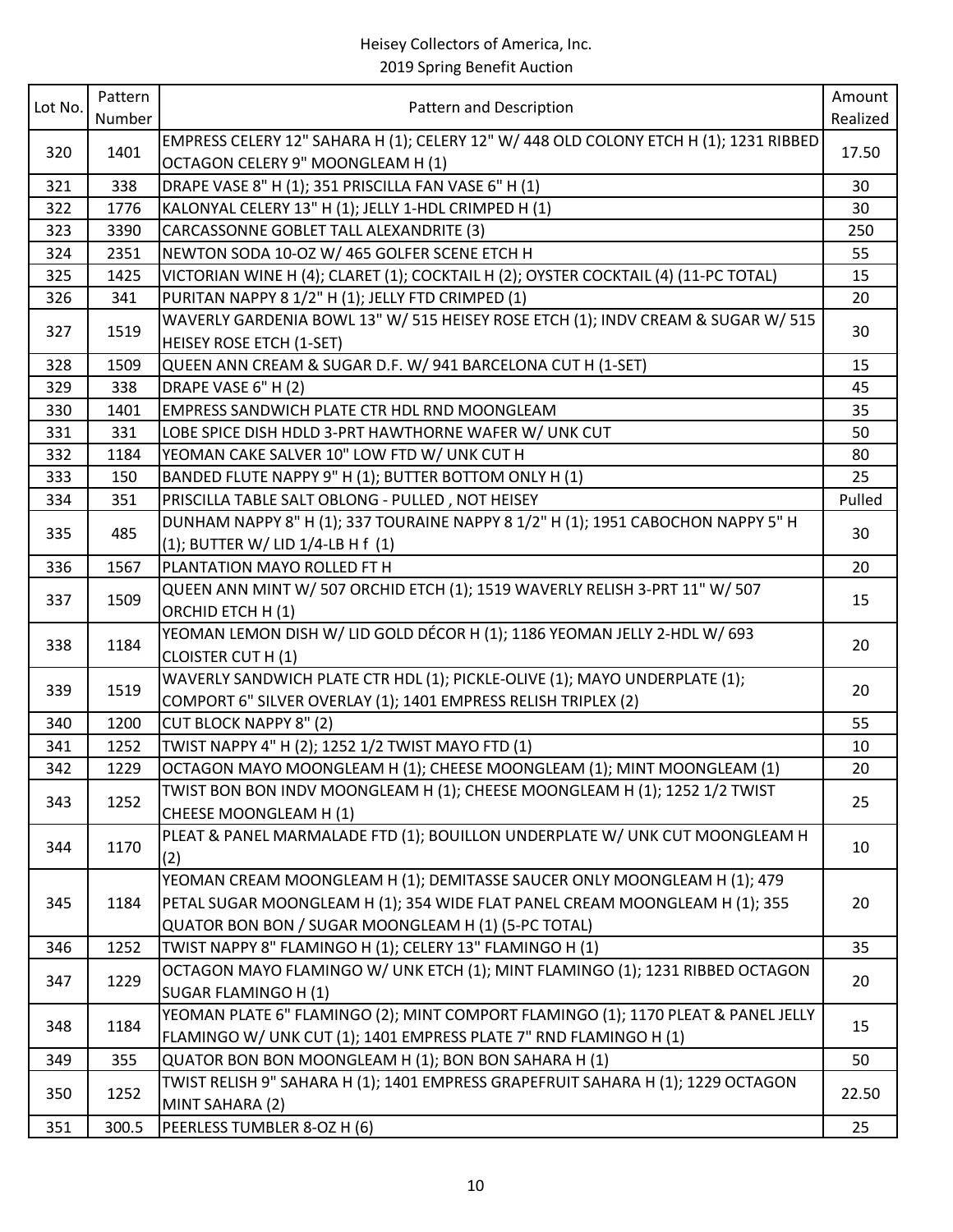# Heisey Collectors of America, Inc.

| Number<br>Realized<br>EMPRESS CELERY 12" SAHARA H (1); CELERY 12" W/ 448 OLD COLONY ETCH H (1); 1231 RIBBED<br>320<br>1401<br>17.50<br>OCTAGON CELERY 9" MOONGLEAM H (1)<br>DRAPE VASE 8" H (1); 351 PRISCILLA FAN VASE 6" H (1)<br>321<br>338<br>30<br>322<br>1776<br>KALONYAL CELERY 13" H (1); JELLY 1-HDL CRIMPED H (1)<br>30<br>323<br>3390<br>CARCASSONNE GOBLET TALL ALEXANDRITE (3)<br>250<br>324<br>NEWTON SODA 10-OZ W/ 465 GOLFER SCENE ETCH H<br>55<br>2351<br>325<br>1425<br>VICTORIAN WINE H (4); CLARET (1); COCKTAIL H (2); OYSTER COCKTAIL (4) (11-PC TOTAL)<br>15<br>326<br>PURITAN NAPPY 8 1/2" H (1); JELLY FTD CRIMPED (1)<br>341<br>20<br>WAVERLY GARDENIA BOWL 13" W/ 515 HEISEY ROSE ETCH (1); INDV CREAM & SUGAR W/ 515<br>327<br>1519<br>30<br><b>HEISEY ROSE ETCH (1-SET)</b><br>328<br>1509<br>QUEEN ANN CREAM & SUGAR D.F. W/ 941 BARCELONA CUT H (1-SET)<br>15<br>329<br>338<br>DRAPE VASE 6" H (2)<br>45<br>330<br>1401<br>EMPRESS SANDWICH PLATE CTR HDL RND MOONGLEAM<br>35<br>331<br>331<br>LOBE SPICE DISH HDLD 3-PRT HAWTHORNE WAFER W/ UNK CUT<br>50<br>332<br>YEOMAN CAKE SALVER 10" LOW FTD W/ UNK CUT H<br>1184<br>80<br>333<br>BANDED FLUTE NAPPY 9" H (1); BUTTER BOTTOM ONLY H (1)<br>150<br>25<br>PRISCILLA TABLE SALT OBLONG - PULLED, NOT HEISEY<br>334<br>Pulled<br>351<br>DUNHAM NAPPY 8" H (1); 337 TOURAINE NAPPY 8 1/2" H (1); 1951 CABOCHON NAPPY 5" H<br>335<br>485<br>30<br>$(1)$ ; BUTTER W/ LID $1/4$ -LB H f $(1)$<br>PLANTATION MAYO ROLLED FT H<br>336<br>1567<br>20<br>QUEEN ANN MINT W/ 507 ORCHID ETCH (1); 1519 WAVERLY RELISH 3-PRT 11" W/ 507<br>337<br>1509<br>15<br>ORCHID ETCH H (1)<br>YEOMAN LEMON DISH W/ LID GOLD DÉCOR H (1); 1186 YEOMAN JELLY 2-HDL W/ 693<br>338<br>1184<br>20<br><b>CLOISTER CUT H (1)</b><br>WAVERLY SANDWICH PLATE CTR HDL (1); PICKLE-OLIVE (1); MAYO UNDERPLATE (1);<br>339<br>1519<br>20<br>COMPORT 6" SILVER OVERLAY (1); 1401 EMPRESS RELISH TRIPLEX (2)<br><b>CUT BLOCK NAPPY 8" (2)</b><br>340<br>1200<br>55<br>TWIST NAPPY 4" H (2); 1252 1/2 TWIST MAYO FTD (1)<br>341<br>1252<br>10<br>OCTAGON MAYO MOONGLEAM H (1); CHEESE MOONGLEAM (1); MINT MOONGLEAM (1)<br>342<br>1229<br>20<br>TWIST BON BON INDV MOONGLEAM H (1); CHEESE MOONGLEAM H (1); 1252 1/2 TWIST<br>1252<br>343<br>25<br>CHEESE MOONGLEAM H (1)<br>PLEAT & PANEL MARMALADE FTD (1); BOUILLON UNDERPLATE W/ UNK CUT MOONGLEAM H<br>344<br>1170<br>10<br>(2)<br>YEOMAN CREAM MOONGLEAM H (1); DEMITASSE SAUCER ONLY MOONGLEAM H (1); 479<br>PETAL SUGAR MOONGLEAM H (1); 354 WIDE FLAT PANEL CREAM MOONGLEAM H (1); 355<br>345<br>1184<br>20<br>QUATOR BON BON / SUGAR MOONGLEAM H (1) (5-PC TOTAL)<br>TWIST NAPPY 8" FLAMINGO H (1); CELERY 13" FLAMINGO H (1)<br>1252<br>35<br>346<br>OCTAGON MAYO FLAMINGO W/ UNK ETCH (1); MINT FLAMINGO (1); 1231 RIBBED OCTAGON<br>1229<br>20<br>347<br>SUGAR FLAMINGO H (1)<br>YEOMAN PLATE 6" FLAMINGO (2); MINT COMPORT FLAMINGO (1); 1170 PLEAT & PANEL JELLY<br>348<br>1184<br>15<br>FLAMINGO W/ UNK CUT (1); 1401 EMPRESS PLATE 7" RND FLAMINGO H (1)<br>QUATOR BON BON MOONGLEAM H (1); BON BON SAHARA H (1)<br>349<br>355<br>50<br>TWIST RELISH 9" SAHARA H (1); 1401 EMPRESS GRAPEFRUIT SAHARA H (1); 1229 OCTAGON<br>1252<br>350<br>22.50<br>MINT SAHARA (2)<br>351<br>300.5<br>PEERLESS TUMBLER 8-OZ H (6)<br>25 | Lot No. | Pattern |                         | Amount |
|------------------------------------------------------------------------------------------------------------------------------------------------------------------------------------------------------------------------------------------------------------------------------------------------------------------------------------------------------------------------------------------------------------------------------------------------------------------------------------------------------------------------------------------------------------------------------------------------------------------------------------------------------------------------------------------------------------------------------------------------------------------------------------------------------------------------------------------------------------------------------------------------------------------------------------------------------------------------------------------------------------------------------------------------------------------------------------------------------------------------------------------------------------------------------------------------------------------------------------------------------------------------------------------------------------------------------------------------------------------------------------------------------------------------------------------------------------------------------------------------------------------------------------------------------------------------------------------------------------------------------------------------------------------------------------------------------------------------------------------------------------------------------------------------------------------------------------------------------------------------------------------------------------------------------------------------------------------------------------------------------------------------------------------------------------------------------------------------------------------------------------------------------------------------------------------------------------------------------------------------------------------------------------------------------------------------------------------------------------------------------------------------------------------------------------------------------------------------------------------------------------------------------------------------------------------------------------------------------------------------------------------------------------------------------------------------------------------------------------------------------------------------------------------------------------------------------------------------------------------------------------------------------------------------------------------------------------------------------------------------------------------------------------------------------------------------------------------------------------------------------------------------------------------------------------------------------------------------------------------------------------------------------------------------------------------------------------------|---------|---------|-------------------------|--------|
|                                                                                                                                                                                                                                                                                                                                                                                                                                                                                                                                                                                                                                                                                                                                                                                                                                                                                                                                                                                                                                                                                                                                                                                                                                                                                                                                                                                                                                                                                                                                                                                                                                                                                                                                                                                                                                                                                                                                                                                                                                                                                                                                                                                                                                                                                                                                                                                                                                                                                                                                                                                                                                                                                                                                                                                                                                                                                                                                                                                                                                                                                                                                                                                                                                                                                                                                          |         |         | Pattern and Description |        |
|                                                                                                                                                                                                                                                                                                                                                                                                                                                                                                                                                                                                                                                                                                                                                                                                                                                                                                                                                                                                                                                                                                                                                                                                                                                                                                                                                                                                                                                                                                                                                                                                                                                                                                                                                                                                                                                                                                                                                                                                                                                                                                                                                                                                                                                                                                                                                                                                                                                                                                                                                                                                                                                                                                                                                                                                                                                                                                                                                                                                                                                                                                                                                                                                                                                                                                                                          |         |         |                         |        |
|                                                                                                                                                                                                                                                                                                                                                                                                                                                                                                                                                                                                                                                                                                                                                                                                                                                                                                                                                                                                                                                                                                                                                                                                                                                                                                                                                                                                                                                                                                                                                                                                                                                                                                                                                                                                                                                                                                                                                                                                                                                                                                                                                                                                                                                                                                                                                                                                                                                                                                                                                                                                                                                                                                                                                                                                                                                                                                                                                                                                                                                                                                                                                                                                                                                                                                                                          |         |         |                         |        |
|                                                                                                                                                                                                                                                                                                                                                                                                                                                                                                                                                                                                                                                                                                                                                                                                                                                                                                                                                                                                                                                                                                                                                                                                                                                                                                                                                                                                                                                                                                                                                                                                                                                                                                                                                                                                                                                                                                                                                                                                                                                                                                                                                                                                                                                                                                                                                                                                                                                                                                                                                                                                                                                                                                                                                                                                                                                                                                                                                                                                                                                                                                                                                                                                                                                                                                                                          |         |         |                         |        |
|                                                                                                                                                                                                                                                                                                                                                                                                                                                                                                                                                                                                                                                                                                                                                                                                                                                                                                                                                                                                                                                                                                                                                                                                                                                                                                                                                                                                                                                                                                                                                                                                                                                                                                                                                                                                                                                                                                                                                                                                                                                                                                                                                                                                                                                                                                                                                                                                                                                                                                                                                                                                                                                                                                                                                                                                                                                                                                                                                                                                                                                                                                                                                                                                                                                                                                                                          |         |         |                         |        |
|                                                                                                                                                                                                                                                                                                                                                                                                                                                                                                                                                                                                                                                                                                                                                                                                                                                                                                                                                                                                                                                                                                                                                                                                                                                                                                                                                                                                                                                                                                                                                                                                                                                                                                                                                                                                                                                                                                                                                                                                                                                                                                                                                                                                                                                                                                                                                                                                                                                                                                                                                                                                                                                                                                                                                                                                                                                                                                                                                                                                                                                                                                                                                                                                                                                                                                                                          |         |         |                         |        |
|                                                                                                                                                                                                                                                                                                                                                                                                                                                                                                                                                                                                                                                                                                                                                                                                                                                                                                                                                                                                                                                                                                                                                                                                                                                                                                                                                                                                                                                                                                                                                                                                                                                                                                                                                                                                                                                                                                                                                                                                                                                                                                                                                                                                                                                                                                                                                                                                                                                                                                                                                                                                                                                                                                                                                                                                                                                                                                                                                                                                                                                                                                                                                                                                                                                                                                                                          |         |         |                         |        |
|                                                                                                                                                                                                                                                                                                                                                                                                                                                                                                                                                                                                                                                                                                                                                                                                                                                                                                                                                                                                                                                                                                                                                                                                                                                                                                                                                                                                                                                                                                                                                                                                                                                                                                                                                                                                                                                                                                                                                                                                                                                                                                                                                                                                                                                                                                                                                                                                                                                                                                                                                                                                                                                                                                                                                                                                                                                                                                                                                                                                                                                                                                                                                                                                                                                                                                                                          |         |         |                         |        |
|                                                                                                                                                                                                                                                                                                                                                                                                                                                                                                                                                                                                                                                                                                                                                                                                                                                                                                                                                                                                                                                                                                                                                                                                                                                                                                                                                                                                                                                                                                                                                                                                                                                                                                                                                                                                                                                                                                                                                                                                                                                                                                                                                                                                                                                                                                                                                                                                                                                                                                                                                                                                                                                                                                                                                                                                                                                                                                                                                                                                                                                                                                                                                                                                                                                                                                                                          |         |         |                         |        |
|                                                                                                                                                                                                                                                                                                                                                                                                                                                                                                                                                                                                                                                                                                                                                                                                                                                                                                                                                                                                                                                                                                                                                                                                                                                                                                                                                                                                                                                                                                                                                                                                                                                                                                                                                                                                                                                                                                                                                                                                                                                                                                                                                                                                                                                                                                                                                                                                                                                                                                                                                                                                                                                                                                                                                                                                                                                                                                                                                                                                                                                                                                                                                                                                                                                                                                                                          |         |         |                         |        |
|                                                                                                                                                                                                                                                                                                                                                                                                                                                                                                                                                                                                                                                                                                                                                                                                                                                                                                                                                                                                                                                                                                                                                                                                                                                                                                                                                                                                                                                                                                                                                                                                                                                                                                                                                                                                                                                                                                                                                                                                                                                                                                                                                                                                                                                                                                                                                                                                                                                                                                                                                                                                                                                                                                                                                                                                                                                                                                                                                                                                                                                                                                                                                                                                                                                                                                                                          |         |         |                         |        |
|                                                                                                                                                                                                                                                                                                                                                                                                                                                                                                                                                                                                                                                                                                                                                                                                                                                                                                                                                                                                                                                                                                                                                                                                                                                                                                                                                                                                                                                                                                                                                                                                                                                                                                                                                                                                                                                                                                                                                                                                                                                                                                                                                                                                                                                                                                                                                                                                                                                                                                                                                                                                                                                                                                                                                                                                                                                                                                                                                                                                                                                                                                                                                                                                                                                                                                                                          |         |         |                         |        |
|                                                                                                                                                                                                                                                                                                                                                                                                                                                                                                                                                                                                                                                                                                                                                                                                                                                                                                                                                                                                                                                                                                                                                                                                                                                                                                                                                                                                                                                                                                                                                                                                                                                                                                                                                                                                                                                                                                                                                                                                                                                                                                                                                                                                                                                                                                                                                                                                                                                                                                                                                                                                                                                                                                                                                                                                                                                                                                                                                                                                                                                                                                                                                                                                                                                                                                                                          |         |         |                         |        |
|                                                                                                                                                                                                                                                                                                                                                                                                                                                                                                                                                                                                                                                                                                                                                                                                                                                                                                                                                                                                                                                                                                                                                                                                                                                                                                                                                                                                                                                                                                                                                                                                                                                                                                                                                                                                                                                                                                                                                                                                                                                                                                                                                                                                                                                                                                                                                                                                                                                                                                                                                                                                                                                                                                                                                                                                                                                                                                                                                                                                                                                                                                                                                                                                                                                                                                                                          |         |         |                         |        |
|                                                                                                                                                                                                                                                                                                                                                                                                                                                                                                                                                                                                                                                                                                                                                                                                                                                                                                                                                                                                                                                                                                                                                                                                                                                                                                                                                                                                                                                                                                                                                                                                                                                                                                                                                                                                                                                                                                                                                                                                                                                                                                                                                                                                                                                                                                                                                                                                                                                                                                                                                                                                                                                                                                                                                                                                                                                                                                                                                                                                                                                                                                                                                                                                                                                                                                                                          |         |         |                         |        |
|                                                                                                                                                                                                                                                                                                                                                                                                                                                                                                                                                                                                                                                                                                                                                                                                                                                                                                                                                                                                                                                                                                                                                                                                                                                                                                                                                                                                                                                                                                                                                                                                                                                                                                                                                                                                                                                                                                                                                                                                                                                                                                                                                                                                                                                                                                                                                                                                                                                                                                                                                                                                                                                                                                                                                                                                                                                                                                                                                                                                                                                                                                                                                                                                                                                                                                                                          |         |         |                         |        |
|                                                                                                                                                                                                                                                                                                                                                                                                                                                                                                                                                                                                                                                                                                                                                                                                                                                                                                                                                                                                                                                                                                                                                                                                                                                                                                                                                                                                                                                                                                                                                                                                                                                                                                                                                                                                                                                                                                                                                                                                                                                                                                                                                                                                                                                                                                                                                                                                                                                                                                                                                                                                                                                                                                                                                                                                                                                                                                                                                                                                                                                                                                                                                                                                                                                                                                                                          |         |         |                         |        |
|                                                                                                                                                                                                                                                                                                                                                                                                                                                                                                                                                                                                                                                                                                                                                                                                                                                                                                                                                                                                                                                                                                                                                                                                                                                                                                                                                                                                                                                                                                                                                                                                                                                                                                                                                                                                                                                                                                                                                                                                                                                                                                                                                                                                                                                                                                                                                                                                                                                                                                                                                                                                                                                                                                                                                                                                                                                                                                                                                                                                                                                                                                                                                                                                                                                                                                                                          |         |         |                         |        |
|                                                                                                                                                                                                                                                                                                                                                                                                                                                                                                                                                                                                                                                                                                                                                                                                                                                                                                                                                                                                                                                                                                                                                                                                                                                                                                                                                                                                                                                                                                                                                                                                                                                                                                                                                                                                                                                                                                                                                                                                                                                                                                                                                                                                                                                                                                                                                                                                                                                                                                                                                                                                                                                                                                                                                                                                                                                                                                                                                                                                                                                                                                                                                                                                                                                                                                                                          |         |         |                         |        |
|                                                                                                                                                                                                                                                                                                                                                                                                                                                                                                                                                                                                                                                                                                                                                                                                                                                                                                                                                                                                                                                                                                                                                                                                                                                                                                                                                                                                                                                                                                                                                                                                                                                                                                                                                                                                                                                                                                                                                                                                                                                                                                                                                                                                                                                                                                                                                                                                                                                                                                                                                                                                                                                                                                                                                                                                                                                                                                                                                                                                                                                                                                                                                                                                                                                                                                                                          |         |         |                         |        |
|                                                                                                                                                                                                                                                                                                                                                                                                                                                                                                                                                                                                                                                                                                                                                                                                                                                                                                                                                                                                                                                                                                                                                                                                                                                                                                                                                                                                                                                                                                                                                                                                                                                                                                                                                                                                                                                                                                                                                                                                                                                                                                                                                                                                                                                                                                                                                                                                                                                                                                                                                                                                                                                                                                                                                                                                                                                                                                                                                                                                                                                                                                                                                                                                                                                                                                                                          |         |         |                         |        |
|                                                                                                                                                                                                                                                                                                                                                                                                                                                                                                                                                                                                                                                                                                                                                                                                                                                                                                                                                                                                                                                                                                                                                                                                                                                                                                                                                                                                                                                                                                                                                                                                                                                                                                                                                                                                                                                                                                                                                                                                                                                                                                                                                                                                                                                                                                                                                                                                                                                                                                                                                                                                                                                                                                                                                                                                                                                                                                                                                                                                                                                                                                                                                                                                                                                                                                                                          |         |         |                         |        |
|                                                                                                                                                                                                                                                                                                                                                                                                                                                                                                                                                                                                                                                                                                                                                                                                                                                                                                                                                                                                                                                                                                                                                                                                                                                                                                                                                                                                                                                                                                                                                                                                                                                                                                                                                                                                                                                                                                                                                                                                                                                                                                                                                                                                                                                                                                                                                                                                                                                                                                                                                                                                                                                                                                                                                                                                                                                                                                                                                                                                                                                                                                                                                                                                                                                                                                                                          |         |         |                         |        |
|                                                                                                                                                                                                                                                                                                                                                                                                                                                                                                                                                                                                                                                                                                                                                                                                                                                                                                                                                                                                                                                                                                                                                                                                                                                                                                                                                                                                                                                                                                                                                                                                                                                                                                                                                                                                                                                                                                                                                                                                                                                                                                                                                                                                                                                                                                                                                                                                                                                                                                                                                                                                                                                                                                                                                                                                                                                                                                                                                                                                                                                                                                                                                                                                                                                                                                                                          |         |         |                         |        |
|                                                                                                                                                                                                                                                                                                                                                                                                                                                                                                                                                                                                                                                                                                                                                                                                                                                                                                                                                                                                                                                                                                                                                                                                                                                                                                                                                                                                                                                                                                                                                                                                                                                                                                                                                                                                                                                                                                                                                                                                                                                                                                                                                                                                                                                                                                                                                                                                                                                                                                                                                                                                                                                                                                                                                                                                                                                                                                                                                                                                                                                                                                                                                                                                                                                                                                                                          |         |         |                         |        |
|                                                                                                                                                                                                                                                                                                                                                                                                                                                                                                                                                                                                                                                                                                                                                                                                                                                                                                                                                                                                                                                                                                                                                                                                                                                                                                                                                                                                                                                                                                                                                                                                                                                                                                                                                                                                                                                                                                                                                                                                                                                                                                                                                                                                                                                                                                                                                                                                                                                                                                                                                                                                                                                                                                                                                                                                                                                                                                                                                                                                                                                                                                                                                                                                                                                                                                                                          |         |         |                         |        |
|                                                                                                                                                                                                                                                                                                                                                                                                                                                                                                                                                                                                                                                                                                                                                                                                                                                                                                                                                                                                                                                                                                                                                                                                                                                                                                                                                                                                                                                                                                                                                                                                                                                                                                                                                                                                                                                                                                                                                                                                                                                                                                                                                                                                                                                                                                                                                                                                                                                                                                                                                                                                                                                                                                                                                                                                                                                                                                                                                                                                                                                                                                                                                                                                                                                                                                                                          |         |         |                         |        |
|                                                                                                                                                                                                                                                                                                                                                                                                                                                                                                                                                                                                                                                                                                                                                                                                                                                                                                                                                                                                                                                                                                                                                                                                                                                                                                                                                                                                                                                                                                                                                                                                                                                                                                                                                                                                                                                                                                                                                                                                                                                                                                                                                                                                                                                                                                                                                                                                                                                                                                                                                                                                                                                                                                                                                                                                                                                                                                                                                                                                                                                                                                                                                                                                                                                                                                                                          |         |         |                         |        |
|                                                                                                                                                                                                                                                                                                                                                                                                                                                                                                                                                                                                                                                                                                                                                                                                                                                                                                                                                                                                                                                                                                                                                                                                                                                                                                                                                                                                                                                                                                                                                                                                                                                                                                                                                                                                                                                                                                                                                                                                                                                                                                                                                                                                                                                                                                                                                                                                                                                                                                                                                                                                                                                                                                                                                                                                                                                                                                                                                                                                                                                                                                                                                                                                                                                                                                                                          |         |         |                         |        |
|                                                                                                                                                                                                                                                                                                                                                                                                                                                                                                                                                                                                                                                                                                                                                                                                                                                                                                                                                                                                                                                                                                                                                                                                                                                                                                                                                                                                                                                                                                                                                                                                                                                                                                                                                                                                                                                                                                                                                                                                                                                                                                                                                                                                                                                                                                                                                                                                                                                                                                                                                                                                                                                                                                                                                                                                                                                                                                                                                                                                                                                                                                                                                                                                                                                                                                                                          |         |         |                         |        |
|                                                                                                                                                                                                                                                                                                                                                                                                                                                                                                                                                                                                                                                                                                                                                                                                                                                                                                                                                                                                                                                                                                                                                                                                                                                                                                                                                                                                                                                                                                                                                                                                                                                                                                                                                                                                                                                                                                                                                                                                                                                                                                                                                                                                                                                                                                                                                                                                                                                                                                                                                                                                                                                                                                                                                                                                                                                                                                                                                                                                                                                                                                                                                                                                                                                                                                                                          |         |         |                         |        |
|                                                                                                                                                                                                                                                                                                                                                                                                                                                                                                                                                                                                                                                                                                                                                                                                                                                                                                                                                                                                                                                                                                                                                                                                                                                                                                                                                                                                                                                                                                                                                                                                                                                                                                                                                                                                                                                                                                                                                                                                                                                                                                                                                                                                                                                                                                                                                                                                                                                                                                                                                                                                                                                                                                                                                                                                                                                                                                                                                                                                                                                                                                                                                                                                                                                                                                                                          |         |         |                         |        |
|                                                                                                                                                                                                                                                                                                                                                                                                                                                                                                                                                                                                                                                                                                                                                                                                                                                                                                                                                                                                                                                                                                                                                                                                                                                                                                                                                                                                                                                                                                                                                                                                                                                                                                                                                                                                                                                                                                                                                                                                                                                                                                                                                                                                                                                                                                                                                                                                                                                                                                                                                                                                                                                                                                                                                                                                                                                                                                                                                                                                                                                                                                                                                                                                                                                                                                                                          |         |         |                         |        |
|                                                                                                                                                                                                                                                                                                                                                                                                                                                                                                                                                                                                                                                                                                                                                                                                                                                                                                                                                                                                                                                                                                                                                                                                                                                                                                                                                                                                                                                                                                                                                                                                                                                                                                                                                                                                                                                                                                                                                                                                                                                                                                                                                                                                                                                                                                                                                                                                                                                                                                                                                                                                                                                                                                                                                                                                                                                                                                                                                                                                                                                                                                                                                                                                                                                                                                                                          |         |         |                         |        |
|                                                                                                                                                                                                                                                                                                                                                                                                                                                                                                                                                                                                                                                                                                                                                                                                                                                                                                                                                                                                                                                                                                                                                                                                                                                                                                                                                                                                                                                                                                                                                                                                                                                                                                                                                                                                                                                                                                                                                                                                                                                                                                                                                                                                                                                                                                                                                                                                                                                                                                                                                                                                                                                                                                                                                                                                                                                                                                                                                                                                                                                                                                                                                                                                                                                                                                                                          |         |         |                         |        |
|                                                                                                                                                                                                                                                                                                                                                                                                                                                                                                                                                                                                                                                                                                                                                                                                                                                                                                                                                                                                                                                                                                                                                                                                                                                                                                                                                                                                                                                                                                                                                                                                                                                                                                                                                                                                                                                                                                                                                                                                                                                                                                                                                                                                                                                                                                                                                                                                                                                                                                                                                                                                                                                                                                                                                                                                                                                                                                                                                                                                                                                                                                                                                                                                                                                                                                                                          |         |         |                         |        |
|                                                                                                                                                                                                                                                                                                                                                                                                                                                                                                                                                                                                                                                                                                                                                                                                                                                                                                                                                                                                                                                                                                                                                                                                                                                                                                                                                                                                                                                                                                                                                                                                                                                                                                                                                                                                                                                                                                                                                                                                                                                                                                                                                                                                                                                                                                                                                                                                                                                                                                                                                                                                                                                                                                                                                                                                                                                                                                                                                                                                                                                                                                                                                                                                                                                                                                                                          |         |         |                         |        |
|                                                                                                                                                                                                                                                                                                                                                                                                                                                                                                                                                                                                                                                                                                                                                                                                                                                                                                                                                                                                                                                                                                                                                                                                                                                                                                                                                                                                                                                                                                                                                                                                                                                                                                                                                                                                                                                                                                                                                                                                                                                                                                                                                                                                                                                                                                                                                                                                                                                                                                                                                                                                                                                                                                                                                                                                                                                                                                                                                                                                                                                                                                                                                                                                                                                                                                                                          |         |         |                         |        |
|                                                                                                                                                                                                                                                                                                                                                                                                                                                                                                                                                                                                                                                                                                                                                                                                                                                                                                                                                                                                                                                                                                                                                                                                                                                                                                                                                                                                                                                                                                                                                                                                                                                                                                                                                                                                                                                                                                                                                                                                                                                                                                                                                                                                                                                                                                                                                                                                                                                                                                                                                                                                                                                                                                                                                                                                                                                                                                                                                                                                                                                                                                                                                                                                                                                                                                                                          |         |         |                         |        |
|                                                                                                                                                                                                                                                                                                                                                                                                                                                                                                                                                                                                                                                                                                                                                                                                                                                                                                                                                                                                                                                                                                                                                                                                                                                                                                                                                                                                                                                                                                                                                                                                                                                                                                                                                                                                                                                                                                                                                                                                                                                                                                                                                                                                                                                                                                                                                                                                                                                                                                                                                                                                                                                                                                                                                                                                                                                                                                                                                                                                                                                                                                                                                                                                                                                                                                                                          |         |         |                         |        |
|                                                                                                                                                                                                                                                                                                                                                                                                                                                                                                                                                                                                                                                                                                                                                                                                                                                                                                                                                                                                                                                                                                                                                                                                                                                                                                                                                                                                                                                                                                                                                                                                                                                                                                                                                                                                                                                                                                                                                                                                                                                                                                                                                                                                                                                                                                                                                                                                                                                                                                                                                                                                                                                                                                                                                                                                                                                                                                                                                                                                                                                                                                                                                                                                                                                                                                                                          |         |         |                         |        |
|                                                                                                                                                                                                                                                                                                                                                                                                                                                                                                                                                                                                                                                                                                                                                                                                                                                                                                                                                                                                                                                                                                                                                                                                                                                                                                                                                                                                                                                                                                                                                                                                                                                                                                                                                                                                                                                                                                                                                                                                                                                                                                                                                                                                                                                                                                                                                                                                                                                                                                                                                                                                                                                                                                                                                                                                                                                                                                                                                                                                                                                                                                                                                                                                                                                                                                                                          |         |         |                         |        |
|                                                                                                                                                                                                                                                                                                                                                                                                                                                                                                                                                                                                                                                                                                                                                                                                                                                                                                                                                                                                                                                                                                                                                                                                                                                                                                                                                                                                                                                                                                                                                                                                                                                                                                                                                                                                                                                                                                                                                                                                                                                                                                                                                                                                                                                                                                                                                                                                                                                                                                                                                                                                                                                                                                                                                                                                                                                                                                                                                                                                                                                                                                                                                                                                                                                                                                                                          |         |         |                         |        |
|                                                                                                                                                                                                                                                                                                                                                                                                                                                                                                                                                                                                                                                                                                                                                                                                                                                                                                                                                                                                                                                                                                                                                                                                                                                                                                                                                                                                                                                                                                                                                                                                                                                                                                                                                                                                                                                                                                                                                                                                                                                                                                                                                                                                                                                                                                                                                                                                                                                                                                                                                                                                                                                                                                                                                                                                                                                                                                                                                                                                                                                                                                                                                                                                                                                                                                                                          |         |         |                         |        |
|                                                                                                                                                                                                                                                                                                                                                                                                                                                                                                                                                                                                                                                                                                                                                                                                                                                                                                                                                                                                                                                                                                                                                                                                                                                                                                                                                                                                                                                                                                                                                                                                                                                                                                                                                                                                                                                                                                                                                                                                                                                                                                                                                                                                                                                                                                                                                                                                                                                                                                                                                                                                                                                                                                                                                                                                                                                                                                                                                                                                                                                                                                                                                                                                                                                                                                                                          |         |         |                         |        |
|                                                                                                                                                                                                                                                                                                                                                                                                                                                                                                                                                                                                                                                                                                                                                                                                                                                                                                                                                                                                                                                                                                                                                                                                                                                                                                                                                                                                                                                                                                                                                                                                                                                                                                                                                                                                                                                                                                                                                                                                                                                                                                                                                                                                                                                                                                                                                                                                                                                                                                                                                                                                                                                                                                                                                                                                                                                                                                                                                                                                                                                                                                                                                                                                                                                                                                                                          |         |         |                         |        |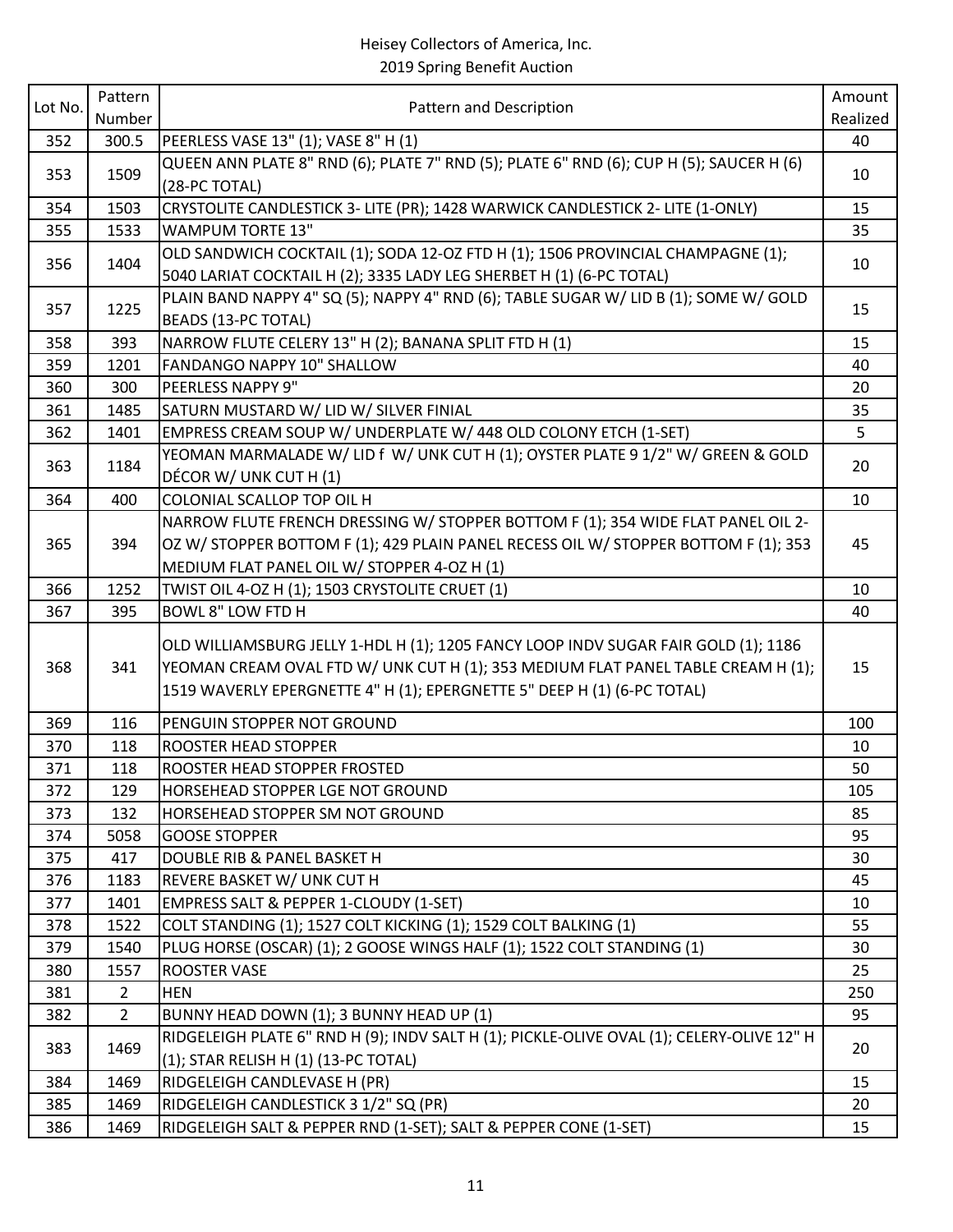|         | Pattern        |                                                                                           | Amount   |
|---------|----------------|-------------------------------------------------------------------------------------------|----------|
| Lot No. | Number         | Pattern and Description                                                                   | Realized |
| 352     | 300.5          | PEERLESS VASE 13" (1); VASE 8" H (1)                                                      | 40       |
|         |                | QUEEN ANN PLATE 8" RND (6); PLATE 7" RND (5); PLATE 6" RND (6); CUP H (5); SAUCER H (6)   |          |
| 353     | 1509           | (28-PC TOTAL)                                                                             | 10       |
| 354     | 1503           | CRYSTOLITE CANDLESTICK 3- LITE (PR); 1428 WARWICK CANDLESTICK 2- LITE (1-ONLY)            | 15       |
| 355     | 1533           | <b>WAMPUM TORTE 13"</b>                                                                   | 35       |
|         |                | OLD SANDWICH COCKTAIL (1); SODA 12-OZ FTD H (1); 1506 PROVINCIAL CHAMPAGNE (1);           |          |
| 356     | 1404           | 5040 LARIAT COCKTAIL H (2); 3335 LADY LEG SHERBET H (1) (6-PC TOTAL)                      | 10       |
|         |                | PLAIN BAND NAPPY 4" SQ (5); NAPPY 4" RND (6); TABLE SUGAR W/ LID B (1); SOME W/ GOLD      |          |
| 357     | 1225           | <b>BEADS (13-PC TOTAL)</b>                                                                | 15       |
| 358     | 393            | NARROW FLUTE CELERY 13" H (2); BANANA SPLIT FTD H (1)                                     | 15       |
| 359     | 1201           | FANDANGO NAPPY 10" SHALLOW                                                                | 40       |
| 360     | 300            | PEERLESS NAPPY 9"                                                                         | 20       |
| 361     | 1485           | SATURN MUSTARD W/ LID W/ SILVER FINIAL                                                    | 35       |
| 362     | 1401           | EMPRESS CREAM SOUP W/ UNDERPLATE W/ 448 OLD COLONY ETCH (1-SET)                           | 5        |
| 363     | 1184           | YEOMAN MARMALADE W/ LID f W/ UNK CUT H (1); OYSTER PLATE 9 1/2" W/ GREEN & GOLD           | 20       |
|         |                | DÉCOR W/ UNK CUT H (1)                                                                    |          |
| 364     | 400            | COLONIAL SCALLOP TOP OIL H                                                                | 10       |
|         |                | NARROW FLUTE FRENCH DRESSING W/ STOPPER BOTTOM F (1); 354 WIDE FLAT PANEL OIL 2-          |          |
| 365     | 394            | OZ W/ STOPPER BOTTOM F (1); 429 PLAIN PANEL RECESS OIL W/ STOPPER BOTTOM F (1); 353       | 45       |
|         |                | MEDIUM FLAT PANEL OIL W/ STOPPER 4-OZ H (1)                                               |          |
| 366     | 1252           | TWIST OIL 4-OZ H (1); 1503 CRYSTOLITE CRUET (1)                                           | 10       |
| 367     | 395            | <b>BOWL 8" LOW FTD H</b>                                                                  | 40       |
|         |                | OLD WILLIAMSBURG JELLY 1-HDL H (1); 1205 FANCY LOOP INDV SUGAR FAIR GOLD (1); 1186        |          |
| 368     | 341            | YEOMAN CREAM OVAL FTD W/ UNK CUT H (1); 353 MEDIUM FLAT PANEL TABLE CREAM H (1);          | 15       |
|         |                | 1519 WAVERLY EPERGNETTE 4" H (1); EPERGNETTE 5" DEEP H (1) (6-PC TOTAL)                   |          |
|         |                |                                                                                           |          |
| 369     | 116            | PENGUIN STOPPER NOT GROUND                                                                | 100      |
| 370     | 118            | ROOSTER HEAD STOPPER                                                                      | 10       |
| 371     | 118            | ROOSTER HEAD STOPPER FROSTED                                                              | 50       |
| 372     | 129            | HORSEHEAD STOPPER LGE NOT GROUND                                                          | 105      |
| 373     | 132            | HORSEHEAD STOPPER SM NOT GROUND                                                           | 85       |
| 374     | 5058           | <b>GOOSE STOPPER</b>                                                                      | 95       |
| 375     | 417            | DOUBLE RIB & PANEL BASKET H                                                               | 30       |
| 376     | 1183           | REVERE BASKET W/ UNK CUT H                                                                | 45       |
| 377     | 1401           | EMPRESS SALT & PEPPER 1-CLOUDY (1-SET)                                                    | 10       |
| 378     | 1522           | COLT STANDING (1); 1527 COLT KICKING (1); 1529 COLT BALKING (1)                           | 55       |
| 379     | 1540           | PLUG HORSE (OSCAR) (1); 2 GOOSE WINGS HALF (1); 1522 COLT STANDING (1)                    | 30       |
| 380     | 1557           | <b>ROOSTER VASE</b>                                                                       | 25       |
| 381     | $\overline{2}$ | <b>HEN</b>                                                                                | 250      |
| 382     | $\overline{2}$ | BUNNY HEAD DOWN (1); 3 BUNNY HEAD UP (1)                                                  | 95       |
| 383     | 1469           | RIDGELEIGH PLATE 6" RND H (9); INDV SALT H (1); PICKLE-OLIVE OVAL (1); CELERY-OLIVE 12" H | 20       |
|         |                | (1); STAR RELISH H (1) (13-PC TOTAL)                                                      |          |
| 384     | 1469           | RIDGELEIGH CANDLEVASE H (PR)                                                              | 15       |
| 385     | 1469           | RIDGELEIGH CANDLESTICK 3 1/2" SQ (PR)                                                     | 20       |
| 386     | 1469           | RIDGELEIGH SALT & PEPPER RND (1-SET); SALT & PEPPER CONE (1-SET)                          | 15       |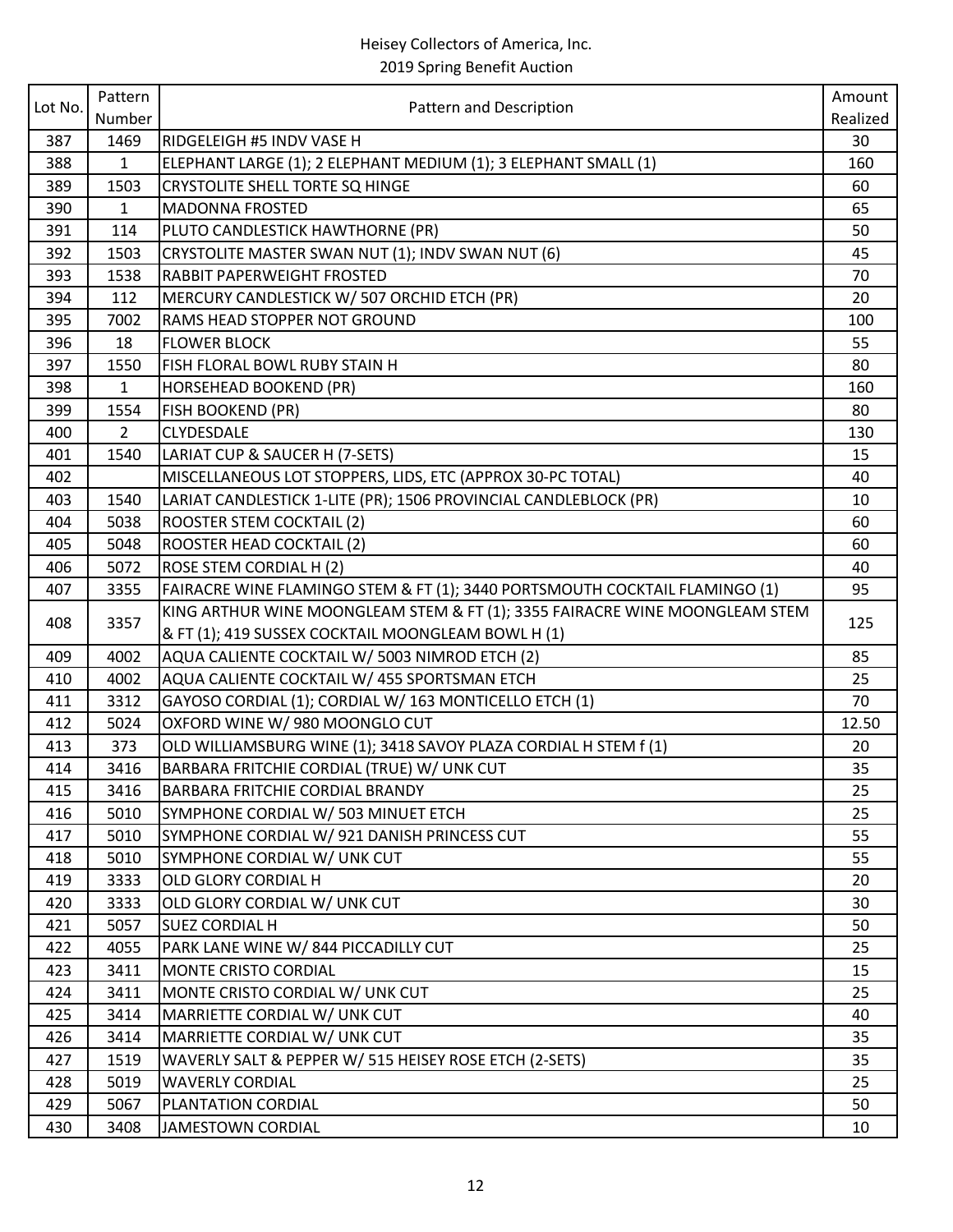| Lot No. | Pattern        |                                                                             | Amount   |
|---------|----------------|-----------------------------------------------------------------------------|----------|
|         | Number         | Pattern and Description                                                     | Realized |
| 387     | 1469           | <b>RIDGELEIGH #5 INDV VASE H</b>                                            | 30       |
| 388     | $\mathbf{1}$   | ELEPHANT LARGE (1); 2 ELEPHANT MEDIUM (1); 3 ELEPHANT SMALL (1)             | 160      |
| 389     | 1503           | CRYSTOLITE SHELL TORTE SQ HINGE                                             | 60       |
| 390     | 1              | <b>MADONNA FROSTED</b>                                                      | 65       |
| 391     | 114            | PLUTO CANDLESTICK HAWTHORNE (PR)                                            | 50       |
| 392     | 1503           | CRYSTOLITE MASTER SWAN NUT (1); INDV SWAN NUT (6)                           | 45       |
| 393     | 1538           | RABBIT PAPERWEIGHT FROSTED                                                  | 70       |
| 394     | 112            | MERCURY CANDLESTICK W/507 ORCHID ETCH (PR)                                  | 20       |
| 395     | 7002           | RAMS HEAD STOPPER NOT GROUND                                                | 100      |
| 396     | 18             | <b>FLOWER BLOCK</b>                                                         | 55       |
| 397     | 1550           | FISH FLORAL BOWL RUBY STAIN H                                               | 80       |
| 398     | $\mathbf{1}$   | HORSEHEAD BOOKEND (PR)                                                      | 160      |
| 399     | 1554           | <b>FISH BOOKEND (PR)</b>                                                    | 80       |
| 400     | $\overline{2}$ | CLYDESDALE                                                                  | 130      |
| 401     | 1540           | LARIAT CUP & SAUCER H (7-SETS)                                              | 15       |
| 402     |                | MISCELLANEOUS LOT STOPPERS, LIDS, ETC (APPROX 30-PC TOTAL)                  | 40       |
| 403     | 1540           | LARIAT CANDLESTICK 1-LITE (PR); 1506 PROVINCIAL CANDLEBLOCK (PR)            | 10       |
| 404     | 5038           | <b>ROOSTER STEM COCKTAIL (2)</b>                                            | 60       |
| 405     | 5048           | ROOSTER HEAD COCKTAIL (2)                                                   | 60       |
| 406     | 5072           | ROSE STEM CORDIAL H (2)                                                     | 40       |
| 407     | 3355           | FAIRACRE WINE FLAMINGO STEM & FT (1); 3440 PORTSMOUTH COCKTAIL FLAMINGO (1) | 95       |
| 408     | 3357           | KING ARTHUR WINE MOONGLEAM STEM & FT (1); 3355 FAIRACRE WINE MOONGLEAM STEM | 125      |
|         |                | & FT (1); 419 SUSSEX COCKTAIL MOONGLEAM BOWL H (1)                          |          |
| 409     | 4002           | AQUA CALIENTE COCKTAIL W/ 5003 NIMROD ETCH (2)                              | 85       |
| 410     | 4002           | AQUA CALIENTE COCKTAIL W/ 455 SPORTSMAN ETCH                                | 25       |
| 411     | 3312           | GAYOSO CORDIAL (1); CORDIAL W/ 163 MONTICELLO ETCH (1)                      | 70       |
| 412     | 5024           | OXFORD WINE W/980 MOONGLO CUT                                               | 12.50    |
| 413     | 373            | OLD WILLIAMSBURG WINE (1); 3418 SAVOY PLAZA CORDIAL H STEM f (1)            | 20       |
| 414     | 3416           | BARBARA FRITCHIE CORDIAL (TRUE) W/ UNK CUT                                  | 35       |
| 415     | 3416           | BARBARA FRITCHIE CORDIAL BRANDY                                             | 25       |
| 416     | 5010           | SYMPHONE CORDIAL W/ 503 MINUET ETCH                                         | 25       |
| 417     | 5010           | SYMPHONE CORDIAL W/ 921 DANISH PRINCESS CUT                                 | 55       |
| 418     | 5010           | SYMPHONE CORDIAL W/ UNK CUT                                                 | 55       |
| 419     | 3333           | OLD GLORY CORDIAL H                                                         | 20       |
| 420     | 3333           | OLD GLORY CORDIAL W/ UNK CUT                                                | 30       |
| 421     | 5057           | <b>SUEZ CORDIAL H</b>                                                       | 50       |
| 422     | 4055           | PARK LANE WINE W/ 844 PICCADILLY CUT                                        | 25       |
| 423     | 3411           | <b>MONTE CRISTO CORDIAL</b>                                                 | 15       |
| 424     | 3411           | MONTE CRISTO CORDIAL W/ UNK CUT                                             | 25       |
| 425     | 3414           | MARRIETTE CORDIAL W/ UNK CUT                                                | 40       |
| 426     | 3414           | MARRIETTE CORDIAL W/ UNK CUT                                                | 35       |
| 427     | 1519           | WAVERLY SALT & PEPPER W/ 515 HEISEY ROSE ETCH (2-SETS)                      | 35       |
| 428     | 5019           | <b>WAVERLY CORDIAL</b>                                                      | 25       |
| 429     | 5067           | PLANTATION CORDIAL                                                          | 50       |
| 430     | 3408           | JAMESTOWN CORDIAL                                                           | 10       |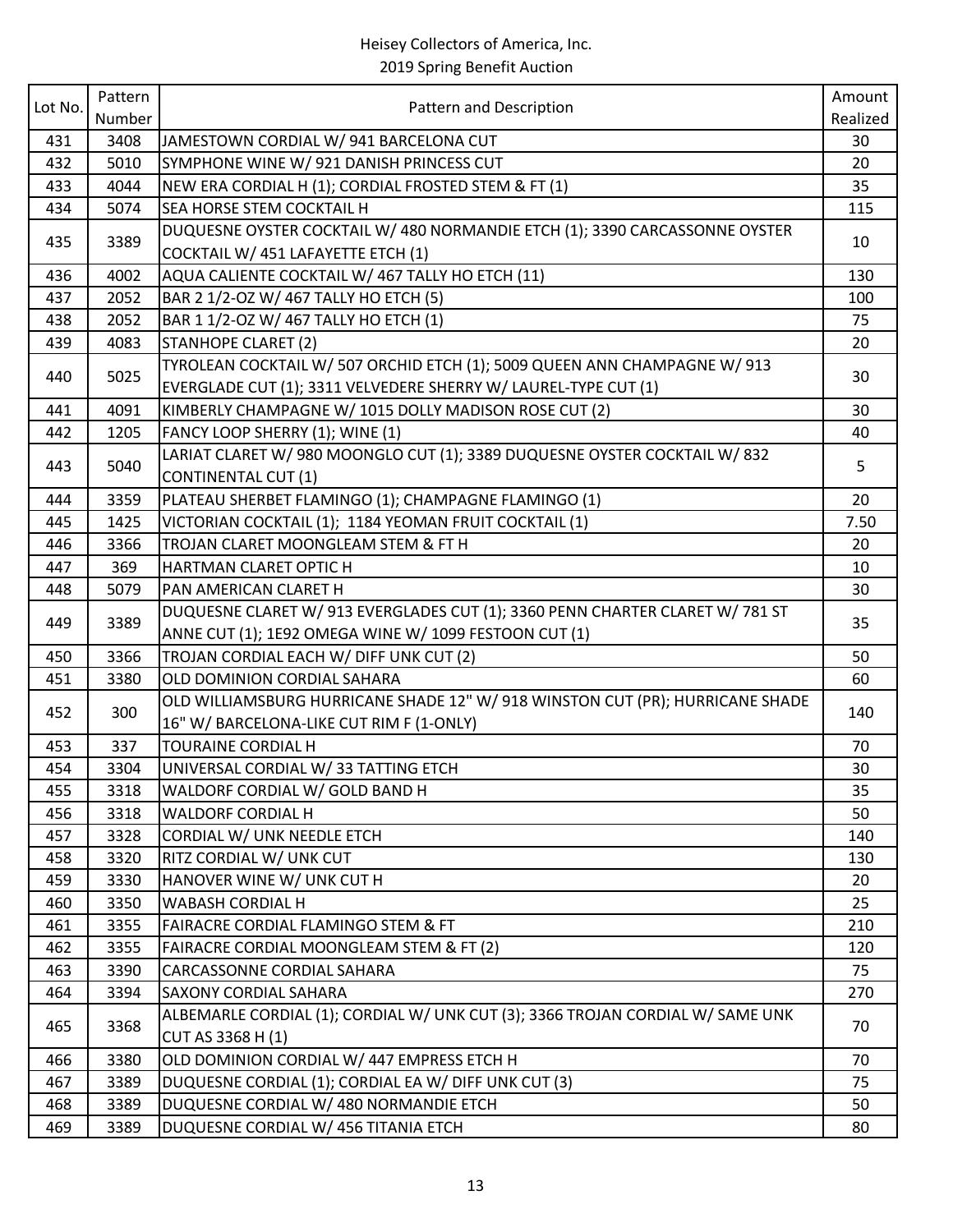| Lot No. | Pattern |                                                                                | Amount   |
|---------|---------|--------------------------------------------------------------------------------|----------|
|         | Number  | Pattern and Description                                                        | Realized |
| 431     | 3408    | JAMESTOWN CORDIAL W/ 941 BARCELONA CUT                                         | 30       |
| 432     | 5010    | SYMPHONE WINE W/ 921 DANISH PRINCESS CUT                                       | 20       |
| 433     | 4044    | NEW ERA CORDIAL H (1); CORDIAL FROSTED STEM & FT (1)                           | 35       |
| 434     | 5074    | <b>SEA HORSE STEM COCKTAIL H</b>                                               | 115      |
| 435     | 3389    | DUQUESNE OYSTER COCKTAIL W/ 480 NORMANDIE ETCH (1); 3390 CARCASSONNE OYSTER    | 10       |
|         |         | COCKTAIL W/ 451 LAFAYETTE ETCH (1)                                             |          |
| 436     | 4002    | AQUA CALIENTE COCKTAIL W/ 467 TALLY HO ETCH (11)                               | 130      |
| 437     | 2052    | BAR 2 1/2-OZ W/ 467 TALLY HO ETCH (5)                                          | 100      |
| 438     | 2052    | BAR 1 1/2-OZ W/ 467 TALLY HO ETCH (1)                                          | 75       |
| 439     | 4083    | STANHOPE CLARET (2)                                                            | 20       |
| 440     | 5025    | TYROLEAN COCKTAIL W/ 507 ORCHID ETCH (1); 5009 QUEEN ANN CHAMPAGNE W/ 913      | 30       |
|         |         | EVERGLADE CUT (1); 3311 VELVEDERE SHERRY W/ LAUREL-TYPE CUT (1)                |          |
| 441     | 4091    | KIMBERLY CHAMPAGNE W/ 1015 DOLLY MADISON ROSE CUT (2)                          | 30       |
| 442     | 1205    | FANCY LOOP SHERRY (1); WINE (1)                                                | 40       |
| 443     | 5040    | LARIAT CLARET W/980 MOONGLO CUT (1); 3389 DUQUESNE OYSTER COCKTAIL W/832       | 5        |
|         |         | CONTINENTAL CUT (1)                                                            |          |
| 444     | 3359    | PLATEAU SHERBET FLAMINGO (1); CHAMPAGNE FLAMINGO (1)                           | 20       |
| 445     | 1425    | VICTORIAN COCKTAIL (1); 1184 YEOMAN FRUIT COCKTAIL (1)                         | 7.50     |
| 446     | 3366    | TROJAN CLARET MOONGLEAM STEM & FT H                                            | 20       |
| 447     | 369     | HARTMAN CLARET OPTIC H                                                         | 10       |
| 448     | 5079    | PAN AMERICAN CLARET H                                                          | 30       |
| 449     | 3389    | DUQUESNE CLARET W/ 913 EVERGLADES CUT (1); 3360 PENN CHARTER CLARET W/ 781 ST  | 35       |
|         |         | ANNE CUT (1); 1E92 OMEGA WINE W/ 1099 FESTOON CUT (1)                          |          |
| 450     | 3366    | TROJAN CORDIAL EACH W/ DIFF UNK CUT (2)                                        | 50       |
| 451     | 3380    | OLD DOMINION CORDIAL SAHARA                                                    | 60       |
| 452     | 300     | OLD WILLIAMSBURG HURRICANE SHADE 12" W/ 918 WINSTON CUT (PR); HURRICANE SHADE  | 140      |
|         |         | 16" W/ BARCELONA-LIKE CUT RIM F (1-ONLY)                                       |          |
| 453     | 337     | <b>TOURAINE CORDIAL H</b>                                                      | 70       |
| 454     | 3304    | UNIVERSAL CORDIAL W/33 TATTING ETCH                                            | 30       |
| 455     | 3318    | WALDORF CORDIAL W/ GOLD BAND H                                                 | 35       |
| 456     | 3318    | <b>WALDORF CORDIAL H</b>                                                       | 50       |
| 457     | 3328    | CORDIAL W/ UNK NEEDLE ETCH                                                     | 140      |
| 458     | 3320    | RITZ CORDIAL W/ UNK CUT                                                        | 130      |
| 459     | 3330    | HANOVER WINE W/ UNK CUT H                                                      | 20       |
| 460     | 3350    | <b>WABASH CORDIAL H</b>                                                        | 25       |
| 461     | 3355    | <b>FAIRACRE CORDIAL FLAMINGO STEM &amp; FT</b>                                 | 210      |
| 462     | 3355    | FAIRACRE CORDIAL MOONGLEAM STEM & FT (2)                                       | 120      |
| 463     | 3390    | <b>CARCASSONNE CORDIAL SAHARA</b>                                              | 75       |
| 464     | 3394    | SAXONY CORDIAL SAHARA                                                          | 270      |
| 465     | 3368    | ALBEMARLE CORDIAL (1); CORDIAL W/ UNK CUT (3); 3366 TROJAN CORDIAL W/ SAME UNK | 70       |
|         |         | CUT AS 3368 H (1)                                                              |          |
| 466     | 3380    | OLD DOMINION CORDIAL W/ 447 EMPRESS ETCH H                                     | 70       |
| 467     | 3389    | DUQUESNE CORDIAL (1); CORDIAL EA W/ DIFF UNK CUT (3)                           | 75       |
| 468     | 3389    | DUQUESNE CORDIAL W/ 480 NORMANDIE ETCH                                         | 50       |
| 469     | 3389    | DUQUESNE CORDIAL W/ 456 TITANIA ETCH                                           | 80       |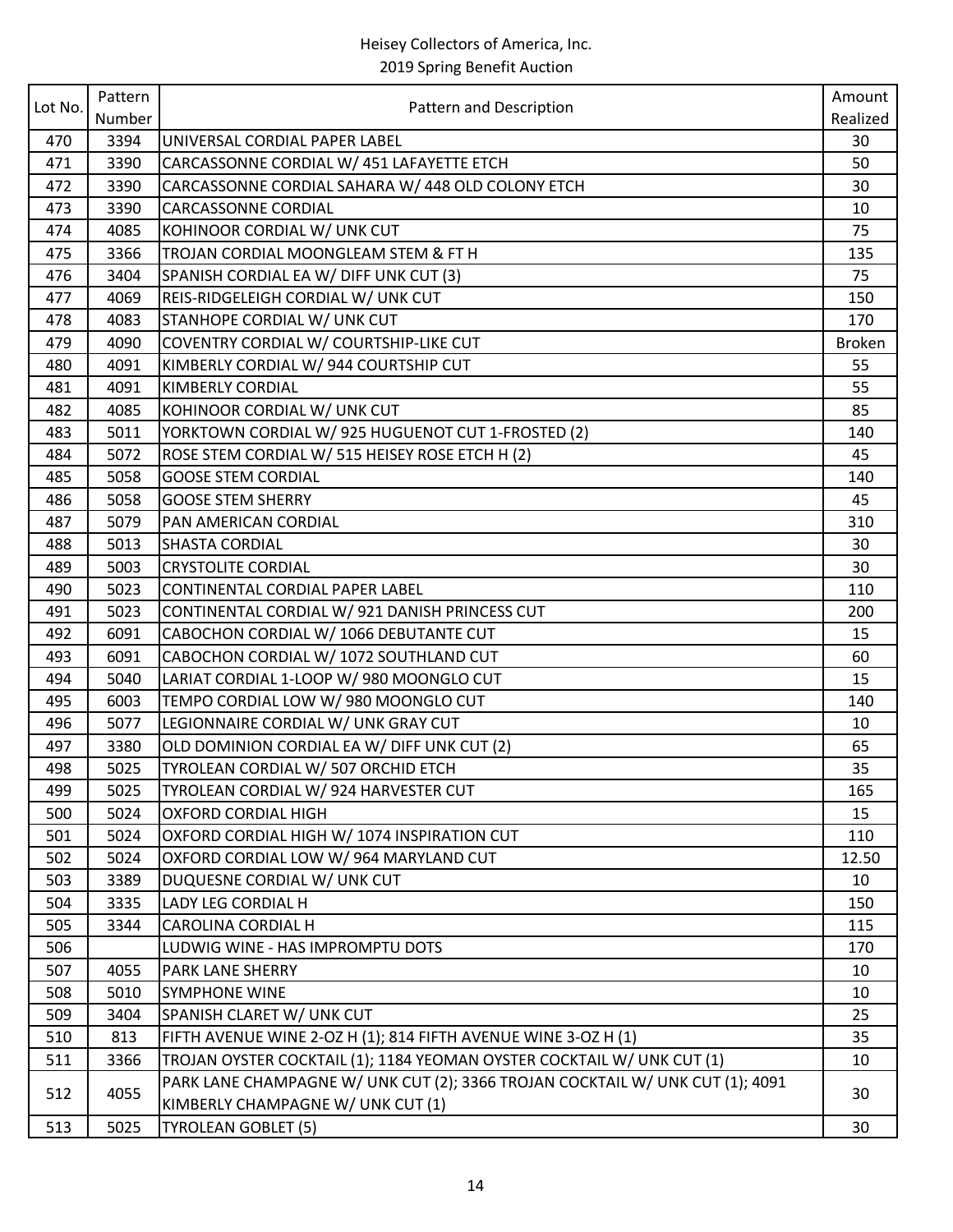|         | Pattern |                                                                                                                    | Amount        |
|---------|---------|--------------------------------------------------------------------------------------------------------------------|---------------|
| Lot No. | Number  | Pattern and Description                                                                                            | Realized      |
| 470     | 3394    | UNIVERSAL CORDIAL PAPER LABEL                                                                                      | 30            |
| 471     | 3390    | CARCASSONNE CORDIAL W/ 451 LAFAYETTE ETCH                                                                          | 50            |
| 472     | 3390    | CARCASSONNE CORDIAL SAHARA W/ 448 OLD COLONY ETCH                                                                  | 30            |
| 473     | 3390    | <b>CARCASSONNE CORDIAL</b>                                                                                         | 10            |
| 474     | 4085    | KOHINOOR CORDIAL W/ UNK CUT                                                                                        | 75            |
| 475     | 3366    | TROJAN CORDIAL MOONGLEAM STEM & FT H                                                                               | 135           |
| 476     | 3404    | SPANISH CORDIAL EA W/ DIFF UNK CUT (3)                                                                             | 75            |
| 477     | 4069    | REIS-RIDGELEIGH CORDIAL W/ UNK CUT                                                                                 | 150           |
| 478     | 4083    | STANHOPE CORDIAL W/ UNK CUT                                                                                        | 170           |
| 479     | 4090    | COVENTRY CORDIAL W/ COURTSHIP-LIKE CUT                                                                             | <b>Broken</b> |
| 480     | 4091    | KIMBERLY CORDIAL W/ 944 COURTSHIP CUT                                                                              | 55            |
| 481     | 4091    | <b>KIMBERLY CORDIAL</b>                                                                                            | 55            |
| 482     | 4085    | KOHINOOR CORDIAL W/ UNK CUT                                                                                        | 85            |
| 483     | 5011    | YORKTOWN CORDIAL W/ 925 HUGUENOT CUT 1-FROSTED (2)                                                                 | 140           |
| 484     | 5072    | ROSE STEM CORDIAL W/ 515 HEISEY ROSE ETCH H (2)                                                                    | 45            |
| 485     | 5058    | <b>GOOSE STEM CORDIAL</b>                                                                                          | 140           |
| 486     | 5058    | <b>GOOSE STEM SHERRY</b>                                                                                           | 45            |
| 487     | 5079    | PAN AMERICAN CORDIAL                                                                                               | 310           |
| 488     | 5013    | <b>SHASTA CORDIAL</b>                                                                                              | 30            |
| 489     | 5003    | <b>CRYSTOLITE CORDIAL</b>                                                                                          | 30            |
| 490     | 5023    | CONTINENTAL CORDIAL PAPER LABEL                                                                                    | 110           |
| 491     | 5023    | CONTINENTAL CORDIAL W/ 921 DANISH PRINCESS CUT                                                                     | 200           |
| 492     | 6091    | CABOCHON CORDIAL W/ 1066 DEBUTANTE CUT                                                                             | 15            |
| 493     | 6091    | CABOCHON CORDIAL W/ 1072 SOUTHLAND CUT                                                                             | 60            |
| 494     | 5040    | LARIAT CORDIAL 1-LOOP W/980 MOONGLO CUT                                                                            | 15            |
| 495     | 6003    | TEMPO CORDIAL LOW W/980 MOONGLO CUT                                                                                | 140           |
| 496     | 5077    | LEGIONNAIRE CORDIAL W/ UNK GRAY CUT                                                                                | 10            |
| 497     | 3380    | OLD DOMINION CORDIAL EA W/ DIFF UNK CUT (2)                                                                        | 65            |
| 498     | 5025    | TYROLEAN CORDIAL W/ 507 ORCHID ETCH                                                                                | 35            |
| 499     | 5025    | TYROLEAN CORDIAL W/ 924 HARVESTER CUT                                                                              | 165           |
| 500     | 5024    | <b>OXFORD CORDIAL HIGH</b>                                                                                         | 15            |
| 501     | 5024    | OXFORD CORDIAL HIGH W/ 1074 INSPIRATION CUT                                                                        | 110           |
| 502     | 5024    | OXFORD CORDIAL LOW W/964 MARYLAND CUT                                                                              | 12.50         |
| 503     | 3389    | DUQUESNE CORDIAL W/ UNK CUT                                                                                        | 10            |
| 504     | 3335    | LADY LEG CORDIAL H                                                                                                 | 150           |
| 505     | 3344    | CAROLINA CORDIAL H                                                                                                 | 115           |
| 506     |         | LUDWIG WINE - HAS IMPROMPTU DOTS                                                                                   | 170           |
| 507     | 4055    | PARK LANE SHERRY                                                                                                   | 10            |
| 508     | 5010    | <b>SYMPHONE WINE</b>                                                                                               | 10            |
| 509     | 3404    | SPANISH CLARET W/ UNK CUT                                                                                          | 25            |
| 510     | 813     | FIFTH AVENUE WINE 2-OZ H (1); 814 FIFTH AVENUE WINE 3-OZ H (1)                                                     | 35            |
| 511     | 3366    | TROJAN OYSTER COCKTAIL (1); 1184 YEOMAN OYSTER COCKTAIL W/ UNK CUT (1)                                             | 10            |
| 512     | 4055    | PARK LANE CHAMPAGNE W/ UNK CUT (2); 3366 TROJAN COCKTAIL W/ UNK CUT (1); 4091<br>KIMBERLY CHAMPAGNE W/ UNK CUT (1) | 30            |
| 513     | 5025    | TYROLEAN GOBLET (5)                                                                                                | 30            |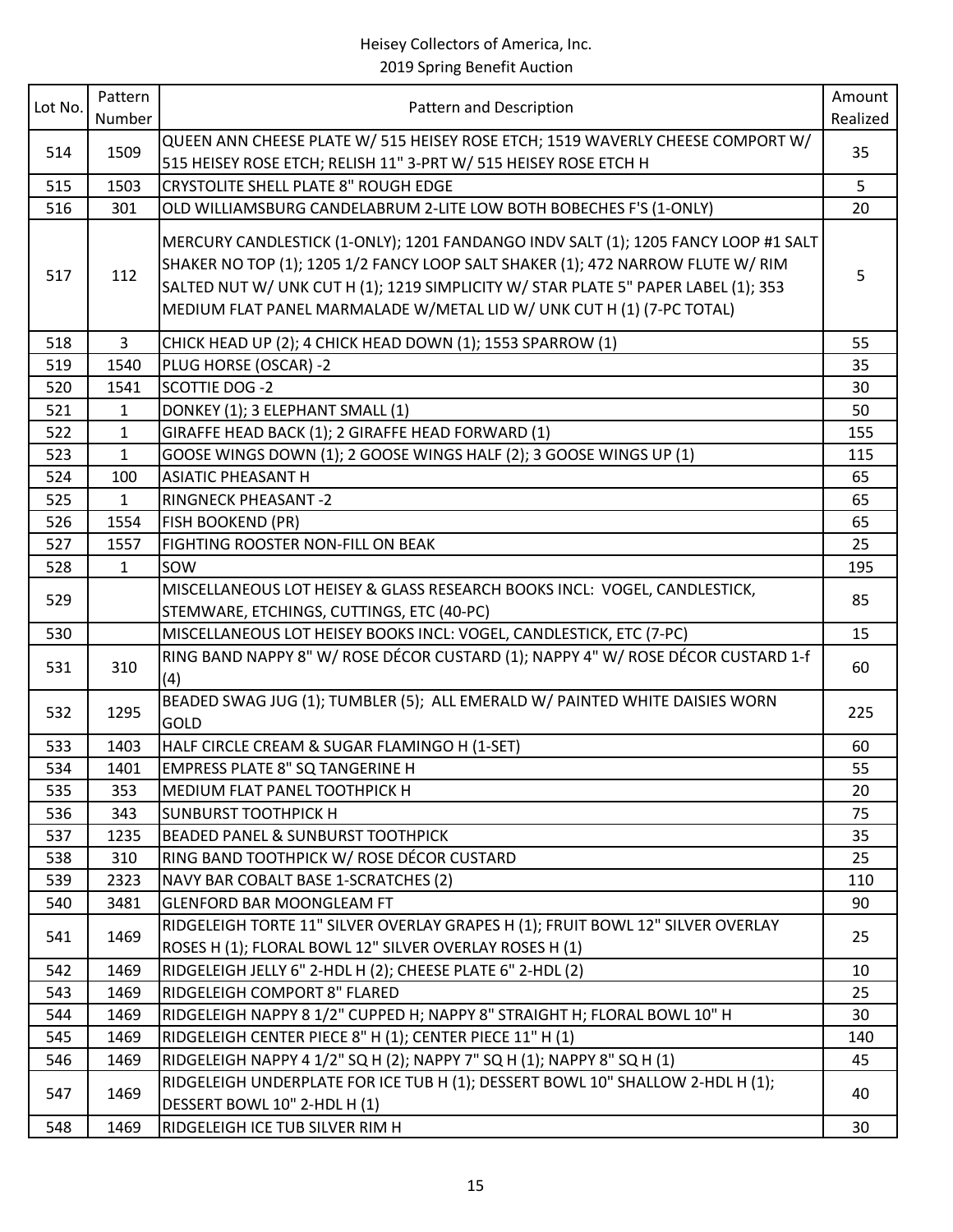| Lot No. | Pattern<br>Number | Pattern and Description                                                                                                                                                                                                                                                                                                              | Amount<br>Realized |
|---------|-------------------|--------------------------------------------------------------------------------------------------------------------------------------------------------------------------------------------------------------------------------------------------------------------------------------------------------------------------------------|--------------------|
| 514     | 1509              | QUEEN ANN CHEESE PLATE W/ 515 HEISEY ROSE ETCH; 1519 WAVERLY CHEESE COMPORT W/<br>515 HEISEY ROSE ETCH; RELISH 11" 3-PRT W/ 515 HEISEY ROSE ETCH H                                                                                                                                                                                   | 35                 |
| 515     | 1503              | <b>CRYSTOLITE SHELL PLATE 8" ROUGH EDGE</b>                                                                                                                                                                                                                                                                                          | 5                  |
| 516     | 301               | OLD WILLIAMSBURG CANDELABRUM 2-LITE LOW BOTH BOBECHES F'S (1-ONLY)                                                                                                                                                                                                                                                                   | 20                 |
| 517     | 112               | MERCURY CANDLESTICK (1-ONLY); 1201 FANDANGO INDV SALT (1); 1205 FANCY LOOP #1 SALT<br>SHAKER NO TOP (1); 1205 1/2 FANCY LOOP SALT SHAKER (1); 472 NARROW FLUTE W/ RIM<br>SALTED NUT W/ UNK CUT H (1); 1219 SIMPLICITY W/ STAR PLATE 5" PAPER LABEL (1); 353<br>MEDIUM FLAT PANEL MARMALADE W/METAL LID W/ UNK CUT H (1) (7-PC TOTAL) | 5                  |
| 518     | $\overline{3}$    | CHICK HEAD UP (2); 4 CHICK HEAD DOWN (1); 1553 SPARROW (1)                                                                                                                                                                                                                                                                           | 55                 |
| 519     | 1540              | PLUG HORSE (OSCAR) -2                                                                                                                                                                                                                                                                                                                | 35                 |
| 520     | 1541              | SCOTTIE DOG -2                                                                                                                                                                                                                                                                                                                       | 30                 |
| 521     | $\mathbf{1}$      | DONKEY (1); 3 ELEPHANT SMALL (1)                                                                                                                                                                                                                                                                                                     | 50                 |
| 522     | $\mathbf{1}$      | GIRAFFE HEAD BACK (1); 2 GIRAFFE HEAD FORWARD (1)                                                                                                                                                                                                                                                                                    | 155                |
| 523     | $\mathbf{1}$      | GOOSE WINGS DOWN (1); 2 GOOSE WINGS HALF (2); 3 GOOSE WINGS UP (1)                                                                                                                                                                                                                                                                   | 115                |
| 524     | 100               | <b>ASIATIC PHEASANT H</b>                                                                                                                                                                                                                                                                                                            | 65                 |
| 525     | $\mathbf{1}$      | <b>RINGNECK PHEASANT -2</b>                                                                                                                                                                                                                                                                                                          | 65                 |
| 526     | 1554              | <b>FISH BOOKEND (PR)</b>                                                                                                                                                                                                                                                                                                             | 65                 |
| 527     | 1557              | <b>FIGHTING ROOSTER NON-FILL ON BEAK</b>                                                                                                                                                                                                                                                                                             | 25                 |
| 528     | $\mathbf{1}$      | sow                                                                                                                                                                                                                                                                                                                                  | 195                |
| 529     |                   | MISCELLANEOUS LOT HEISEY & GLASS RESEARCH BOOKS INCL: VOGEL, CANDLESTICK,<br>STEMWARE, ETCHINGS, CUTTINGS, ETC (40-PC)                                                                                                                                                                                                               | 85                 |
| 530     |                   | MISCELLANEOUS LOT HEISEY BOOKS INCL: VOGEL, CANDLESTICK, ETC (7-PC)                                                                                                                                                                                                                                                                  | 15                 |
| 531     | 310               | RING BAND NAPPY 8" W/ ROSE DÉCOR CUSTARD (1); NAPPY 4" W/ ROSE DÉCOR CUSTARD 1-f<br>(4)                                                                                                                                                                                                                                              | 60                 |
| 532     | 1295              | BEADED SWAG JUG (1); TUMBLER (5); ALL EMERALD W/ PAINTED WHITE DAISIES WORN<br><b>GOLD</b>                                                                                                                                                                                                                                           | 225                |
| 533     | 1403              | HALF CIRCLE CREAM & SUGAR FLAMINGO H (1-SET)                                                                                                                                                                                                                                                                                         | 60                 |
| 534     | 1401              | <b>EMPRESS PLATE 8" SQ TANGERINE H</b>                                                                                                                                                                                                                                                                                               | 55                 |
| 535     | 353               | MEDIUM FLAT PANEL TOOTHPICK H                                                                                                                                                                                                                                                                                                        | 20                 |
| 536     | 343               | <b>SUNBURST TOOTHPICK H</b>                                                                                                                                                                                                                                                                                                          | 75                 |
| 537     | 1235              | <b>BEADED PANEL &amp; SUNBURST TOOTHPICK</b>                                                                                                                                                                                                                                                                                         | 35                 |
| 538     | 310               | RING BAND TOOTHPICK W/ ROSE DÉCOR CUSTARD                                                                                                                                                                                                                                                                                            | 25                 |
| 539     | 2323              | NAVY BAR COBALT BASE 1-SCRATCHES (2)                                                                                                                                                                                                                                                                                                 | 110                |
| 540     | 3481              | <b>GLENFORD BAR MOONGLEAM FT</b>                                                                                                                                                                                                                                                                                                     | 90                 |
| 541     | 1469              | RIDGELEIGH TORTE 11" SILVER OVERLAY GRAPES H (1); FRUIT BOWL 12" SILVER OVERLAY<br>ROSES H (1); FLORAL BOWL 12" SILVER OVERLAY ROSES H (1)                                                                                                                                                                                           | 25                 |
| 542     | 1469              | RIDGELEIGH JELLY 6" 2-HDL H (2); CHEESE PLATE 6" 2-HDL (2)                                                                                                                                                                                                                                                                           | 10                 |
| 543     | 1469              | RIDGELEIGH COMPORT 8" FLARED                                                                                                                                                                                                                                                                                                         | 25                 |
| 544     | 1469              | RIDGELEIGH NAPPY 8 1/2" CUPPED H; NAPPY 8" STRAIGHT H; FLORAL BOWL 10" H                                                                                                                                                                                                                                                             | 30                 |
| 545     | 1469              | RIDGELEIGH CENTER PIECE 8" H (1); CENTER PIECE 11" H (1)                                                                                                                                                                                                                                                                             | 140                |
| 546     | 1469              | RIDGELEIGH NAPPY 4 1/2" SQ H (2); NAPPY 7" SQ H (1); NAPPY 8" SQ H (1)                                                                                                                                                                                                                                                               | 45                 |
| 547     | 1469              | RIDGELEIGH UNDERPLATE FOR ICE TUB H (1); DESSERT BOWL 10" SHALLOW 2-HDL H (1);<br>DESSERT BOWL 10" 2-HDL H (1)                                                                                                                                                                                                                       | 40                 |
| 548     | 1469              | RIDGELEIGH ICE TUB SILVER RIM H                                                                                                                                                                                                                                                                                                      | 30                 |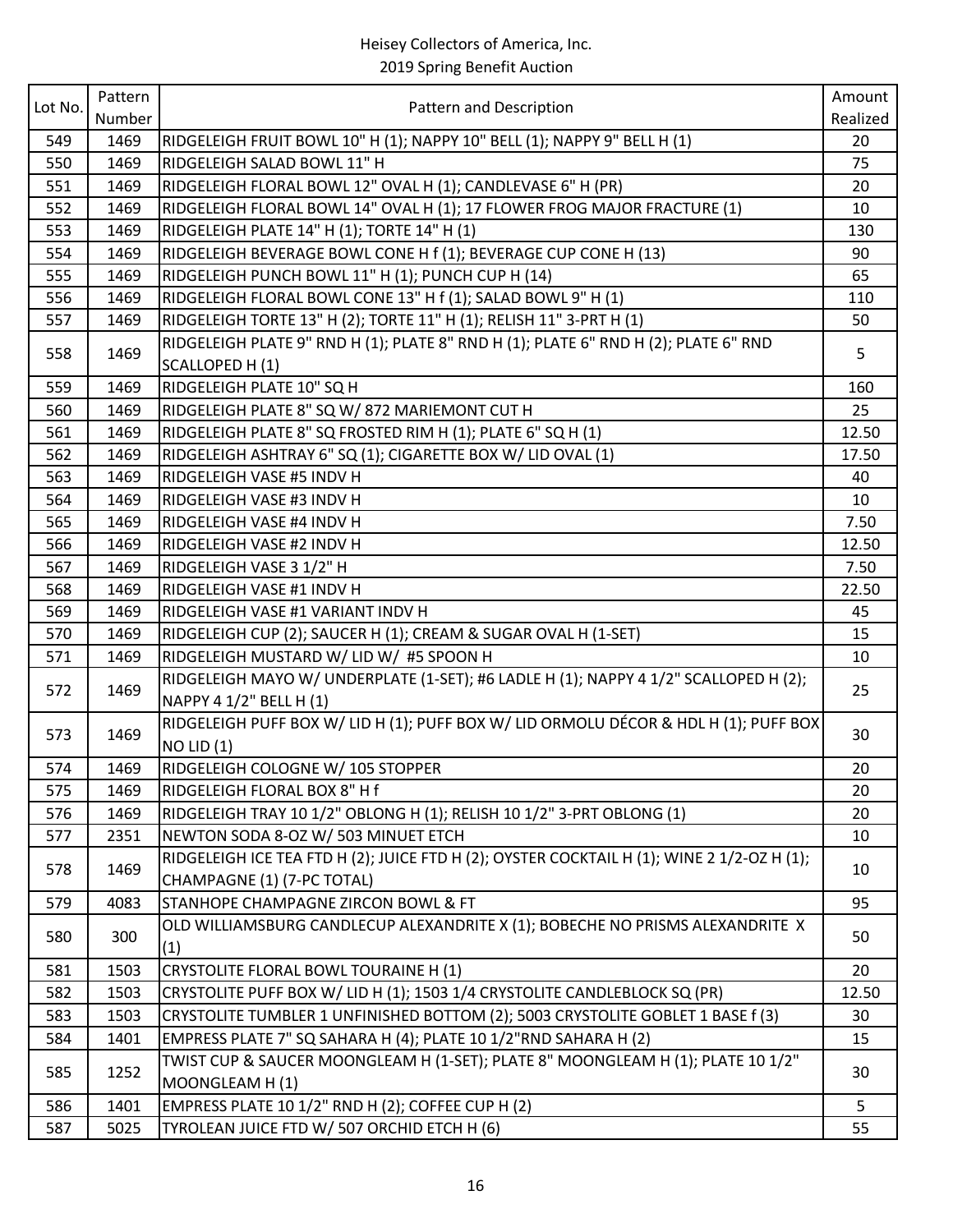| Lot No. | Pattern |                                                                                            | Amount   |
|---------|---------|--------------------------------------------------------------------------------------------|----------|
|         | Number  | Pattern and Description                                                                    | Realized |
| 549     | 1469    | RIDGELEIGH FRUIT BOWL 10" H (1); NAPPY 10" BELL (1); NAPPY 9" BELL H (1)                   | 20       |
| 550     | 1469    | RIDGELEIGH SALAD BOWL 11" H                                                                | 75       |
| 551     | 1469    | RIDGELEIGH FLORAL BOWL 12" OVAL H (1); CANDLEVASE 6" H (PR)                                | 20       |
| 552     | 1469    | RIDGELEIGH FLORAL BOWL 14" OVAL H (1); 17 FLOWER FROG MAJOR FRACTURE (1)                   | 10       |
| 553     | 1469    | RIDGELEIGH PLATE 14" H (1); TORTE 14" H (1)                                                | 130      |
| 554     | 1469    | RIDGELEIGH BEVERAGE BOWL CONE H f (1); BEVERAGE CUP CONE H (13)                            | 90       |
| 555     | 1469    | RIDGELEIGH PUNCH BOWL 11" H (1); PUNCH CUP H (14)                                          | 65       |
| 556     | 1469    | RIDGELEIGH FLORAL BOWL CONE 13" H f (1); SALAD BOWL 9" H (1)                               | 110      |
| 557     | 1469    | RIDGELEIGH TORTE 13" H (2); TORTE 11" H (1); RELISH 11" 3-PRT H (1)                        | 50       |
|         |         | RIDGELEIGH PLATE 9" RND H (1); PLATE 8" RND H (1); PLATE 6" RND H (2); PLATE 6" RND        |          |
| 558     | 1469    | SCALLOPED H (1)                                                                            | 5        |
| 559     | 1469    | RIDGELEIGH PLATE 10" SQ H                                                                  | 160      |
| 560     | 1469    | RIDGELEIGH PLATE 8" SQ W/ 872 MARIEMONT CUT H                                              | 25       |
| 561     | 1469    | RIDGELEIGH PLATE 8" SQ FROSTED RIM H (1); PLATE 6" SQ H (1)                                | 12.50    |
| 562     | 1469    | RIDGELEIGH ASHTRAY 6" SQ (1); CIGARETTE BOX W/ LID OVAL (1)                                | 17.50    |
| 563     | 1469    | RIDGELEIGH VASE #5 INDV H                                                                  | 40       |
| 564     | 1469    | RIDGELEIGH VASE #3 INDV H                                                                  | 10       |
| 565     | 1469    | RIDGELEIGH VASE #4 INDV H                                                                  | 7.50     |
| 566     | 1469    | RIDGELEIGH VASE #2 INDV H                                                                  | 12.50    |
| 567     | 1469    | RIDGELEIGH VASE 3 1/2" H                                                                   | 7.50     |
| 568     | 1469    | RIDGELEIGH VASE #1 INDV H                                                                  | 22.50    |
| 569     | 1469    | RIDGELEIGH VASE #1 VARIANT INDV H                                                          | 45       |
| 570     | 1469    | RIDGELEIGH CUP (2); SAUCER H (1); CREAM & SUGAR OVAL H (1-SET)                             | 15       |
| 571     | 1469    | RIDGELEIGH MUSTARD W/ LID W/ #5 SPOON H                                                    | 10       |
| 572     | 1469    | RIDGELEIGH MAYO W/ UNDERPLATE (1-SET); #6 LADLE H (1); NAPPY 4 1/2" SCALLOPED H (2);       | 25       |
|         |         | NAPPY 4 1/2" BELL H (1)                                                                    |          |
| 573     | 1469    | RIDGELEIGH PUFF BOX W/ LID H (1); PUFF BOX W/ LID ORMOLU DÉCOR & HDL H (1); PUFF BOX       | 30       |
|         |         | $NO$ LID $(1)$                                                                             |          |
| 574     | 1469    | RIDGELEIGH COLOGNE W/ 105 STOPPER                                                          | 20       |
| 575     | 1469    | RIDGELEIGH FLORAL BOX 8" H f                                                               | 20       |
| 576     | 1469    | RIDGELEIGH TRAY 10 1/2" OBLONG H (1); RELISH 10 1/2" 3-PRT OBLONG (1)                      | 20       |
| 577     | 2351    | NEWTON SODA 8-OZ W/ 503 MINUET ETCH                                                        | 10       |
| 578     | 1469    | RIDGELEIGH ICE TEA FTD H (2); JUICE FTD H (2); OYSTER COCKTAIL H (1); WINE 2 1/2-OZ H (1); | 10       |
|         |         | CHAMPAGNE (1) (7-PC TOTAL)                                                                 |          |
| 579     | 4083    | STANHOPE CHAMPAGNE ZIRCON BOWL & FT                                                        | 95       |
| 580     | 300     | OLD WILLIAMSBURG CANDLECUP ALEXANDRITE X (1); BOBECHE NO PRISMS ALEXANDRITE X              | 50       |
|         |         | (1)                                                                                        |          |
| 581     | 1503    | CRYSTOLITE FLORAL BOWL TOURAINE H (1)                                                      | 20       |
| 582     | 1503    | CRYSTOLITE PUFF BOX W/ LID H (1); 1503 1/4 CRYSTOLITE CANDLEBLOCK SQ (PR)                  | 12.50    |
| 583     | 1503    | CRYSTOLITE TUMBLER 1 UNFINISHED BOTTOM (2); 5003 CRYSTOLITE GOBLET 1 BASE f (3)            | 30       |
| 584     | 1401    | EMPRESS PLATE 7" SQ SAHARA H (4); PLATE 10 1/2"RND SAHARA H (2)                            | 15       |
| 585     | 1252    | TWIST CUP & SAUCER MOONGLEAM H (1-SET); PLATE 8" MOONGLEAM H (1); PLATE 10 1/2"            | 30       |
|         |         | MOONGLEAM H (1)                                                                            |          |
| 586     | 1401    | EMPRESS PLATE 10 1/2" RND H (2); COFFEE CUP H (2)                                          | 5        |
| 587     | 5025    | TYROLEAN JUICE FTD W/ 507 ORCHID ETCH H (6)                                                | 55       |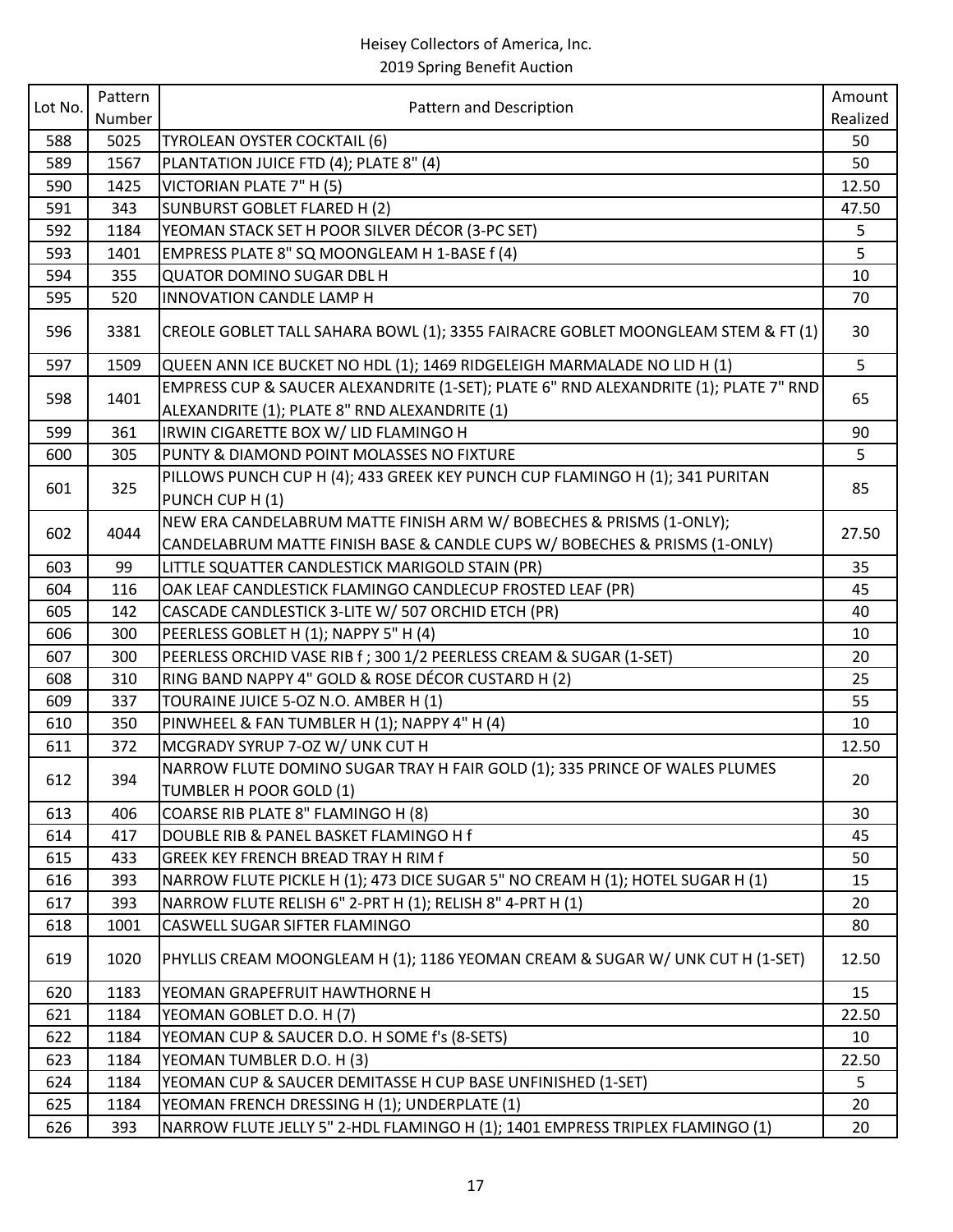| Lot No. | Pattern | Pattern and Description                                                              | Amount   |
|---------|---------|--------------------------------------------------------------------------------------|----------|
|         | Number  |                                                                                      | Realized |
| 588     | 5025    | TYROLEAN OYSTER COCKTAIL (6)                                                         | 50       |
| 589     | 1567    | PLANTATION JUICE FTD (4); PLATE 8" (4)                                               | 50       |
| 590     | 1425    | VICTORIAN PLATE 7" H (5)                                                             | 12.50    |
| 591     | 343     | <b>SUNBURST GOBLET FLARED H (2)</b>                                                  | 47.50    |
| 592     | 1184    | YEOMAN STACK SET H POOR SILVER DÉCOR (3-PC SET)                                      | 5        |
| 593     | 1401    | EMPRESS PLATE 8" SQ MOONGLEAM H 1-BASE f (4)                                         | 5        |
| 594     | 355     | <b>QUATOR DOMINO SUGAR DBL H</b>                                                     | 10       |
| 595     | 520     | INNOVATION CANDLE LAMP H                                                             | 70       |
| 596     | 3381    | CREOLE GOBLET TALL SAHARA BOWL (1); 3355 FAIRACRE GOBLET MOONGLEAM STEM & FT (1)     | 30       |
| 597     | 1509    | QUEEN ANN ICE BUCKET NO HDL (1); 1469 RIDGELEIGH MARMALADE NO LID H (1)              | 5        |
| 598     | 1401    | EMPRESS CUP & SAUCER ALEXANDRITE (1-SET); PLATE 6" RND ALEXANDRITE (1); PLATE 7" RND | 65       |
|         |         | ALEXANDRITE (1); PLATE 8" RND ALEXANDRITE (1)                                        |          |
| 599     | 361     | IRWIN CIGARETTE BOX W/ LID FLAMINGO H                                                | 90       |
| 600     | 305     | PUNTY & DIAMOND POINT MOLASSES NO FIXTURE                                            | 5        |
| 601     |         | PILLOWS PUNCH CUP H (4); 433 GREEK KEY PUNCH CUP FLAMINGO H (1); 341 PURITAN         | 85       |
|         | 325     | PUNCH CUP H (1)                                                                      |          |
|         |         | NEW ERA CANDELABRUM MATTE FINISH ARM W/ BOBECHES & PRISMS (1-ONLY);                  |          |
| 602     | 4044    | CANDELABRUM MATTE FINISH BASE & CANDLE CUPS W/ BOBECHES & PRISMS (1-ONLY)            | 27.50    |
| 603     | 99      | LITTLE SQUATTER CANDLESTICK MARIGOLD STAIN (PR)                                      | 35       |
| 604     | 116     | OAK LEAF CANDLESTICK FLAMINGO CANDLECUP FROSTED LEAF (PR)                            | 45       |
| 605     | 142     | CASCADE CANDLESTICK 3-LITE W/ 507 ORCHID ETCH (PR)                                   | 40       |
| 606     | 300     | PEERLESS GOBLET H (1); NAPPY 5" H (4)                                                | 10       |
| 607     | 300     | PEERLESS ORCHID VASE RIB f; 300 1/2 PEERLESS CREAM & SUGAR (1-SET)                   | 20       |
| 608     | 310     | RING BAND NAPPY 4" GOLD & ROSE DÉCOR CUSTARD H (2)                                   | 25       |
| 609     | 337     | TOURAINE JUICE 5-OZ N.O. AMBER H (1)                                                 | 55       |
| 610     | 350     | PINWHEEL & FAN TUMBLER H (1); NAPPY 4" H (4)                                         | 10       |
| 611     | 372     | MCGRADY SYRUP 7-OZ W/ UNK CUT H                                                      | 12.50    |
|         |         | NARROW FLUTE DOMINO SUGAR TRAY H FAIR GOLD (1); 335 PRINCE OF WALES PLUMES           |          |
| 612     | 394     | TUMBLER H POOR GOLD (1)                                                              | 20       |
| 613     | 406     | COARSE RIB PLATE 8" FLAMINGO H (8)                                                   | 30       |
| 614     | 417     | DOUBLE RIB & PANEL BASKET FLAMINGO H f                                               | 45       |
| 615     | 433     | GREEK KEY FRENCH BREAD TRAY H RIM f                                                  | 50       |
| 616     | 393     | NARROW FLUTE PICKLE H (1); 473 DICE SUGAR 5" NO CREAM H (1); HOTEL SUGAR H (1)       | 15       |
| 617     | 393     | NARROW FLUTE RELISH 6" 2-PRT H (1); RELISH 8" 4-PRT H (1)                            | 20       |
| 618     | 1001    | CASWELL SUGAR SIFTER FLAMINGO                                                        | 80       |
| 619     | 1020    | PHYLLIS CREAM MOONGLEAM H (1); 1186 YEOMAN CREAM & SUGAR W/ UNK CUT H (1-SET)        | 12.50    |
| 620     | 1183    | YEOMAN GRAPEFRUIT HAWTHORNE H                                                        | 15       |
| 621     | 1184    | YEOMAN GOBLET D.O. H (7)                                                             | 22.50    |
| 622     | 1184    | YEOMAN CUP & SAUCER D.O. H SOME f's (8-SETS)                                         | 10       |
| 623     | 1184    | YEOMAN TUMBLER D.O. H (3)                                                            | 22.50    |
| 624     | 1184    | YEOMAN CUP & SAUCER DEMITASSE H CUP BASE UNFINISHED (1-SET)                          | 5        |
| 625     | 1184    | YEOMAN FRENCH DRESSING H (1); UNDERPLATE (1)                                         | 20       |
| 626     | 393     | NARROW FLUTE JELLY 5" 2-HDL FLAMINGO H (1); 1401 EMPRESS TRIPLEX FLAMINGO (1)        | 20       |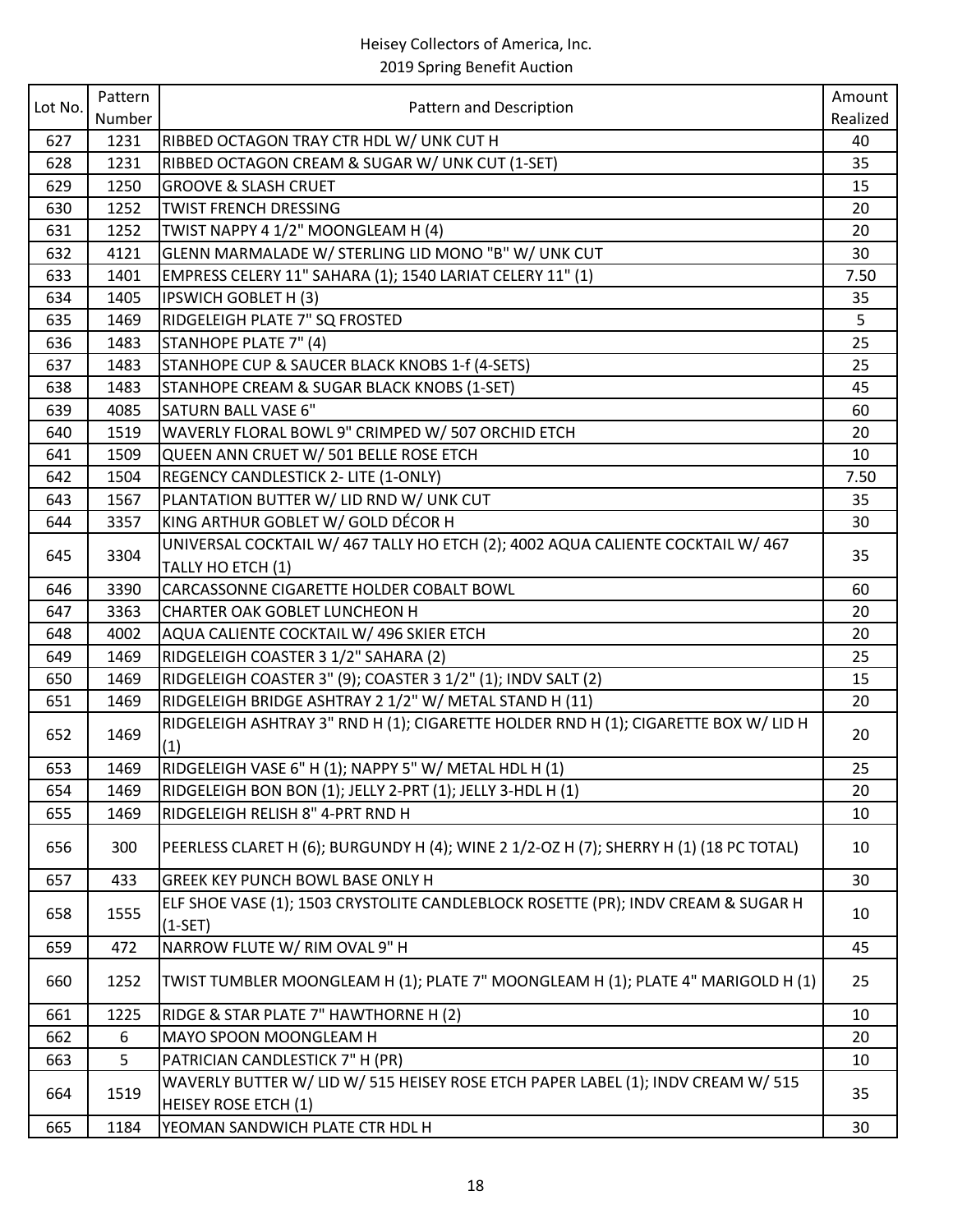| Lot No. | Pattern |                                                                                                                 | Amount   |
|---------|---------|-----------------------------------------------------------------------------------------------------------------|----------|
|         | Number  | Pattern and Description                                                                                         | Realized |
| 627     | 1231    | RIBBED OCTAGON TRAY CTR HDL W/ UNK CUT H                                                                        | 40       |
| 628     | 1231    | RIBBED OCTAGON CREAM & SUGAR W/ UNK CUT (1-SET)                                                                 | 35       |
| 629     | 1250    | <b>GROOVE &amp; SLASH CRUET</b>                                                                                 | 15       |
| 630     | 1252    | <b>TWIST FRENCH DRESSING</b>                                                                                    | 20       |
| 631     | 1252    | TWIST NAPPY 4 1/2" MOONGLEAM H (4)                                                                              | 20       |
| 632     | 4121    | GLENN MARMALADE W/ STERLING LID MONO "B" W/ UNK CUT                                                             | 30       |
| 633     | 1401    | EMPRESS CELERY 11" SAHARA (1); 1540 LARIAT CELERY 11" (1)                                                       | 7.50     |
| 634     | 1405    | <b>IPSWICH GOBLET H (3)</b>                                                                                     | 35       |
| 635     | 1469    | RIDGELEIGH PLATE 7" SQ FROSTED                                                                                  | 5        |
| 636     | 1483    | STANHOPE PLATE 7" (4)                                                                                           | 25       |
| 637     | 1483    | STANHOPE CUP & SAUCER BLACK KNOBS 1-f (4-SETS)                                                                  | 25       |
| 638     | 1483    | STANHOPE CREAM & SUGAR BLACK KNOBS (1-SET)                                                                      | 45       |
| 639     | 4085    | <b>SATURN BALL VASE 6"</b>                                                                                      | 60       |
| 640     | 1519    | WAVERLY FLORAL BOWL 9" CRIMPED W/ 507 ORCHID ETCH                                                               | 20       |
| 641     | 1509    | QUEEN ANN CRUET W/ 501 BELLE ROSE ETCH                                                                          | 10       |
| 642     | 1504    | REGENCY CANDLESTICK 2- LITE (1-ONLY)                                                                            | 7.50     |
| 643     | 1567    | PLANTATION BUTTER W/ LID RND W/ UNK CUT                                                                         | 35       |
| 644     | 3357    | KING ARTHUR GOBLET W/ GOLD DÉCOR H                                                                              | 30       |
|         |         | UNIVERSAL COCKTAIL W/ 467 TALLY HO ETCH (2); 4002 AQUA CALIENTE COCKTAIL W/ 467                                 |          |
| 645     | 3304    | TALLY HO ETCH (1)                                                                                               | 35       |
| 646     | 3390    | CARCASSONNE CIGARETTE HOLDER COBALT BOWL                                                                        | 60       |
| 647     | 3363    | CHARTER OAK GOBLET LUNCHEON H                                                                                   | 20       |
| 648     | 4002    | AQUA CALIENTE COCKTAIL W/ 496 SKIER ETCH                                                                        | 20       |
| 649     | 1469    | RIDGELEIGH COASTER 3 1/2" SAHARA (2)                                                                            | 25       |
| 650     | 1469    | RIDGELEIGH COASTER 3" (9); COASTER 3 1/2" (1); INDV SALT (2)                                                    | 15       |
| 651     | 1469    | RIDGELEIGH BRIDGE ASHTRAY 2 1/2" W/ METAL STAND H (11)                                                          | 20       |
| 652     | 1469    | RIDGELEIGH ASHTRAY 3" RND H (1); CIGARETTE HOLDER RND H (1); CIGARETTE BOX W/ LID H<br>(1)                      | 20       |
| 653     | 1469    | RIDGELEIGH VASE 6" H (1); NAPPY 5" W/ METAL HDL H (1)                                                           | 25       |
| 654     | 1469    | RIDGELEIGH BON BON (1); JELLY 2-PRT (1); JELLY 3-HDL H (1)                                                      | 20       |
| 655     | 1469    | RIDGELEIGH RELISH 8" 4-PRT RND H                                                                                | 10       |
| 656     | 300     | PEERLESS CLARET H (6); BURGUNDY H (4); WINE 2 1/2-OZ H (7); SHERRY H (1) (18 PC TOTAL)                          | 10       |
| 657     | 433     | <b>GREEK KEY PUNCH BOWL BASE ONLY H</b>                                                                         | 30       |
| 658     | 1555    | ELF SHOE VASE (1); 1503 CRYSTOLITE CANDLEBLOCK ROSETTE (PR); INDV CREAM & SUGAR H<br>$(1-SET)$                  | 10       |
| 659     | 472     | NARROW FLUTE W/ RIM OVAL 9" H                                                                                   | 45       |
| 660     | 1252    | TWIST TUMBLER MOONGLEAM H (1); PLATE 7" MOONGLEAM H (1); PLATE 4" MARIGOLD H (1)                                | 25       |
| 661     | 1225    | RIDGE & STAR PLATE 7" HAWTHORNE H (2)                                                                           | 10       |
| 662     | 6       | MAYO SPOON MOONGLEAM H                                                                                          | 20       |
| 663     | 5       | PATRICIAN CANDLESTICK 7" H (PR)                                                                                 | 10       |
| 664     | 1519    | WAVERLY BUTTER W/ LID W/ 515 HEISEY ROSE ETCH PAPER LABEL (1); INDV CREAM W/ 515<br><b>HEISEY ROSE ETCH (1)</b> | 35       |
| 665     | 1184    | YEOMAN SANDWICH PLATE CTR HDL H                                                                                 | 30       |
|         |         |                                                                                                                 |          |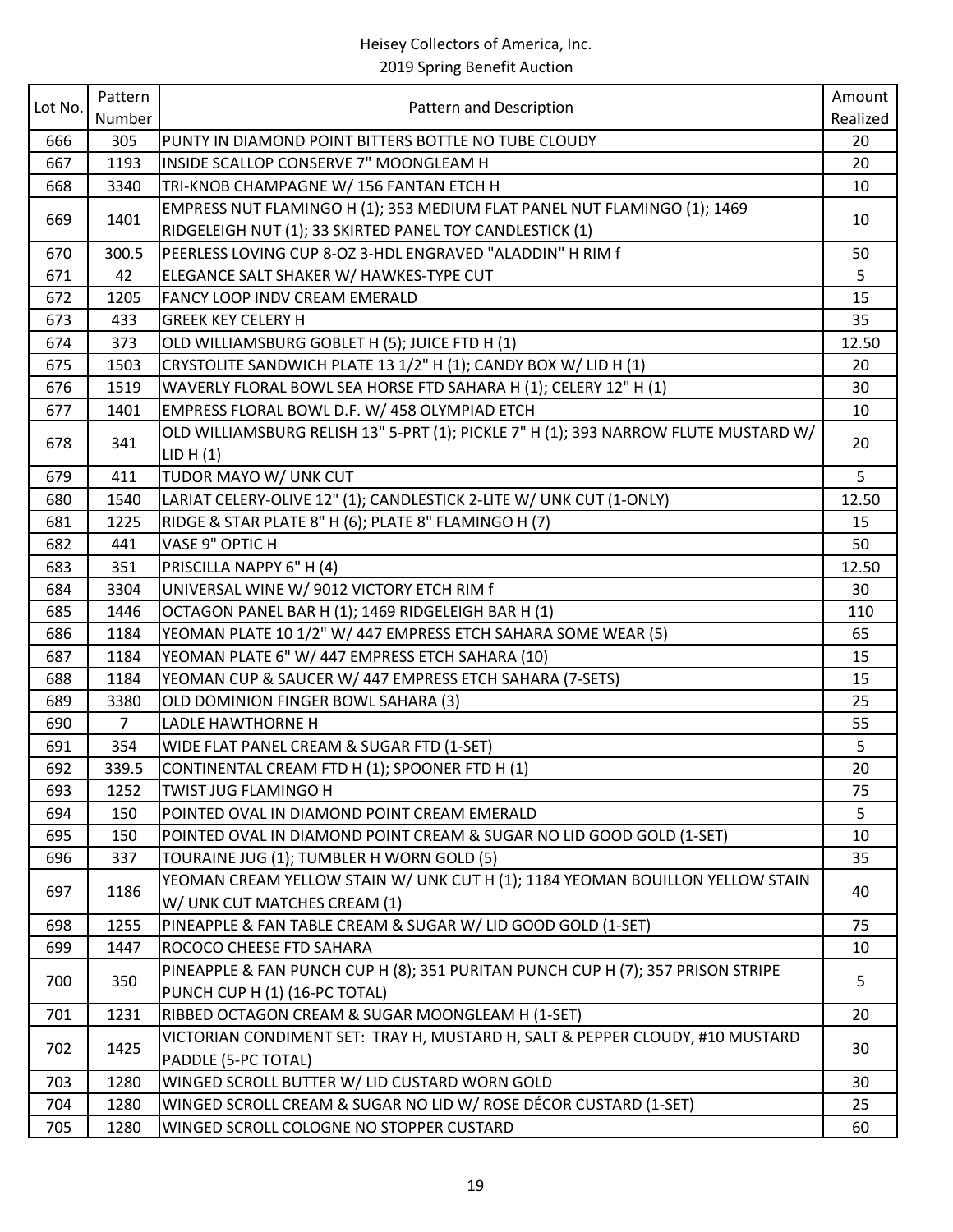### Heisey Collectors of America, Inc.

2019 Spring Benefit Auction

| Lot No. | Pattern | Pattern and Description                                                             | Amount   |
|---------|---------|-------------------------------------------------------------------------------------|----------|
|         | Number  |                                                                                     | Realized |
| 666     | 305     | PUNTY IN DIAMOND POINT BITTERS BOTTLE NO TUBE CLOUDY                                | 20       |
| 667     | 1193    | INSIDE SCALLOP CONSERVE 7" MOONGLEAM H                                              | 20       |
| 668     | 3340    | TRI-KNOB CHAMPAGNE W/156 FANTAN ETCH H                                              | 10       |
| 669     |         | EMPRESS NUT FLAMINGO H (1); 353 MEDIUM FLAT PANEL NUT FLAMINGO (1); 1469            |          |
|         | 1401    | RIDGELEIGH NUT (1); 33 SKIRTED PANEL TOY CANDLESTICK (1)                            | 10       |
| 670     | 300.5   | PEERLESS LOVING CUP 8-OZ 3-HDL ENGRAVED "ALADDIN" H RIM f                           | 50       |
| 671     | 42      | ELEGANCE SALT SHAKER W/ HAWKES-TYPE CUT                                             | 5        |
| 672     | 1205    | FANCY LOOP INDV CREAM EMERALD                                                       | 15       |
| 673     | 433     | <b>GREEK KEY CELERY H</b>                                                           | 35       |
| 674     | 373     | OLD WILLIAMSBURG GOBLET H (5); JUICE FTD H (1)                                      | 12.50    |
| 675     | 1503    | CRYSTOLITE SANDWICH PLATE 13 1/2" H (1); CANDY BOX W/ LID H (1)                     | 20       |
| 676     | 1519    | WAVERLY FLORAL BOWL SEA HORSE FTD SAHARA H (1); CELERY 12" H (1)                    | 30       |
| 677     | 1401    | EMPRESS FLORAL BOWL D.F. W/ 458 OLYMPIAD ETCH                                       | 10       |
|         |         | OLD WILLIAMSBURG RELISH 13" 5-PRT (1); PICKLE 7" H (1); 393 NARROW FLUTE MUSTARD W/ |          |
| 678     | 341     | LID H (1)                                                                           | 20       |
| 679     | 411     | TUDOR MAYO W/ UNK CUT                                                               | 5        |
| 680     | 1540    | LARIAT CELERY-OLIVE 12" (1); CANDLESTICK 2-LITE W/ UNK CUT (1-ONLY)                 | 12.50    |
| 681     | 1225    | RIDGE & STAR PLATE 8" H (6); PLATE 8" FLAMINGO H (7)                                | 15       |
| 682     | 441     | VASE 9" OPTIC H                                                                     | 50       |
| 683     | 351     | PRISCILLA NAPPY 6" H (4)                                                            | 12.50    |
| 684     | 3304    | UNIVERSAL WINE W/ 9012 VICTORY ETCH RIM f                                           | 30       |
| 685     | 1446    | OCTAGON PANEL BAR H (1); 1469 RIDGELEIGH BAR H (1)                                  | 110      |
| 686     | 1184    | YEOMAN PLATE 10 1/2" W/ 447 EMPRESS ETCH SAHARA SOME WEAR (5)                       | 65       |
| 687     | 1184    | YEOMAN PLATE 6" W/ 447 EMPRESS ETCH SAHARA (10)                                     | 15       |
| 688     | 1184    | YEOMAN CUP & SAUCER W/ 447 EMPRESS ETCH SAHARA (7-SETS)                             | 15       |
| 689     | 3380    | OLD DOMINION FINGER BOWL SAHARA (3)                                                 | 25       |
| 690     | 7       | LADLE HAWTHORNE H                                                                   | 55       |
| 691     | 354     | WIDE FLAT PANEL CREAM & SUGAR FTD (1-SET)                                           | 5        |
| 692     | 339.5   | CONTINENTAL CREAM FTD H (1); SPOONER FTD H (1)                                      | 20       |
| 693     | 1252    | <b>TWIST JUG FLAMINGO H</b>                                                         | 75       |
| 694     | 150     | POINTED OVAL IN DIAMOND POINT CREAM EMERALD                                         | 5        |
| 695     | 150     | POINTED OVAL IN DIAMOND POINT CREAM & SUGAR NO LID GOOD GOLD (1-SET)                | 10       |
| 696     | 337     | TOURAINE JUG (1); TUMBLER H WORN GOLD (5)                                           | 35       |
|         |         | YEOMAN CREAM YELLOW STAIN W/ UNK CUT H (1); 1184 YEOMAN BOUILLON YELLOW STAIN       |          |
| 697     | 1186    | W/ UNK CUT MATCHES CREAM (1)                                                        | 40       |
| 698     | 1255    | PINEAPPLE & FAN TABLE CREAM & SUGAR W/ LID GOOD GOLD (1-SET)                        | 75       |
| 699     | 1447    | ROCOCO CHEESE FTD SAHARA                                                            | 10       |
|         |         | PINEAPPLE & FAN PUNCH CUP H (8); 351 PURITAN PUNCH CUP H (7); 357 PRISON STRIPE     |          |
| 700     | 350     | PUNCH CUP H (1) (16-PC TOTAL)                                                       | 5        |
| 701     | 1231    | RIBBED OCTAGON CREAM & SUGAR MOONGLEAM H (1-SET)                                    | 20       |
|         |         | VICTORIAN CONDIMENT SET: TRAY H, MUSTARD H, SALT & PEPPER CLOUDY, #10 MUSTARD       |          |
| 702     | 1425    | PADDLE (5-PC TOTAL)                                                                 | 30       |
| 703     | 1280    | WINGED SCROLL BUTTER W/ LID CUSTARD WORN GOLD                                       | 30       |
| 704     | 1280    | WINGED SCROLL CREAM & SUGAR NO LID W/ ROSE DÉCOR CUSTARD (1-SET)                    | 25       |
| 705     | 1280    | WINGED SCROLL COLOGNE NO STOPPER CUSTARD                                            | 60       |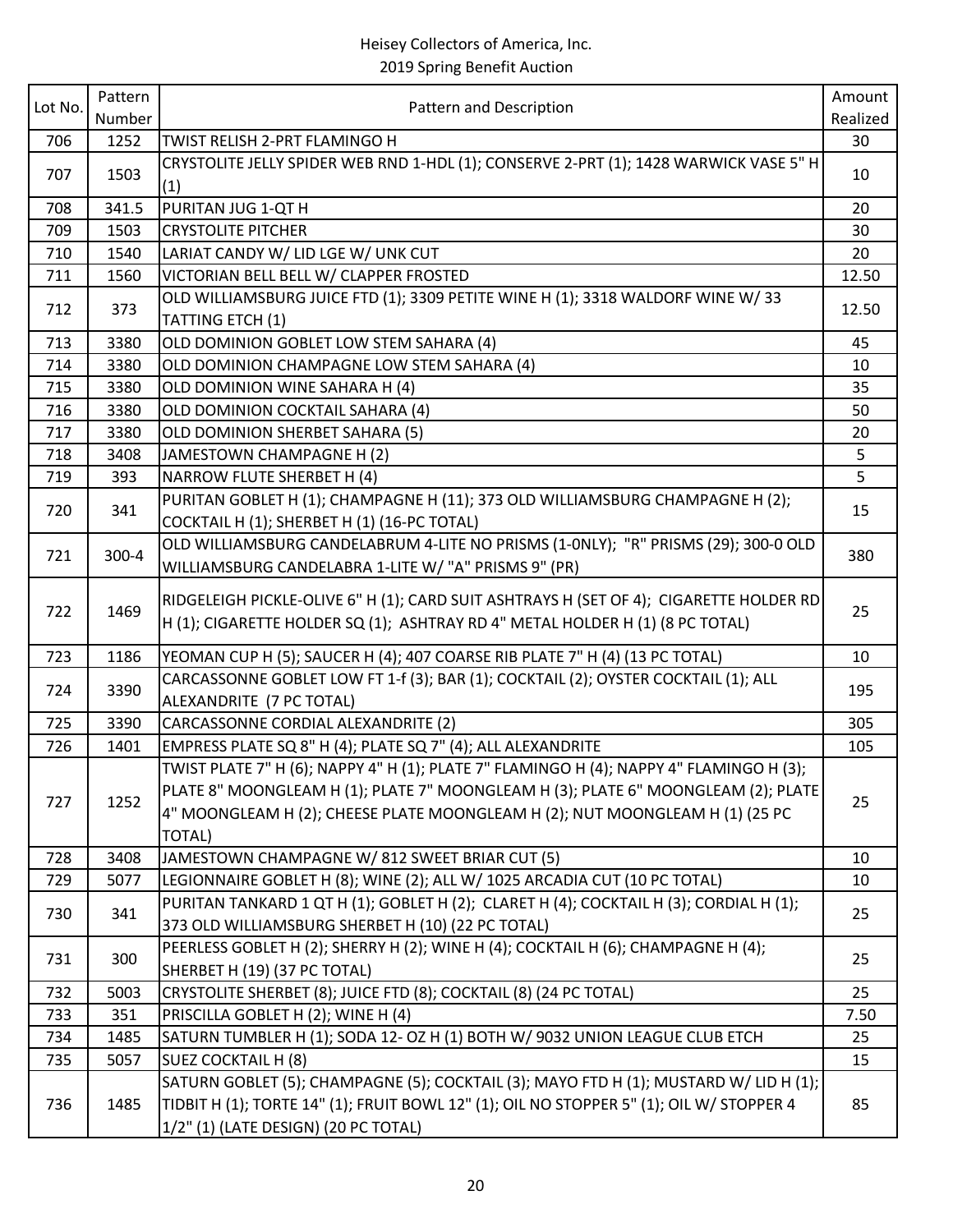| Lot No. | Pattern | Pattern and Description                                                                                                                                                                                                                                                       | Amount   |
|---------|---------|-------------------------------------------------------------------------------------------------------------------------------------------------------------------------------------------------------------------------------------------------------------------------------|----------|
|         | Number  | TWIST RELISH 2-PRT FLAMINGO H                                                                                                                                                                                                                                                 | Realized |
| 706     | 1252    | CRYSTOLITE JELLY SPIDER WEB RND 1-HDL (1); CONSERVE 2-PRT (1); 1428 WARWICK VASE 5" H                                                                                                                                                                                         | 30       |
| 707     | 1503    | (1)                                                                                                                                                                                                                                                                           | 10       |
| 708     | 341.5   | PURITAN JUG 1-QT H                                                                                                                                                                                                                                                            | 20       |
| 709     | 1503    | <b>CRYSTOLITE PITCHER</b>                                                                                                                                                                                                                                                     | 30       |
| 710     | 1540    | LARIAT CANDY W/ LID LGE W/ UNK CUT                                                                                                                                                                                                                                            | 20       |
| 711     | 1560    | VICTORIAN BELL BELL W/ CLAPPER FROSTED                                                                                                                                                                                                                                        | 12.50    |
| 712     | 373     | OLD WILLIAMSBURG JUICE FTD (1); 3309 PETITE WINE H (1); 3318 WALDORF WINE W/ 33<br>TATTING ETCH (1)                                                                                                                                                                           | 12.50    |
| 713     | 3380    | OLD DOMINION GOBLET LOW STEM SAHARA (4)                                                                                                                                                                                                                                       | 45       |
| 714     | 3380    | OLD DOMINION CHAMPAGNE LOW STEM SAHARA (4)                                                                                                                                                                                                                                    | 10       |
| 715     | 3380    | OLD DOMINION WINE SAHARA H (4)                                                                                                                                                                                                                                                | 35       |
| 716     | 3380    | OLD DOMINION COCKTAIL SAHARA (4)                                                                                                                                                                                                                                              | 50       |
| 717     | 3380    | OLD DOMINION SHERBET SAHARA (5)                                                                                                                                                                                                                                               | 20       |
| 718     | 3408    | JAMESTOWN CHAMPAGNE H (2)                                                                                                                                                                                                                                                     | 5        |
|         |         |                                                                                                                                                                                                                                                                               |          |
| 719     | 393     | <b>NARROW FLUTE SHERBET H (4)</b>                                                                                                                                                                                                                                             | 5        |
| 720     | 341     | PURITAN GOBLET H (1); CHAMPAGNE H (11); 373 OLD WILLIAMSBURG CHAMPAGNE H (2);<br>COCKTAIL H (1); SHERBET H (1) (16-PC TOTAL)                                                                                                                                                  | 15       |
| 721     | 300-4   | OLD WILLIAMSBURG CANDELABRUM 4-LITE NO PRISMS (1-0NLY); "R" PRISMS (29); 300-0 OLD                                                                                                                                                                                            | 380      |
|         |         | WILLIAMSBURG CANDELABRA 1-LITE W/ "A" PRISMS 9" (PR)                                                                                                                                                                                                                          |          |
| 722     | 1469    | RIDGELEIGH PICKLE-OLIVE 6" H (1); CARD SUIT ASHTRAYS H (SET OF 4); CIGARETTE HOLDER RD<br>H (1); CIGARETTE HOLDER SQ (1); ASHTRAY RD 4" METAL HOLDER H (1) (8 PC TOTAL)                                                                                                       | 25       |
| 723     | 1186    | YEOMAN CUP H (5); SAUCER H (4); 407 COARSE RIB PLATE 7" H (4) (13 PC TOTAL)                                                                                                                                                                                                   | 10       |
| 724     | 3390    | CARCASSONNE GOBLET LOW FT 1-f (3); BAR (1); COCKTAIL (2); OYSTER COCKTAIL (1); ALL<br>ALEXANDRITE (7 PC TOTAL)                                                                                                                                                                | 195      |
| 725     | 3390    | CARCASSONNE CORDIAL ALEXANDRITE (2)                                                                                                                                                                                                                                           | 305      |
| 726     | 1401    | EMPRESS PLATE SQ 8" H (4); PLATE SQ 7" (4); ALL ALEXANDRITE                                                                                                                                                                                                                   | 105      |
| 727     | 1252    | TWIST PLATE 7" H (6); NAPPY 4" H (1); PLATE 7" FLAMINGO H (4); NAPPY 4" FLAMINGO H (3);<br>PLATE 8" MOONGLEAM H (1); PLATE 7" MOONGLEAM H (3); PLATE 6" MOONGLEAM (2); PLATE<br>4" MOONGLEAM H (2); CHEESE PLATE MOONGLEAM H (2); NUT MOONGLEAM H (1) (25 PC<br><b>TOTAL)</b> | 25       |
| 728     | 3408    | JAMESTOWN CHAMPAGNE W/812 SWEET BRIAR CUT (5)                                                                                                                                                                                                                                 | 10       |
| 729     | 5077    | LEGIONNAIRE GOBLET H (8); WINE (2); ALL W/ 1025 ARCADIA CUT (10 PC TOTAL)                                                                                                                                                                                                     | 10       |
| 730     | 341     | PURITAN TANKARD 1 QT H (1); GOBLET H (2); CLARET H (4); COCKTAIL H (3); CORDIAL H (1);<br>373 OLD WILLIAMSBURG SHERBET H (10) (22 PC TOTAL)                                                                                                                                   | 25       |
| 731     | 300     | PEERLESS GOBLET H (2); SHERRY H (2); WINE H (4); COCKTAIL H (6); CHAMPAGNE H (4);<br>SHERBET H (19) (37 PC TOTAL)                                                                                                                                                             | 25       |
| 732     | 5003    | CRYSTOLITE SHERBET (8); JUICE FTD (8); COCKTAIL (8) (24 PC TOTAL)                                                                                                                                                                                                             | 25       |
| 733     | 351     | PRISCILLA GOBLET H (2); WINE H (4)                                                                                                                                                                                                                                            | 7.50     |
| 734     | 1485    | SATURN TUMBLER H (1); SODA 12- OZ H (1) BOTH W/ 9032 UNION LEAGUE CLUB ETCH                                                                                                                                                                                                   | 25       |
| 735     | 5057    | SUEZ COCKTAIL H (8)                                                                                                                                                                                                                                                           | 15       |
| 736     | 1485    | SATURN GOBLET (5); CHAMPAGNE (5); COCKTAIL (3); MAYO FTD H (1); MUSTARD W/ LID H (1);<br>TIDBIT H (1); TORTE 14" (1); FRUIT BOWL 12" (1); OIL NO STOPPER 5" (1); OIL W/ STOPPER 4<br>1/2" (1) (LATE DESIGN) (20 PC TOTAL)                                                     | 85       |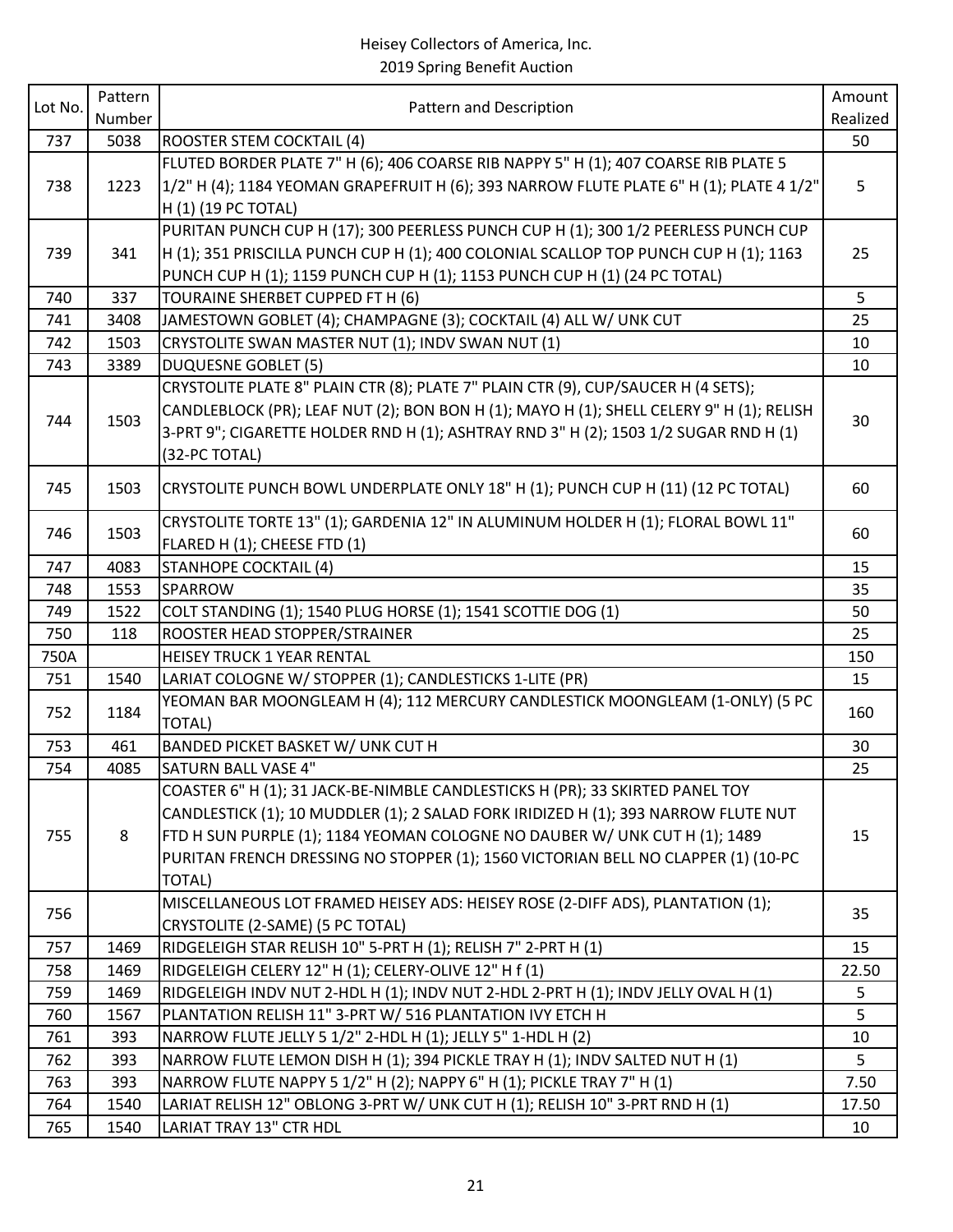| Lot No. | Pattern | Pattern and Description                                                                  | Amount         |
|---------|---------|------------------------------------------------------------------------------------------|----------------|
|         | Number  |                                                                                          | Realized       |
| 737     | 5038    | <b>ROOSTER STEM COCKTAIL (4)</b>                                                         | 50             |
|         |         | FLUTED BORDER PLATE 7" H (6); 406 COARSE RIB NAPPY 5" H (1); 407 COARSE RIB PLATE 5      |                |
| 738     | 1223    | 1/2" H (4); 1184 YEOMAN GRAPEFRUIT H (6); 393 NARROW FLUTE PLATE 6" H (1); PLATE 4 1/2"  | 5              |
|         |         | H (1) (19 PC TOTAL)                                                                      |                |
|         |         | PURITAN PUNCH CUP H (17); 300 PEERLESS PUNCH CUP H (1); 300 1/2 PEERLESS PUNCH CUP       |                |
| 739     | 341     | H (1); 351 PRISCILLA PUNCH CUP H (1); 400 COLONIAL SCALLOP TOP PUNCH CUP H (1); 1163     | 25             |
|         |         | PUNCH CUP H (1); 1159 PUNCH CUP H (1); 1153 PUNCH CUP H (1) (24 PC TOTAL)                |                |
| 740     | 337     | TOURAINE SHERBET CUPPED FT H (6)                                                         | 5 <sup>1</sup> |
| 741     | 3408    | JAMESTOWN GOBLET (4); CHAMPAGNE (3); COCKTAIL (4) ALL W/ UNK CUT                         | 25             |
| 742     | 1503    | CRYSTOLITE SWAN MASTER NUT (1); INDV SWAN NUT (1)                                        | 10             |
| 743     | 3389    | <b>DUQUESNE GOBLET (5)</b>                                                               | 10             |
|         |         | CRYSTOLITE PLATE 8" PLAIN CTR (8); PLATE 7" PLAIN CTR (9), CUP/SAUCER H (4 SETS);        |                |
| 744     | 1503    | CANDLEBLOCK (PR); LEAF NUT (2); BON BON H (1); MAYO H (1); SHELL CELERY 9" H (1); RELISH | 30             |
|         |         | 3-PRT 9"; CIGARETTE HOLDER RND H (1); ASHTRAY RND 3" H (2); 1503 1/2 SUGAR RND H (1)     |                |
|         |         | (32-PC TOTAL)                                                                            |                |
| 745     | 1503    | CRYSTOLITE PUNCH BOWL UNDERPLATE ONLY 18" H (1); PUNCH CUP H (11) (12 PC TOTAL)          | 60             |
|         |         | CRYSTOLITE TORTE 13" (1); GARDENIA 12" IN ALUMINUM HOLDER H (1); FLORAL BOWL 11"         |                |
| 746     | 1503    | FLARED H (1); CHEESE FTD (1)                                                             | 60             |
| 747     | 4083    | <b>STANHOPE COCKTAIL (4)</b>                                                             | 15             |
| 748     | 1553    | SPARROW                                                                                  | 35             |
| 749     | 1522    | COLT STANDING (1); 1540 PLUG HORSE (1); 1541 SCOTTIE DOG (1)                             | 50             |
| 750     | 118     | ROOSTER HEAD STOPPER/STRAINER                                                            | 25             |
| 750A    |         | <b>HEISEY TRUCK 1 YEAR RENTAL</b>                                                        | 150            |
| 751     | 1540    | LARIAT COLOGNE W/ STOPPER (1); CANDLESTICKS 1-LITE (PR)                                  | 15             |
| 752     | 1184    | YEOMAN BAR MOONGLEAM H (4); 112 MERCURY CANDLESTICK MOONGLEAM (1-ONLY) (5 PC             | 160            |
|         |         | <b>TOTAL)</b>                                                                            |                |
| 753     | 461     | BANDED PICKET BASKET W/ UNK CUT H                                                        | 30             |
| 754     | 4085    | <b>SATURN BALL VASE 4"</b>                                                               | 25             |
|         |         | COASTER 6" H (1); 31 JACK-BE-NIMBLE CANDLESTICKS H (PR); 33 SKIRTED PANEL TOY            |                |
|         |         | CANDLESTICK (1); 10 MUDDLER (1); 2 SALAD FORK IRIDIZED H (1); 393 NARROW FLUTE NUT       |                |
| 755     | 8       | FTD H SUN PURPLE (1); 1184 YEOMAN COLOGNE NO DAUBER W/ UNK CUT H (1); 1489               | 15             |
|         |         | PURITAN FRENCH DRESSING NO STOPPER (1); 1560 VICTORIAN BELL NO CLAPPER (1) (10-PC        |                |
|         |         | <b>TOTAL)</b>                                                                            |                |
| 756     |         | MISCELLANEOUS LOT FRAMED HEISEY ADS: HEISEY ROSE (2-DIFF ADS), PLANTATION (1);           | 35             |
|         |         | CRYSTOLITE (2-SAME) (5 PC TOTAL)                                                         |                |
| 757     | 1469    | RIDGELEIGH STAR RELISH 10" 5-PRT H (1); RELISH 7" 2-PRT H (1)                            | 15             |
| 758     | 1469    | RIDGELEIGH CELERY 12" H (1); CELERY-OLIVE 12" H f (1)                                    | 22.50          |
| 759     | 1469    | RIDGELEIGH INDV NUT 2-HDL H (1); INDV NUT 2-HDL 2-PRT H (1); INDV JELLY OVAL H (1)       | 5              |
| 760     | 1567    | PLANTATION RELISH 11" 3-PRT W/ 516 PLANTATION IVY ETCH H                                 | 5              |
| 761     | 393     | NARROW FLUTE JELLY 5 1/2" 2-HDL H (1); JELLY 5" 1-HDL H (2)                              | 10             |
| 762     | 393     | NARROW FLUTE LEMON DISH H (1); 394 PICKLE TRAY H (1); INDV SALTED NUT H (1)              | 5              |
| 763     | 393     | NARROW FLUTE NAPPY 5 1/2" H (2); NAPPY 6" H (1); PICKLE TRAY 7" H (1)                    | 7.50           |
| 764     | 1540    | LARIAT RELISH 12" OBLONG 3-PRT W/ UNK CUT H (1); RELISH 10" 3-PRT RND H (1)              | 17.50          |
| 765     | 1540    | <b>LARIAT TRAY 13" CTR HDL</b>                                                           | 10             |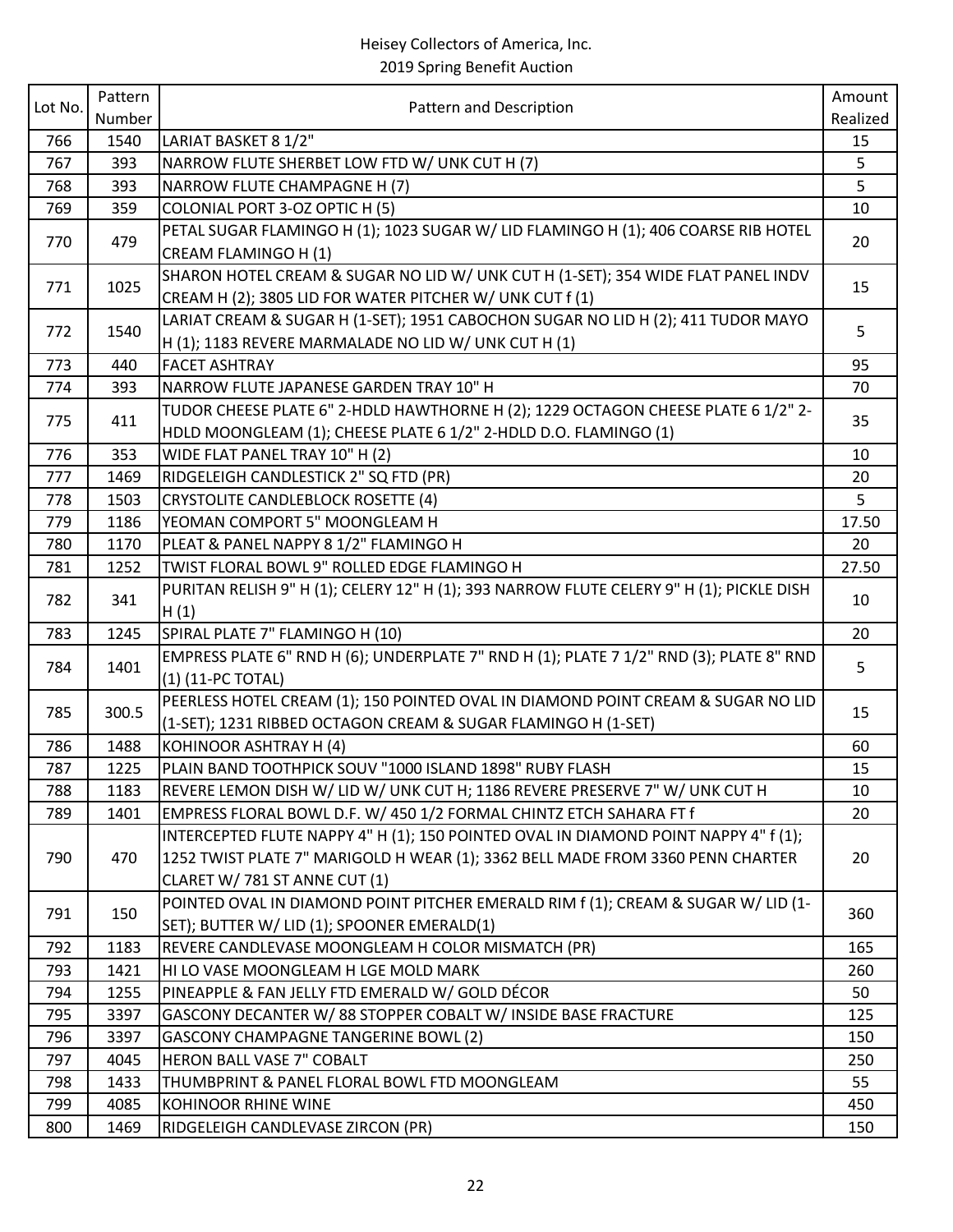# Heisey Collectors of America, Inc.

2019 Spring Benefit Auction

| Lot No. | Pattern | Pattern and Description                                                                  | Amount   |
|---------|---------|------------------------------------------------------------------------------------------|----------|
|         | Number  |                                                                                          | Realized |
| 766     | 1540    | LARIAT BASKET 8 1/2"                                                                     | 15       |
| 767     | 393     | NARROW FLUTE SHERBET LOW FTD W/ UNK CUT H (7)                                            | 5        |
| 768     | 393     | NARROW FLUTE CHAMPAGNE H (7)                                                             | 5        |
| 769     | 359     | COLONIAL PORT 3-OZ OPTIC H (5)                                                           | 10       |
| 770     | 479     | PETAL SUGAR FLAMINGO H (1); 1023 SUGAR W/ LID FLAMINGO H (1); 406 COARSE RIB HOTEL       | 20       |
|         |         | CREAM FLAMINGO H (1)                                                                     |          |
| 771     | 1025    | SHARON HOTEL CREAM & SUGAR NO LID W/ UNK CUT H (1-SET); 354 WIDE FLAT PANEL INDV         | 15       |
|         |         | CREAM H (2); 3805 LID FOR WATER PITCHER W/ UNK CUT f (1)                                 |          |
| 772     | 1540    | LARIAT CREAM & SUGAR H (1-SET); 1951 CABOCHON SUGAR NO LID H (2); 411 TUDOR MAYO         | 5        |
|         |         | H (1); 1183 REVERE MARMALADE NO LID W/ UNK CUT H (1)                                     |          |
| 773     | 440     | <b>FACET ASHTRAY</b>                                                                     | 95       |
| 774     | 393     | NARROW FLUTE JAPANESE GARDEN TRAY 10" H                                                  | 70       |
| 775     | 411     | TUDOR CHEESE PLATE 6" 2-HDLD HAWTHORNE H (2); 1229 OCTAGON CHEESE PLATE 6 1/2" 2-        | 35       |
|         |         | HDLD MOONGLEAM (1); CHEESE PLATE 6 1/2" 2-HDLD D.O. FLAMINGO (1)                         |          |
| 776     | 353     | WIDE FLAT PANEL TRAY 10" H (2)                                                           | 10       |
| 777     | 1469    | RIDGELEIGH CANDLESTICK 2" SQ FTD (PR)                                                    | 20       |
| 778     | 1503    | <b>CRYSTOLITE CANDLEBLOCK ROSETTE (4)</b>                                                | 5        |
| 779     | 1186    | YEOMAN COMPORT 5" MOONGLEAM H                                                            | 17.50    |
| 780     | 1170    | PLEAT & PANEL NAPPY 8 1/2" FLAMINGO H                                                    | 20       |
| 781     | 1252    | TWIST FLORAL BOWL 9" ROLLED EDGE FLAMINGO H                                              | 27.50    |
| 782     | 341     | PURITAN RELISH 9" H (1); CELERY 12" H (1); 393 NARROW FLUTE CELERY 9" H (1); PICKLE DISH | 10       |
|         |         | H(1)                                                                                     |          |
| 783     | 1245    | SPIRAL PLATE 7" FLAMINGO H (10)                                                          | 20       |
| 784     | 1401    | EMPRESS PLATE 6" RND H (6); UNDERPLATE 7" RND H (1); PLATE 7 1/2" RND (3); PLATE 8" RND  | 5        |
|         |         | (1) (11-PC TOTAL)                                                                        |          |
| 785     | 300.5   | PEERLESS HOTEL CREAM (1); 150 POINTED OVAL IN DIAMOND POINT CREAM & SUGAR NO LID         | 15       |
|         |         | (1-SET); 1231 RIBBED OCTAGON CREAM & SUGAR FLAMINGO H (1-SET)                            |          |
| 786     | 1488    | KOHINOOR ASHTRAY H (4)                                                                   | 60       |
| 787     | 1225    | PLAIN BAND TOOTHPICK SOUV "1000 ISLAND 1898" RUBY FLASH                                  | 15       |
| 788     | 1183    | REVERE LEMON DISH W/ LID W/ UNK CUT H; 1186 REVERE PRESERVE 7" W/ UNK CUT H              | 10       |
| 789     | 1401    | EMPRESS FLORAL BOWL D.F. W/ 450 1/2 FORMAL CHINTZ ETCH SAHARA FT f                       | 20       |
|         |         | INTERCEPTED FLUTE NAPPY 4" H (1); 150 POINTED OVAL IN DIAMOND POINT NAPPY 4" f (1);      |          |
| 790     | 470     | 1252 TWIST PLATE 7" MARIGOLD H WEAR (1); 3362 BELL MADE FROM 3360 PENN CHARTER           | 20       |
|         |         | CLARET W/ 781 ST ANNE CUT (1)                                                            |          |
|         | 150     | POINTED OVAL IN DIAMOND POINT PITCHER EMERALD RIM f (1); CREAM & SUGAR W/ LID (1-        |          |
| 791     |         | SET); BUTTER W/ LID (1); SPOONER EMERALD(1)                                              | 360      |
| 792     | 1183    | REVERE CANDLEVASE MOONGLEAM H COLOR MISMATCH (PR)                                        | 165      |
| 793     | 1421    | HI LO VASE MOONGLEAM H LGE MOLD MARK                                                     | 260      |
| 794     | 1255    | PINEAPPLE & FAN JELLY FTD EMERALD W/ GOLD DÉCOR                                          | 50       |
| 795     | 3397    | GASCONY DECANTER W/88 STOPPER COBALT W/ INSIDE BASE FRACTURE                             | 125      |
| 796     | 3397    | <b>GASCONY CHAMPAGNE TANGERINE BOWL (2)</b>                                              | 150      |
| 797     | 4045    | HERON BALL VASE 7" COBALT                                                                | 250      |
| 798     | 1433    | THUMBPRINT & PANEL FLORAL BOWL FTD MOONGLEAM                                             | 55       |
| 799     | 4085    | <b>KOHINOOR RHINE WINE</b>                                                               | 450      |
| 800     | 1469    | RIDGELEIGH CANDLEVASE ZIRCON (PR)                                                        | 150      |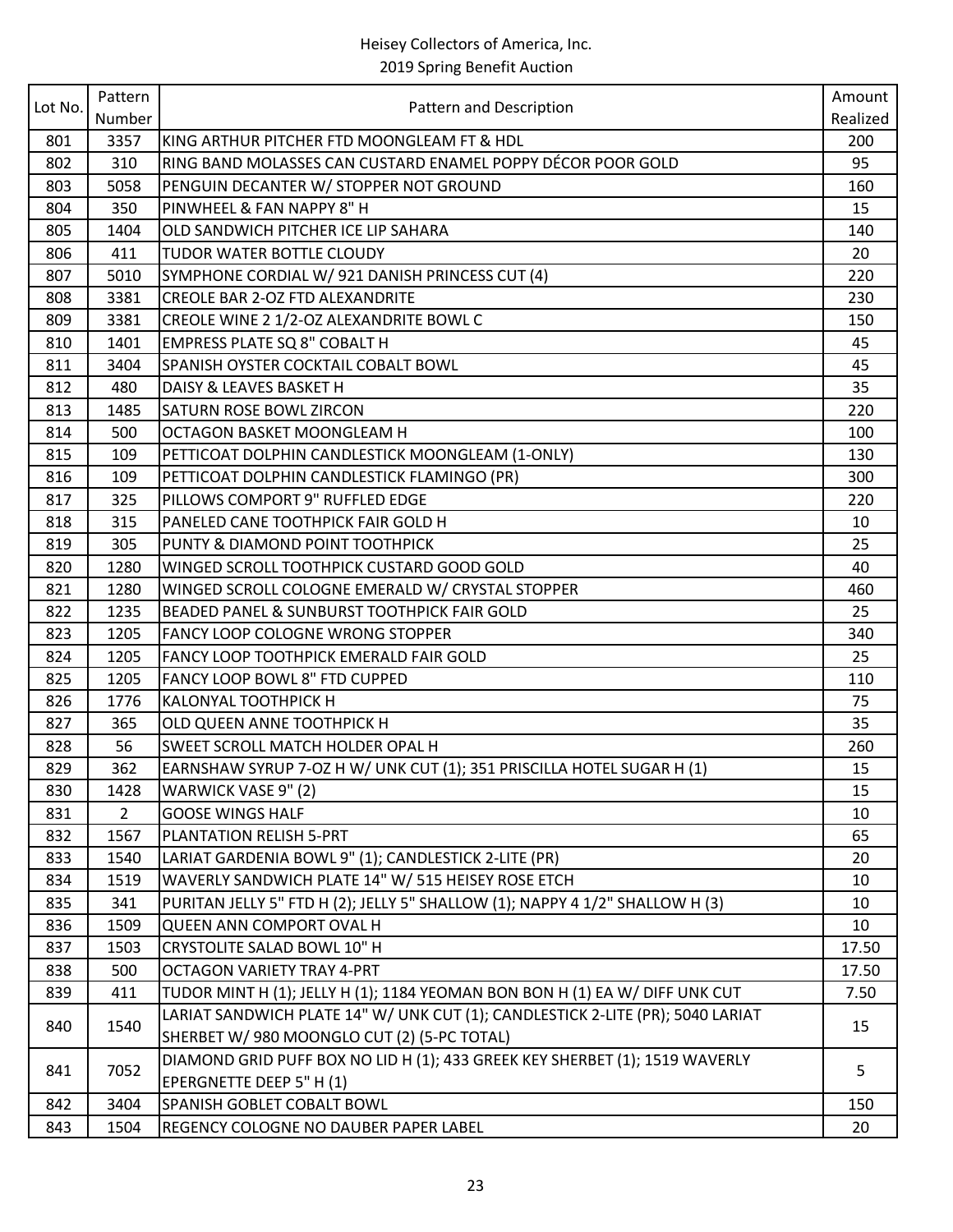|         | Pattern        |                                                                                | Amount   |
|---------|----------------|--------------------------------------------------------------------------------|----------|
| Lot No. | Number         | Pattern and Description                                                        | Realized |
| 801     | 3357           | KING ARTHUR PITCHER FTD MOONGLEAM FT & HDL                                     | 200      |
| 802     | 310            | RING BAND MOLASSES CAN CUSTARD ENAMEL POPPY DÉCOR POOR GOLD                    | 95       |
| 803     | 5058           | PENGUIN DECANTER W/ STOPPER NOT GROUND                                         | 160      |
| 804     | 350            | PINWHEEL & FAN NAPPY 8" H                                                      | 15       |
| 805     | 1404           | OLD SANDWICH PITCHER ICE LIP SAHARA                                            | 140      |
| 806     | 411            | <b>TUDOR WATER BOTTLE CLOUDY</b>                                               | 20       |
| 807     | 5010           | SYMPHONE CORDIAL W/ 921 DANISH PRINCESS CUT (4)                                | 220      |
| 808     | 3381           | <b>CREOLE BAR 2-OZ FTD ALEXANDRITE</b>                                         | 230      |
| 809     | 3381           | CREOLE WINE 2 1/2-OZ ALEXANDRITE BOWL C                                        | 150      |
| 810     | 1401           | EMPRESS PLATE SQ 8" COBALT H                                                   | 45       |
| 811     | 3404           | SPANISH OYSTER COCKTAIL COBALT BOWL                                            | 45       |
| 812     | 480            | DAISY & LEAVES BASKET H                                                        | 35       |
| 813     | 1485           | <b>SATURN ROSE BOWL ZIRCON</b>                                                 | 220      |
| 814     | 500            | OCTAGON BASKET MOONGLEAM H                                                     | 100      |
| 815     | 109            | PETTICOAT DOLPHIN CANDLESTICK MOONGLEAM (1-ONLY)                               | 130      |
| 816     | 109            | PETTICOAT DOLPHIN CANDLESTICK FLAMINGO (PR)                                    | 300      |
| 817     | 325            | PILLOWS COMPORT 9" RUFFLED EDGE                                                | 220      |
| 818     | 315            | PANELED CANE TOOTHPICK FAIR GOLD H                                             | 10       |
| 819     | 305            | PUNTY & DIAMOND POINT TOOTHPICK                                                | 25       |
| 820     | 1280           | WINGED SCROLL TOOTHPICK CUSTARD GOOD GOLD                                      | 40       |
| 821     | 1280           | WINGED SCROLL COLOGNE EMERALD W/ CRYSTAL STOPPER                               | 460      |
| 822     | 1235           | BEADED PANEL & SUNBURST TOOTHPICK FAIR GOLD                                    | 25       |
| 823     | 1205           | <b>FANCY LOOP COLOGNE WRONG STOPPER</b>                                        | 340      |
| 824     | 1205           | FANCY LOOP TOOTHPICK EMERALD FAIR GOLD                                         | 25       |
| 825     | 1205           | FANCY LOOP BOWL 8" FTD CUPPED                                                  | 110      |
| 826     | 1776           | KALONYAL TOOTHPICK H                                                           | 75       |
| 827     | 365            | OLD QUEEN ANNE TOOTHPICK H                                                     | 35       |
| 828     | 56             | <b>SWEET SCROLL MATCH HOLDER OPAL H</b>                                        | 260      |
| 829     | 362            | EARNSHAW SYRUP 7-OZ H W/ UNK CUT (1); 351 PRISCILLA HOTEL SUGAR H (1)          | 15       |
| 830     | 1428           | WARWICK VASE 9" (2)                                                            | 15       |
| 831     | $\overline{2}$ | <b>GOOSE WINGS HALF</b>                                                        | 10       |
| 832     | 1567           | PLANTATION RELISH 5-PRT                                                        | 65       |
| 833     | 1540           | LARIAT GARDENIA BOWL 9" (1); CANDLESTICK 2-LITE (PR)                           | 20       |
| 834     | 1519           | WAVERLY SANDWICH PLATE 14" W/ 515 HEISEY ROSE ETCH                             | 10       |
| 835     | 341            | PURITAN JELLY 5" FTD H (2); JELLY 5" SHALLOW (1); NAPPY 4 1/2" SHALLOW H (3)   | 10       |
| 836     | 1509           | QUEEN ANN COMPORT OVAL H                                                       | 10       |
| 837     | 1503           | <b>CRYSTOLITE SALAD BOWL 10" H</b>                                             | 17.50    |
| 838     | 500            | <b>OCTAGON VARIETY TRAY 4-PRT</b>                                              | 17.50    |
| 839     | 411            | TUDOR MINT H (1); JELLY H (1); 1184 YEOMAN BON BON H (1) EA W/ DIFF UNK CUT    | 7.50     |
| 840     | 1540           | LARIAT SANDWICH PLATE 14" W/ UNK CUT (1); CANDLESTICK 2-LITE (PR); 5040 LARIAT | 15       |
|         |                | SHERBET W/ 980 MOONGLO CUT (2) (5-PC TOTAL)                                    |          |
| 841     | 7052           | DIAMOND GRID PUFF BOX NO LID H (1); 433 GREEK KEY SHERBET (1); 1519 WAVERLY    | 5        |
|         |                | EPERGNETTE DEEP 5" H (1)                                                       |          |
| 842     | 3404           | <b>SPANISH GOBLET COBALT BOWL</b>                                              | 150      |
| 843     | 1504           | REGENCY COLOGNE NO DAUBER PAPER LABEL                                          | 20       |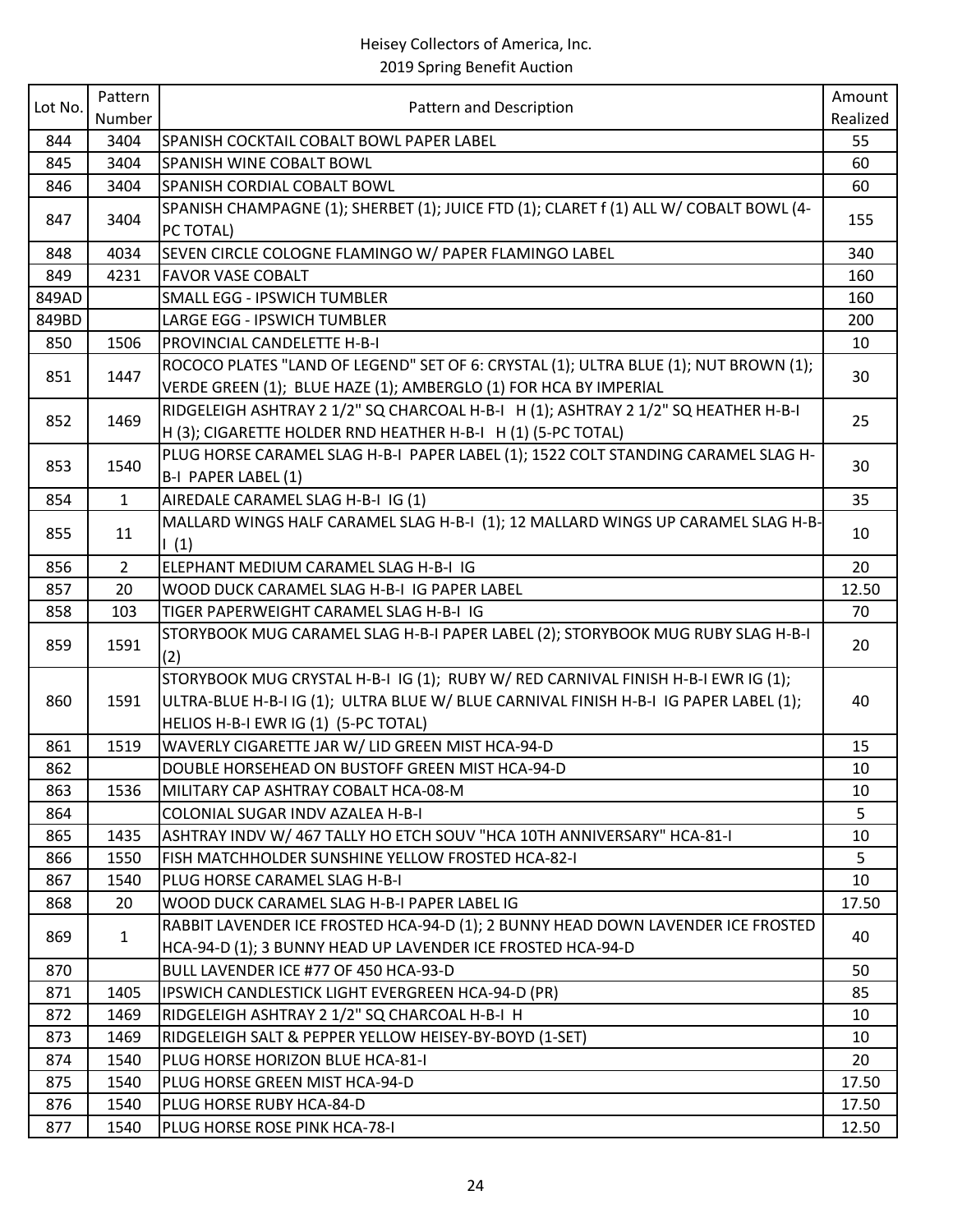| Lot No. | Pattern        |                                                                                                                                                                                                                    | Amount   |
|---------|----------------|--------------------------------------------------------------------------------------------------------------------------------------------------------------------------------------------------------------------|----------|
|         | Number         | Pattern and Description                                                                                                                                                                                            | Realized |
| 844     | 3404           | SPANISH COCKTAIL COBALT BOWL PAPER LABEL                                                                                                                                                                           | 55       |
| 845     | 3404           | <b>SPANISH WINE COBALT BOWL</b>                                                                                                                                                                                    | 60       |
| 846     | 3404           | SPANISH CORDIAL COBALT BOWL                                                                                                                                                                                        | 60       |
| 847     | 3404           | SPANISH CHAMPAGNE (1); SHERBET (1); JUICE FTD (1); CLARET f (1) ALL W/ COBALT BOWL (4-<br>PC TOTAL)                                                                                                                | 155      |
| 848     | 4034           | SEVEN CIRCLE COLOGNE FLAMINGO W/ PAPER FLAMINGO LABEL                                                                                                                                                              | 340      |
| 849     | 4231           | <b>FAVOR VASE COBALT</b>                                                                                                                                                                                           | 160      |
| 849AD   |                | <b>SMALL EGG - IPSWICH TUMBLER</b>                                                                                                                                                                                 | 160      |
| 849BD   |                | <b>LARGE EGG - IPSWICH TUMBLER</b>                                                                                                                                                                                 | 200      |
| 850     | 1506           | <b>PROVINCIAL CANDELETTE H-B-I</b>                                                                                                                                                                                 | 10       |
| 851     | 1447           | ROCOCO PLATES "LAND OF LEGEND" SET OF 6: CRYSTAL (1); ULTRA BLUE (1); NUT BROWN (1);<br>VERDE GREEN (1); BLUE HAZE (1); AMBERGLO (1) FOR HCA BY IMPERIAL                                                           | 30       |
| 852     | 1469           | RIDGELEIGH ASHTRAY 2 1/2" SQ CHARCOAL H-B-I H (1); ASHTRAY 2 1/2" SQ HEATHER H-B-I<br>H (3); CIGARETTE HOLDER RND HEATHER H-B-I H (1) (5-PC TOTAL)                                                                 | 25       |
| 853     | 1540           | PLUG HORSE CARAMEL SLAG H-B-I PAPER LABEL (1); 1522 COLT STANDING CARAMEL SLAG H-<br>B-I PAPER LABEL (1)                                                                                                           | 30       |
| 854     | $\mathbf{1}$   | AIREDALE CARAMEL SLAG H-B-I IG (1)                                                                                                                                                                                 | 35       |
| 855     | 11             | MALLARD WINGS HALF CARAMEL SLAG H-B-I (1); 12 MALLARD WINGS UP CARAMEL SLAG H-B-<br>$\left  \right $ (1)                                                                                                           | 10       |
| 856     | $\overline{2}$ | ELEPHANT MEDIUM CARAMEL SLAG H-B-I IG                                                                                                                                                                              | 20       |
| 857     | 20             | WOOD DUCK CARAMEL SLAG H-B-I IG PAPER LABEL                                                                                                                                                                        | 12.50    |
| 858     | 103            | TIGER PAPERWEIGHT CARAMEL SLAG H-B-I IG                                                                                                                                                                            | 70       |
| 859     | 1591           | STORYBOOK MUG CARAMEL SLAG H-B-I PAPER LABEL (2); STORYBOOK MUG RUBY SLAG H-B-I<br>(2)                                                                                                                             | 20       |
| 860     | 1591           | STORYBOOK MUG CRYSTAL H-B-I IG (1); RUBY W/ RED CARNIVAL FINISH H-B-I EWR IG (1);<br>ULTRA-BLUE H-B-I IG (1); ULTRA BLUE W/ BLUE CARNIVAL FINISH H-B-I IG PAPER LABEL (1);<br>HELIOS H-B-I EWR IG (1) (5-PC TOTAL) | 40       |
| 861     | 1519           | WAVERLY CIGARETTE JAR W/ LID GREEN MIST HCA-94-D                                                                                                                                                                   | 15       |
| 862     |                | DOUBLE HORSEHEAD ON BUSTOFF GREEN MIST HCA-94-D                                                                                                                                                                    | 10       |
| 863     | 1536           | MILITARY CAP ASHTRAY COBALT HCA-08-M                                                                                                                                                                               | 10       |
| 864     |                | COLONIAL SUGAR INDV AZALEA H-B-I                                                                                                                                                                                   | 5        |
| 865     | 1435           | ASHTRAY INDV W/ 467 TALLY HO ETCH SOUV "HCA 10TH ANNIVERSARY" HCA-81-I                                                                                                                                             | 10       |
| 866     | 1550           | FISH MATCHHOLDER SUNSHINE YELLOW FROSTED HCA-82-I                                                                                                                                                                  | 5        |
| 867     | 1540           | PLUG HORSE CARAMEL SLAG H-B-I                                                                                                                                                                                      | 10       |
| 868     | 20             | WOOD DUCK CARAMEL SLAG H-B-I PAPER LABEL IG                                                                                                                                                                        | 17.50    |
| 869     | $\mathbf{1}$   | RABBIT LAVENDER ICE FROSTED HCA-94-D (1); 2 BUNNY HEAD DOWN LAVENDER ICE FROSTED<br>HCA-94-D (1); 3 BUNNY HEAD UP LAVENDER ICE FROSTED HCA-94-D                                                                    | 40       |
| 870     |                | BULL LAVENDER ICE #77 OF 450 HCA-93-D                                                                                                                                                                              | 50       |
| 871     | 1405           | IPSWICH CANDLESTICK LIGHT EVERGREEN HCA-94-D (PR)                                                                                                                                                                  | 85       |
| 872     | 1469           | RIDGELEIGH ASHTRAY 2 1/2" SQ CHARCOAL H-B-I H                                                                                                                                                                      | 10       |
| 873     | 1469           | RIDGELEIGH SALT & PEPPER YELLOW HEISEY-BY-BOYD (1-SET)                                                                                                                                                             | 10       |
| 874     | 1540           | PLUG HORSE HORIZON BLUE HCA-81-I                                                                                                                                                                                   | 20       |
| 875     | 1540           | PLUG HORSE GREEN MIST HCA-94-D                                                                                                                                                                                     | 17.50    |
| 876     | 1540           | PLUG HORSE RUBY HCA-84-D                                                                                                                                                                                           | 17.50    |
| 877     | 1540           | PLUG HORSE ROSE PINK HCA-78-I                                                                                                                                                                                      | 12.50    |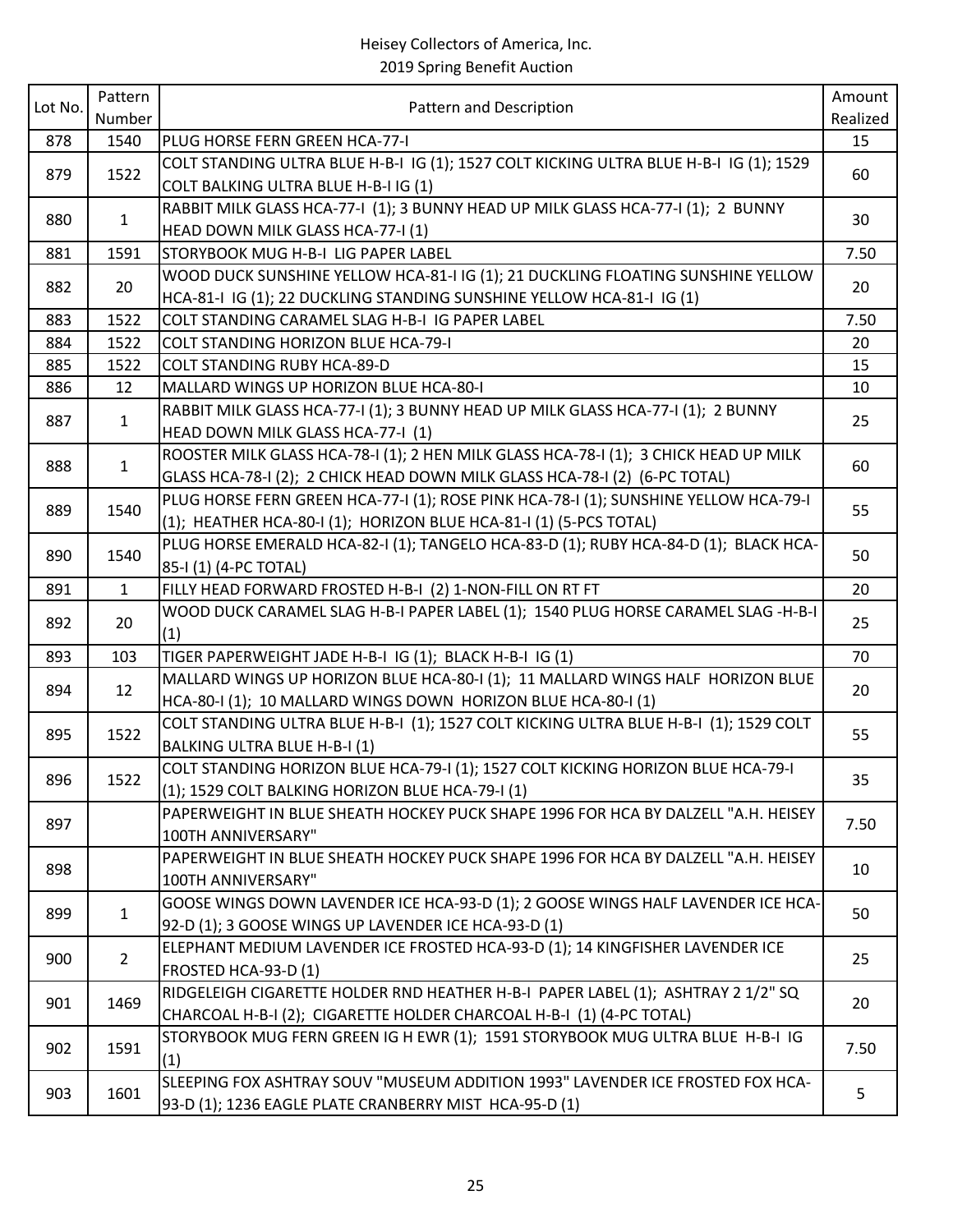### Heisey Collectors of America, Inc.

2019 Spring Benefit Auction

| Lot No. | Pattern      | Pattern and Description                                                                                               | Amount   |
|---------|--------------|-----------------------------------------------------------------------------------------------------------------------|----------|
|         | Number       |                                                                                                                       | Realized |
| 878     | 1540         | PLUG HORSE FERN GREEN HCA-77-I                                                                                        | 15       |
| 879     | 1522         | COLT STANDING ULTRA BLUE H-B-I IG (1); 1527 COLT KICKING ULTRA BLUE H-B-I IG (1); 1529                                | 60       |
|         |              | COLT BALKING ULTRA BLUE H-B-I IG (1)                                                                                  |          |
| 880     | $\mathbf{1}$ | RABBIT MILK GLASS HCA-77-I (1); 3 BUNNY HEAD UP MILK GLASS HCA-77-I (1); 2 BUNNY                                      | 30       |
|         |              | HEAD DOWN MILK GLASS HCA-77-I (1)                                                                                     |          |
| 881     | 1591         | STORYBOOK MUG H-B-I LIG PAPER LABEL                                                                                   | 7.50     |
| 882     | 20           | WOOD DUCK SUNSHINE YELLOW HCA-81-I IG (1); 21 DUCKLING FLOATING SUNSHINE YELLOW                                       | 20       |
|         |              | HCA-81-I IG (1); 22 DUCKLING STANDING SUNSHINE YELLOW HCA-81-I IG (1)                                                 |          |
| 883     | 1522         | COLT STANDING CARAMEL SLAG H-B-I IG PAPER LABEL                                                                       | 7.50     |
| 884     | 1522         | COLT STANDING HORIZON BLUE HCA-79-I                                                                                   | 20       |
| 885     | 1522         | <b>COLT STANDING RUBY HCA-89-D</b>                                                                                    | 15       |
| 886     | 12           | MALLARD WINGS UP HORIZON BLUE HCA-80-I                                                                                | 10       |
| 887     | $\mathbf{1}$ | RABBIT MILK GLASS HCA-77-I (1); 3 BUNNY HEAD UP MILK GLASS HCA-77-I (1); 2 BUNNY<br>HEAD DOWN MILK GLASS HCA-77-I (1) | 25       |
|         |              | ROOSTER MILK GLASS HCA-78-I (1); 2 HEN MILK GLASS HCA-78-I (1); 3 CHICK HEAD UP MILK                                  |          |
| 888     | $\mathbf{1}$ | GLASS HCA-78-I (2); 2 CHICK HEAD DOWN MILK GLASS HCA-78-I (2) (6-PC TOTAL)                                            | 60       |
|         |              | PLUG HORSE FERN GREEN HCA-77-I (1); ROSE PINK HCA-78-I (1); SUNSHINE YELLOW HCA-79-I                                  | 55       |
| 889     | 1540         | (1); HEATHER HCA-80-I (1); HORIZON BLUE HCA-81-I (1) (5-PCS TOTAL)                                                    |          |
|         |              | PLUG HORSE EMERALD HCA-82-I (1); TANGELO HCA-83-D (1); RUBY HCA-84-D (1); BLACK HCA-                                  |          |
| 890     | 1540         | 85-I (1) (4-PC TOTAL)                                                                                                 | 50       |
| 891     | $\mathbf{1}$ | FILLY HEAD FORWARD FROSTED H-B-I (2) 1-NON-FILL ON RT FT                                                              | 20       |
| 892     | 20           | WOOD DUCK CARAMEL SLAG H-B-I PAPER LABEL (1); 1540 PLUG HORSE CARAMEL SLAG -H-B-I<br>(1)                              | 25       |
| 893     | 103          | TIGER PAPERWEIGHT JADE H-B-I IG (1); BLACK H-B-I IG (1)                                                               | 70       |
|         |              | MALLARD WINGS UP HORIZON BLUE HCA-80-I (1); 11 MALLARD WINGS HALF HORIZON BLUE                                        |          |
| 894     | 12           | HCA-80-I (1); 10 MALLARD WINGS DOWN HORIZON BLUE HCA-80-I (1)                                                         | 20       |
|         |              | COLT STANDING ULTRA BLUE H-B-I (1); 1527 COLT KICKING ULTRA BLUE H-B-I (1); 1529 COLT                                 |          |
| 895     | 1522         | BALKING ULTRA BLUE H-B-I (1)                                                                                          | 55       |
|         |              | COLT STANDING HORIZON BLUE HCA-79-I (1); 1527 COLT KICKING HORIZON BLUE HCA-79-I                                      |          |
| 896     | 1522         | (1); 1529 COLT BALKING HORIZON BLUE HCA-79-I (1)                                                                      | 35       |
|         |              | PAPERWEIGHT IN BLUE SHEATH HOCKEY PUCK SHAPE 1996 FOR HCA BY DALZELL "A.H. HEISEY                                     |          |
| 897     |              | 100TH ANNIVERSARY"                                                                                                    | 7.50     |
|         |              | PAPERWEIGHT IN BLUE SHEATH HOCKEY PUCK SHAPE 1996 FOR HCA BY DALZELL "A.H. HEISEY                                     |          |
| 898     |              | 100TH ANNIVERSARY"                                                                                                    | 10       |
|         |              | GOOSE WINGS DOWN LAVENDER ICE HCA-93-D (1); 2 GOOSE WINGS HALF LAVENDER ICE HCA-                                      |          |
| 899     | $\mathbf{1}$ | 92-D (1); 3 GOOSE WINGS UP LAVENDER ICE HCA-93-D (1)                                                                  | 50       |
|         |              | ELEPHANT MEDIUM LAVENDER ICE FROSTED HCA-93-D (1); 14 KINGFISHER LAVENDER ICE                                         |          |
| 900     | $2^{\circ}$  | FROSTED HCA-93-D (1)                                                                                                  | 25       |
|         |              | RIDGELEIGH CIGARETTE HOLDER RND HEATHER H-B-I PAPER LABEL (1); ASHTRAY 2 1/2" SQ                                      |          |
| 901     | 1469         | CHARCOAL H-B-I (2); CIGARETTE HOLDER CHARCOAL H-B-I (1) (4-PC TOTAL)                                                  | 20       |
|         |              | STORYBOOK MUG FERN GREEN IG H EWR (1); 1591 STORYBOOK MUG ULTRA BLUE H-B-I IG                                         |          |
| 902     | 1591         | (1)                                                                                                                   | 7.50     |
|         |              | SLEEPING FOX ASHTRAY SOUV "MUSEUM ADDITION 1993" LAVENDER ICE FROSTED FOX HCA-                                        |          |
| 903     | 1601         | 93-D (1); 1236 EAGLE PLATE CRANBERRY MIST HCA-95-D (1)                                                                | 5        |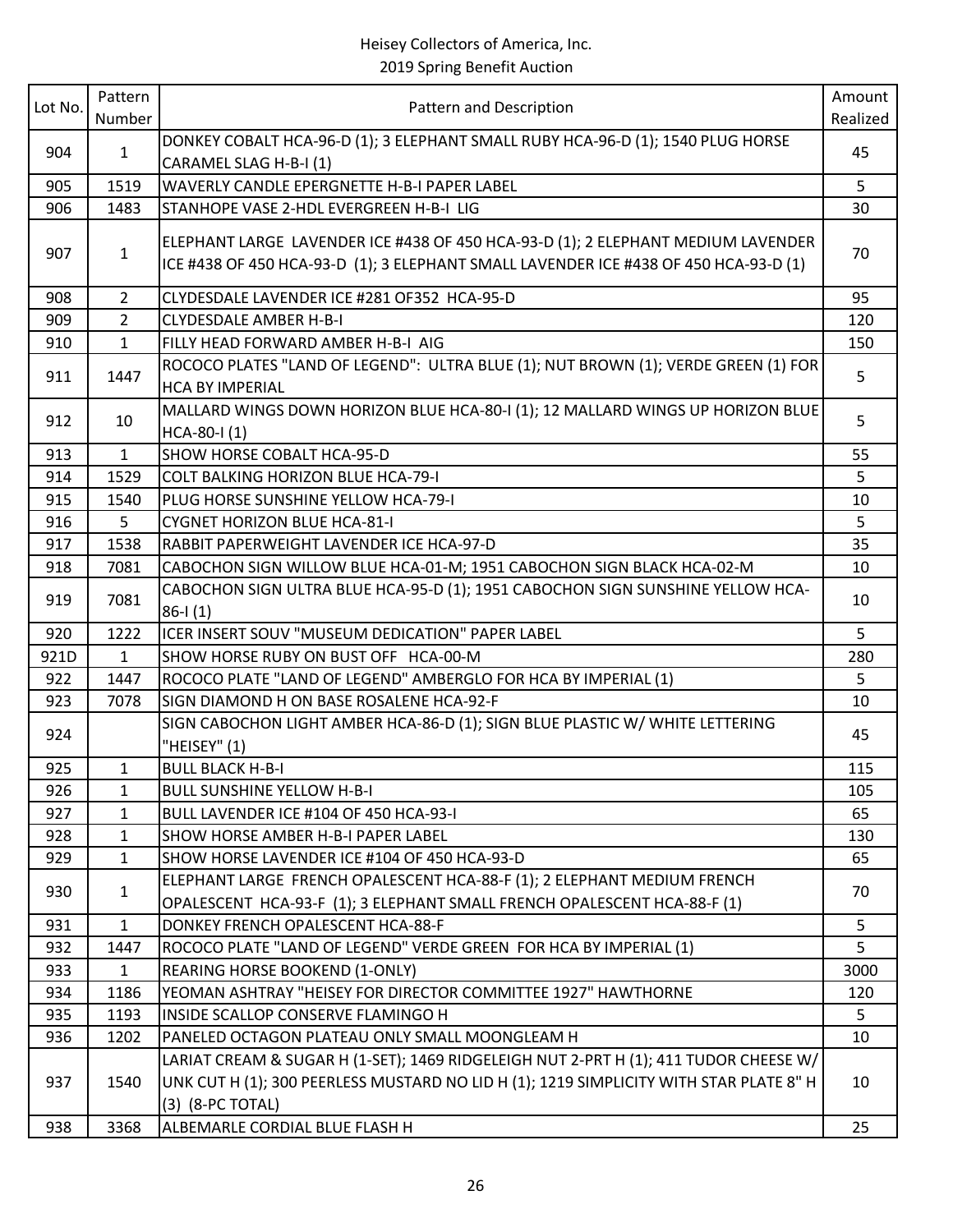## Heisey Collectors of America, Inc.

2019 Spring Benefit Auction

| Lot No. | Pattern        | Pattern and Description                                                                                                                                                                            | Amount   |
|---------|----------------|----------------------------------------------------------------------------------------------------------------------------------------------------------------------------------------------------|----------|
|         | Number         |                                                                                                                                                                                                    | Realized |
| 904     | $\mathbf{1}$   | DONKEY COBALT HCA-96-D (1); 3 ELEPHANT SMALL RUBY HCA-96-D (1); 1540 PLUG HORSE<br>CARAMEL SLAG H-B-I (1)                                                                                          | 45       |
| 905     | 1519           | WAVERLY CANDLE EPERGNETTE H-B-I PAPER LABEL                                                                                                                                                        | 5        |
| 906     | 1483           | STANHOPE VASE 2-HDL EVERGREEN H-B-I LIG                                                                                                                                                            | 30       |
| 907     | $\mathbf{1}$   | ELEPHANT LARGE LAVENDER ICE #438 OF 450 HCA-93-D (1); 2 ELEPHANT MEDIUM LAVENDER<br>ICE #438 OF 450 HCA-93-D (1); 3 ELEPHANT SMALL LAVENDER ICE #438 OF 450 HCA-93-D (1)                           | 70       |
| 908     | $\overline{2}$ | CLYDESDALE LAVENDER ICE #281 OF352 HCA-95-D                                                                                                                                                        | 95       |
| 909     | $\overline{2}$ | <b>CLYDESDALE AMBER H-B-I</b>                                                                                                                                                                      | 120      |
| 910     | $\mathbf{1}$   | FILLY HEAD FORWARD AMBER H-B-I AIG                                                                                                                                                                 | 150      |
| 911     | 1447           | ROCOCO PLATES "LAND OF LEGEND": ULTRA BLUE (1); NUT BROWN (1); VERDE GREEN (1) FOR<br><b>HCA BY IMPERIAL</b>                                                                                       | 5        |
| 912     | 10             | MALLARD WINGS DOWN HORIZON BLUE HCA-80-I (1); 12 MALLARD WINGS UP HORIZON BLUE<br>$HCA-80-I(1)$                                                                                                    | 5        |
| 913     | $\mathbf{1}$   | SHOW HORSE COBALT HCA-95-D                                                                                                                                                                         | 55       |
| 914     | 1529           | COLT BALKING HORIZON BLUE HCA-79-I                                                                                                                                                                 | 5        |
| 915     | 1540           | PLUG HORSE SUNSHINE YELLOW HCA-79-I                                                                                                                                                                | 10       |
| 916     | 5              | <b>CYGNET HORIZON BLUE HCA-81-I</b>                                                                                                                                                                | 5        |
| 917     | 1538           | RABBIT PAPERWEIGHT LAVENDER ICE HCA-97-D                                                                                                                                                           | 35       |
| 918     | 7081           | CABOCHON SIGN WILLOW BLUE HCA-01-M; 1951 CABOCHON SIGN BLACK HCA-02-M                                                                                                                              | 10       |
| 919     | 7081           | CABOCHON SIGN ULTRA BLUE HCA-95-D (1); 1951 CABOCHON SIGN SUNSHINE YELLOW HCA-<br>$86 - 1(1)$                                                                                                      | 10       |
| 920     | 1222           | ICER INSERT SOUV "MUSEUM DEDICATION" PAPER LABEL                                                                                                                                                   | 5        |
| 921D    | $\mathbf{1}$   | SHOW HORSE RUBY ON BUST OFF HCA-00-M                                                                                                                                                               | 280      |
| 922     | 1447           | ROCOCO PLATE "LAND OF LEGEND" AMBERGLO FOR HCA BY IMPERIAL (1)                                                                                                                                     | 5        |
| 923     | 7078           | SIGN DIAMOND H ON BASE ROSALENE HCA-92-F                                                                                                                                                           | 10       |
| 924     |                | SIGN CABOCHON LIGHT AMBER HCA-86-D (1); SIGN BLUE PLASTIC W/ WHITE LETTERING<br>"HEISEY" (1)                                                                                                       | 45       |
| 925     | $\mathbf{1}$   | <b>BULL BLACK H-B-I</b>                                                                                                                                                                            | 115      |
| 926     | $\mathbf{1}$   | <b>BULL SUNSHINE YELLOW H-B-I</b>                                                                                                                                                                  | 105      |
| 927     | $\mathbf{1}$   | BULL LAVENDER ICE #104 OF 450 HCA-93-I                                                                                                                                                             | 65       |
| 928     | $\mathbf{1}$   | SHOW HORSE AMBER H-B-I PAPER LABEL                                                                                                                                                                 | 130      |
| 929     | $\mathbf{1}$   | SHOW HORSE LAVENDER ICE #104 OF 450 HCA-93-D                                                                                                                                                       | 65       |
| 930     | $\mathbf{1}$   | ELEPHANT LARGE FRENCH OPALESCENT HCA-88-F (1); 2 ELEPHANT MEDIUM FRENCH<br>OPALESCENT HCA-93-F (1); 3 ELEPHANT SMALL FRENCH OPALESCENT HCA-88-F (1)                                                | 70       |
| 931     | $\mathbf{1}$   | DONKEY FRENCH OPALESCENT HCA-88-F                                                                                                                                                                  | 5        |
| 932     | 1447           | ROCOCO PLATE "LAND OF LEGEND" VERDE GREEN FOR HCA BY IMPERIAL (1)                                                                                                                                  | 5        |
| 933     | $\mathbf{1}$   | REARING HORSE BOOKEND (1-ONLY)                                                                                                                                                                     | 3000     |
| 934     | 1186           | YEOMAN ASHTRAY "HEISEY FOR DIRECTOR COMMITTEE 1927" HAWTHORNE                                                                                                                                      | 120      |
| 935     | 1193           | INSIDE SCALLOP CONSERVE FLAMINGO H                                                                                                                                                                 | 5        |
| 936     | 1202           | PANELED OCTAGON PLATEAU ONLY SMALL MOONGLEAM H                                                                                                                                                     | 10       |
| 937     | 1540           | LARIAT CREAM & SUGAR H (1-SET); 1469 RIDGELEIGH NUT 2-PRT H (1); 411 TUDOR CHEESE W/<br>UNK CUT H (1); 300 PEERLESS MUSTARD NO LID H (1); 1219 SIMPLICITY WITH STAR PLATE 8" H<br>(3) (8-PC TOTAL) | 10       |
| 938     | 3368           | ALBEMARLE CORDIAL BLUE FLASH H                                                                                                                                                                     | 25       |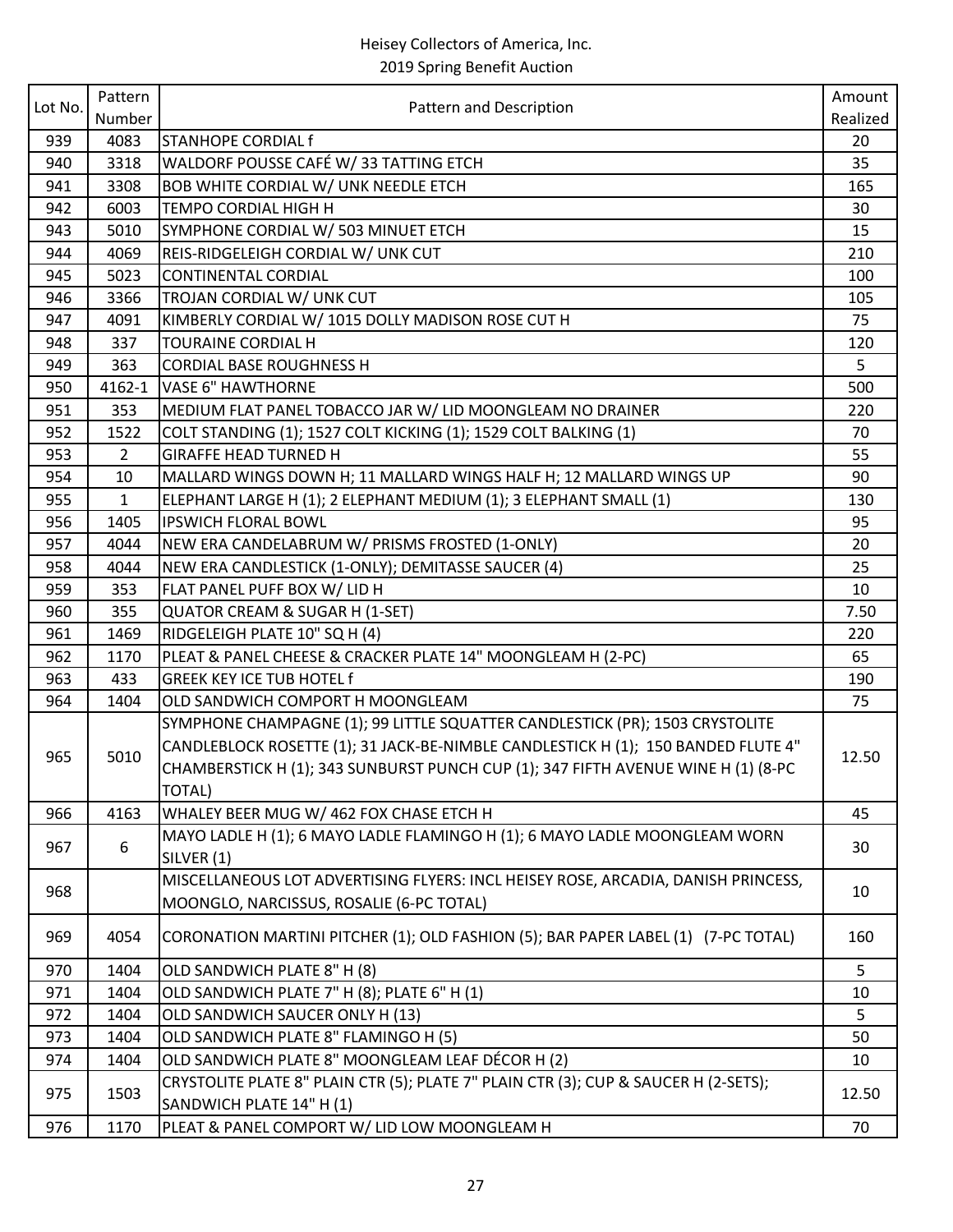| Lot No.<br>Pattern and Description<br>Number<br>Realized<br>939<br>4083<br><b>STANHOPE CORDIAL f</b><br>20<br>WALDORF POUSSE CAFÉ W/33 TATTING ETCH<br>940<br>3318<br>35<br><b>BOB WHITE CORDIAL W/ UNK NEEDLE ETCH</b><br>3308<br>941<br>165<br>942<br>6003<br>TEMPO CORDIAL HIGH H<br>30<br>5010<br>SYMPHONE CORDIAL W/ 503 MINUET ETCH<br>15<br>943<br>944<br>REIS-RIDGELEIGH CORDIAL W/ UNK CUT<br>210<br>4069<br>945<br>5023<br><b>CONTINENTAL CORDIAL</b><br>100<br>3366<br>TROJAN CORDIAL W/ UNK CUT<br>105<br>946<br>KIMBERLY CORDIAL W/ 1015 DOLLY MADISON ROSE CUT H<br>75<br>947<br>4091<br>337<br><b>TOURAINE CORDIAL H</b><br>948<br>120<br>5<br>949<br>363<br><b>CORDIAL BASE ROUGHNESS H</b><br>950<br>4162-1<br><b>VASE 6" HAWTHORNE</b><br>500<br>951<br>353<br>MEDIUM FLAT PANEL TOBACCO JAR W/ LID MOONGLEAM NO DRAINER<br>220<br>952<br>COLT STANDING (1); 1527 COLT KICKING (1); 1529 COLT BALKING (1)<br>1522<br>70<br>953<br>55<br>$\overline{2}$<br><b>GIRAFFE HEAD TURNED H</b><br>954<br>MALLARD WINGS DOWN H; 11 MALLARD WINGS HALF H; 12 MALLARD WINGS UP<br>90<br>10<br>955<br>$\mathbf{1}$<br>ELEPHANT LARGE H (1); 2 ELEPHANT MEDIUM (1); 3 ELEPHANT SMALL (1)<br>130<br><b>IPSWICH FLORAL BOWL</b><br>956<br>1405<br>95<br>957<br>NEW ERA CANDELABRUM W/ PRISMS FROSTED (1-ONLY)<br>20<br>4044<br>NEW ERA CANDLESTICK (1-ONLY); DEMITASSE SAUCER (4)<br>25<br>958<br>4044 |
|-----------------------------------------------------------------------------------------------------------------------------------------------------------------------------------------------------------------------------------------------------------------------------------------------------------------------------------------------------------------------------------------------------------------------------------------------------------------------------------------------------------------------------------------------------------------------------------------------------------------------------------------------------------------------------------------------------------------------------------------------------------------------------------------------------------------------------------------------------------------------------------------------------------------------------------------------------------------------------------------------------------------------------------------------------------------------------------------------------------------------------------------------------------------------------------------------------------------------------------------------------------------------------------------------------------------------------------------------------------------------------------------------------------|
|                                                                                                                                                                                                                                                                                                                                                                                                                                                                                                                                                                                                                                                                                                                                                                                                                                                                                                                                                                                                                                                                                                                                                                                                                                                                                                                                                                                                           |
|                                                                                                                                                                                                                                                                                                                                                                                                                                                                                                                                                                                                                                                                                                                                                                                                                                                                                                                                                                                                                                                                                                                                                                                                                                                                                                                                                                                                           |
|                                                                                                                                                                                                                                                                                                                                                                                                                                                                                                                                                                                                                                                                                                                                                                                                                                                                                                                                                                                                                                                                                                                                                                                                                                                                                                                                                                                                           |
|                                                                                                                                                                                                                                                                                                                                                                                                                                                                                                                                                                                                                                                                                                                                                                                                                                                                                                                                                                                                                                                                                                                                                                                                                                                                                                                                                                                                           |
|                                                                                                                                                                                                                                                                                                                                                                                                                                                                                                                                                                                                                                                                                                                                                                                                                                                                                                                                                                                                                                                                                                                                                                                                                                                                                                                                                                                                           |
|                                                                                                                                                                                                                                                                                                                                                                                                                                                                                                                                                                                                                                                                                                                                                                                                                                                                                                                                                                                                                                                                                                                                                                                                                                                                                                                                                                                                           |
|                                                                                                                                                                                                                                                                                                                                                                                                                                                                                                                                                                                                                                                                                                                                                                                                                                                                                                                                                                                                                                                                                                                                                                                                                                                                                                                                                                                                           |
|                                                                                                                                                                                                                                                                                                                                                                                                                                                                                                                                                                                                                                                                                                                                                                                                                                                                                                                                                                                                                                                                                                                                                                                                                                                                                                                                                                                                           |
|                                                                                                                                                                                                                                                                                                                                                                                                                                                                                                                                                                                                                                                                                                                                                                                                                                                                                                                                                                                                                                                                                                                                                                                                                                                                                                                                                                                                           |
|                                                                                                                                                                                                                                                                                                                                                                                                                                                                                                                                                                                                                                                                                                                                                                                                                                                                                                                                                                                                                                                                                                                                                                                                                                                                                                                                                                                                           |
|                                                                                                                                                                                                                                                                                                                                                                                                                                                                                                                                                                                                                                                                                                                                                                                                                                                                                                                                                                                                                                                                                                                                                                                                                                                                                                                                                                                                           |
|                                                                                                                                                                                                                                                                                                                                                                                                                                                                                                                                                                                                                                                                                                                                                                                                                                                                                                                                                                                                                                                                                                                                                                                                                                                                                                                                                                                                           |
|                                                                                                                                                                                                                                                                                                                                                                                                                                                                                                                                                                                                                                                                                                                                                                                                                                                                                                                                                                                                                                                                                                                                                                                                                                                                                                                                                                                                           |
|                                                                                                                                                                                                                                                                                                                                                                                                                                                                                                                                                                                                                                                                                                                                                                                                                                                                                                                                                                                                                                                                                                                                                                                                                                                                                                                                                                                                           |
|                                                                                                                                                                                                                                                                                                                                                                                                                                                                                                                                                                                                                                                                                                                                                                                                                                                                                                                                                                                                                                                                                                                                                                                                                                                                                                                                                                                                           |
|                                                                                                                                                                                                                                                                                                                                                                                                                                                                                                                                                                                                                                                                                                                                                                                                                                                                                                                                                                                                                                                                                                                                                                                                                                                                                                                                                                                                           |
|                                                                                                                                                                                                                                                                                                                                                                                                                                                                                                                                                                                                                                                                                                                                                                                                                                                                                                                                                                                                                                                                                                                                                                                                                                                                                                                                                                                                           |
|                                                                                                                                                                                                                                                                                                                                                                                                                                                                                                                                                                                                                                                                                                                                                                                                                                                                                                                                                                                                                                                                                                                                                                                                                                                                                                                                                                                                           |
|                                                                                                                                                                                                                                                                                                                                                                                                                                                                                                                                                                                                                                                                                                                                                                                                                                                                                                                                                                                                                                                                                                                                                                                                                                                                                                                                                                                                           |
|                                                                                                                                                                                                                                                                                                                                                                                                                                                                                                                                                                                                                                                                                                                                                                                                                                                                                                                                                                                                                                                                                                                                                                                                                                                                                                                                                                                                           |
|                                                                                                                                                                                                                                                                                                                                                                                                                                                                                                                                                                                                                                                                                                                                                                                                                                                                                                                                                                                                                                                                                                                                                                                                                                                                                                                                                                                                           |
| 959<br>FLAT PANEL PUFF BOX W/ LID H<br>353<br>10                                                                                                                                                                                                                                                                                                                                                                                                                                                                                                                                                                                                                                                                                                                                                                                                                                                                                                                                                                                                                                                                                                                                                                                                                                                                                                                                                          |
| 960<br>355<br><b>QUATOR CREAM &amp; SUGAR H (1-SET)</b><br>7.50                                                                                                                                                                                                                                                                                                                                                                                                                                                                                                                                                                                                                                                                                                                                                                                                                                                                                                                                                                                                                                                                                                                                                                                                                                                                                                                                           |
| RIDGELEIGH PLATE 10" SQ H (4)<br>961<br>1469<br>220                                                                                                                                                                                                                                                                                                                                                                                                                                                                                                                                                                                                                                                                                                                                                                                                                                                                                                                                                                                                                                                                                                                                                                                                                                                                                                                                                       |
| PLEAT & PANEL CHEESE & CRACKER PLATE 14" MOONGLEAM H (2-PC)<br>962<br>1170<br>65                                                                                                                                                                                                                                                                                                                                                                                                                                                                                                                                                                                                                                                                                                                                                                                                                                                                                                                                                                                                                                                                                                                                                                                                                                                                                                                          |
| 963<br>433<br><b>GREEK KEY ICE TUB HOTEL f</b><br>190                                                                                                                                                                                                                                                                                                                                                                                                                                                                                                                                                                                                                                                                                                                                                                                                                                                                                                                                                                                                                                                                                                                                                                                                                                                                                                                                                     |
| 964<br>1404<br>OLD SANDWICH COMPORT H MOONGLEAM<br>75                                                                                                                                                                                                                                                                                                                                                                                                                                                                                                                                                                                                                                                                                                                                                                                                                                                                                                                                                                                                                                                                                                                                                                                                                                                                                                                                                     |
| SYMPHONE CHAMPAGNE (1); 99 LITTLE SQUATTER CANDLESTICK (PR); 1503 CRYSTOLITE                                                                                                                                                                                                                                                                                                                                                                                                                                                                                                                                                                                                                                                                                                                                                                                                                                                                                                                                                                                                                                                                                                                                                                                                                                                                                                                              |
| CANDLEBLOCK ROSETTE (1); 31 JACK-BE-NIMBLE CANDLESTICK H (1); 150 BANDED FLUTE 4"                                                                                                                                                                                                                                                                                                                                                                                                                                                                                                                                                                                                                                                                                                                                                                                                                                                                                                                                                                                                                                                                                                                                                                                                                                                                                                                         |
| 965<br>5010<br>12.50<br>CHAMBERSTICK H (1); 343 SUNBURST PUNCH CUP (1); 347 FIFTH AVENUE WINE H (1) (8-PC                                                                                                                                                                                                                                                                                                                                                                                                                                                                                                                                                                                                                                                                                                                                                                                                                                                                                                                                                                                                                                                                                                                                                                                                                                                                                                 |
| <b>TOTAL)</b>                                                                                                                                                                                                                                                                                                                                                                                                                                                                                                                                                                                                                                                                                                                                                                                                                                                                                                                                                                                                                                                                                                                                                                                                                                                                                                                                                                                             |
| 4163<br>WHALEY BEER MUG W/ 462 FOX CHASE ETCH H<br>966<br>45                                                                                                                                                                                                                                                                                                                                                                                                                                                                                                                                                                                                                                                                                                                                                                                                                                                                                                                                                                                                                                                                                                                                                                                                                                                                                                                                              |
| MAYO LADLE H (1); 6 MAYO LADLE FLAMINGO H (1); 6 MAYO LADLE MOONGLEAM WORN                                                                                                                                                                                                                                                                                                                                                                                                                                                                                                                                                                                                                                                                                                                                                                                                                                                                                                                                                                                                                                                                                                                                                                                                                                                                                                                                |
| 967<br>30<br>6<br>SILVER (1)                                                                                                                                                                                                                                                                                                                                                                                                                                                                                                                                                                                                                                                                                                                                                                                                                                                                                                                                                                                                                                                                                                                                                                                                                                                                                                                                                                              |
| MISCELLANEOUS LOT ADVERTISING FLYERS: INCL HEISEY ROSE, ARCADIA, DANISH PRINCESS,                                                                                                                                                                                                                                                                                                                                                                                                                                                                                                                                                                                                                                                                                                                                                                                                                                                                                                                                                                                                                                                                                                                                                                                                                                                                                                                         |
| 968<br>10<br>MOONGLO, NARCISSUS, ROSALIE (6-PC TOTAL)                                                                                                                                                                                                                                                                                                                                                                                                                                                                                                                                                                                                                                                                                                                                                                                                                                                                                                                                                                                                                                                                                                                                                                                                                                                                                                                                                     |
|                                                                                                                                                                                                                                                                                                                                                                                                                                                                                                                                                                                                                                                                                                                                                                                                                                                                                                                                                                                                                                                                                                                                                                                                                                                                                                                                                                                                           |
| 4054<br>CORONATION MARTINI PITCHER (1); OLD FASHION (5); BAR PAPER LABEL (1) (7-PC TOTAL)<br>160<br>969                                                                                                                                                                                                                                                                                                                                                                                                                                                                                                                                                                                                                                                                                                                                                                                                                                                                                                                                                                                                                                                                                                                                                                                                                                                                                                   |
| OLD SANDWICH PLATE 8" H (8)<br>5<br>1404<br>970                                                                                                                                                                                                                                                                                                                                                                                                                                                                                                                                                                                                                                                                                                                                                                                                                                                                                                                                                                                                                                                                                                                                                                                                                                                                                                                                                           |
| 971<br>1404<br>OLD SANDWICH PLATE 7" H (8); PLATE 6" H (1)<br>10                                                                                                                                                                                                                                                                                                                                                                                                                                                                                                                                                                                                                                                                                                                                                                                                                                                                                                                                                                                                                                                                                                                                                                                                                                                                                                                                          |
| OLD SANDWICH SAUCER ONLY H (13)<br>5<br>972<br>1404                                                                                                                                                                                                                                                                                                                                                                                                                                                                                                                                                                                                                                                                                                                                                                                                                                                                                                                                                                                                                                                                                                                                                                                                                                                                                                                                                       |
| OLD SANDWICH PLATE 8" FLAMINGO H (5)<br>50<br>973<br>1404                                                                                                                                                                                                                                                                                                                                                                                                                                                                                                                                                                                                                                                                                                                                                                                                                                                                                                                                                                                                                                                                                                                                                                                                                                                                                                                                                 |
| OLD SANDWICH PLATE 8" MOONGLEAM LEAF DÉCOR H (2)<br>974<br>1404<br>10                                                                                                                                                                                                                                                                                                                                                                                                                                                                                                                                                                                                                                                                                                                                                                                                                                                                                                                                                                                                                                                                                                                                                                                                                                                                                                                                     |
| CRYSTOLITE PLATE 8" PLAIN CTR (5); PLATE 7" PLAIN CTR (3); CUP & SAUCER H (2-SETS);                                                                                                                                                                                                                                                                                                                                                                                                                                                                                                                                                                                                                                                                                                                                                                                                                                                                                                                                                                                                                                                                                                                                                                                                                                                                                                                       |
| 975<br>1503<br>12.50<br>SANDWICH PLATE 14" H (1)                                                                                                                                                                                                                                                                                                                                                                                                                                                                                                                                                                                                                                                                                                                                                                                                                                                                                                                                                                                                                                                                                                                                                                                                                                                                                                                                                          |
| 976<br>1170<br>PLEAT & PANEL COMPORT W/ LID LOW MOONGLEAM H<br>70                                                                                                                                                                                                                                                                                                                                                                                                                                                                                                                                                                                                                                                                                                                                                                                                                                                                                                                                                                                                                                                                                                                                                                                                                                                                                                                                         |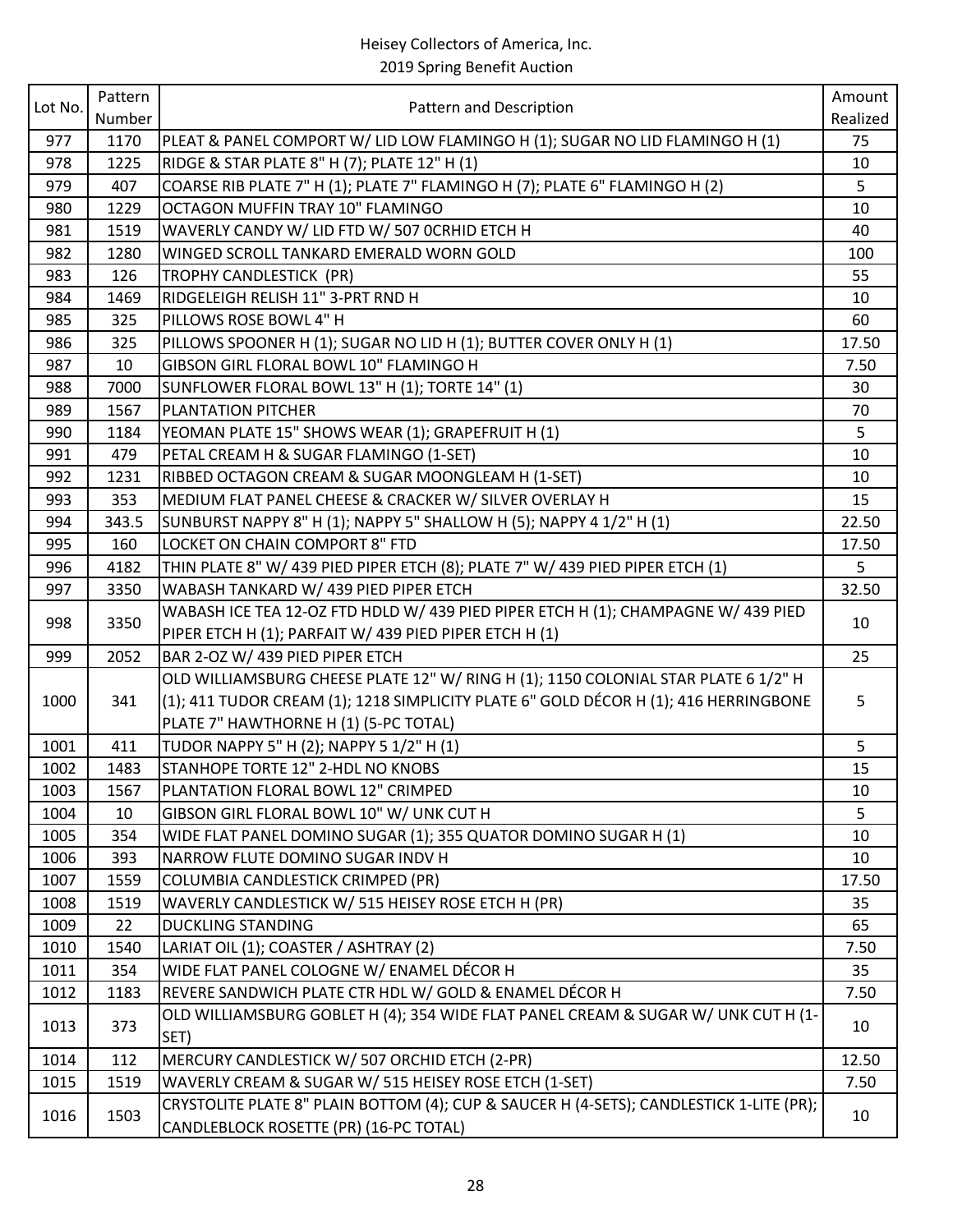|         | Pattern |                                                                                         | Amount   |
|---------|---------|-----------------------------------------------------------------------------------------|----------|
| Lot No. | Number  | Pattern and Description                                                                 | Realized |
| 977     | 1170    | PLEAT & PANEL COMPORT W/ LID LOW FLAMINGO H (1); SUGAR NO LID FLAMINGO H (1)            | 75       |
| 978     | 1225    | RIDGE & STAR PLATE 8" H (7); PLATE 12" H (1)                                            | 10       |
| 979     | 407     | COARSE RIB PLATE 7" H (1); PLATE 7" FLAMINGO H (7); PLATE 6" FLAMINGO H (2)             | 5        |
| 980     | 1229    | OCTAGON MUFFIN TRAY 10" FLAMINGO                                                        | 10       |
| 981     | 1519    | WAVERLY CANDY W/ LID FTD W/ 507 OCRHID ETCH H                                           | 40       |
| 982     | 1280    | WINGED SCROLL TANKARD EMERALD WORN GOLD                                                 | 100      |
| 983     | 126     | TROPHY CANDLESTICK (PR)                                                                 | 55       |
| 984     | 1469    | RIDGELEIGH RELISH 11" 3-PRT RND H                                                       | 10       |
| 985     | 325     | PILLOWS ROSE BOWL 4" H                                                                  | 60       |
| 986     | 325     | PILLOWS SPOONER H (1); SUGAR NO LID H (1); BUTTER COVER ONLY H (1)                      | 17.50    |
| 987     | 10      | GIBSON GIRL FLORAL BOWL 10" FLAMINGO H                                                  | 7.50     |
| 988     | 7000    | SUNFLOWER FLORAL BOWL 13" H (1); TORTE 14" (1)                                          | 30       |
| 989     | 1567    | PLANTATION PITCHER                                                                      | 70       |
| 990     | 1184    | YEOMAN PLATE 15" SHOWS WEAR (1); GRAPEFRUIT H (1)                                       | 5        |
| 991     | 479     | PETAL CREAM H & SUGAR FLAMINGO (1-SET)                                                  | 10       |
| 992     | 1231    | RIBBED OCTAGON CREAM & SUGAR MOONGLEAM H (1-SET)                                        | 10       |
| 993     | 353     | MEDIUM FLAT PANEL CHEESE & CRACKER W/ SILVER OVERLAY H                                  | 15       |
| 994     | 343.5   | SUNBURST NAPPY 8" H (1); NAPPY 5" SHALLOW H (5); NAPPY 4 1/2" H (1)                     | 22.50    |
| 995     | 160     | LOCKET ON CHAIN COMPORT 8" FTD                                                          | 17.50    |
| 996     | 4182    | THIN PLATE 8" W/ 439 PIED PIPER ETCH (8); PLATE 7" W/ 439 PIED PIPER ETCH (1)           | 5        |
| 997     | 3350    | WABASH TANKARD W/ 439 PIED PIPER ETCH                                                   | 32.50    |
|         |         | WABASH ICE TEA 12-OZ FTD HDLD W/ 439 PIED PIPER ETCH H (1); CHAMPAGNE W/ 439 PIED       |          |
| 998     | 3350    | PIPER ETCH H (1); PARFAIT W/ 439 PIED PIPER ETCH H (1)                                  | 10       |
| 999     | 2052    | BAR 2-OZ W/ 439 PIED PIPER ETCH                                                         | 25       |
|         |         | OLD WILLIAMSBURG CHEESE PLATE 12" W/ RING H (1); 1150 COLONIAL STAR PLATE 6 1/2" H      |          |
| 1000    | 341     | (1); 411 TUDOR CREAM (1); 1218 SIMPLICITY PLATE 6" GOLD DÉCOR H (1); 416 HERRINGBONE    | 5        |
|         |         | PLATE 7" HAWTHORNE H (1) (5-PC TOTAL)                                                   |          |
| 1001    | 411     | TUDOR NAPPY 5" H (2); NAPPY 5 1/2" H (1)                                                | 5        |
| 1002    | 1483    | STANHOPE TORTE 12" 2-HDL NO KNOBS                                                       | 15       |
| 1003    | 1567    | PLANTATION FLORAL BOWL 12" CRIMPED                                                      | 10       |
| 1004    | 10      | GIBSON GIRL FLORAL BOWL 10" W/ UNK CUT H                                                | 5        |
| 1005    | 354     | WIDE FLAT PANEL DOMINO SUGAR (1); 355 QUATOR DOMINO SUGAR H (1)                         | 10       |
| 1006    | 393     | NARROW FLUTE DOMINO SUGAR INDV H                                                        | 10       |
| 1007    | 1559    | COLUMBIA CANDLESTICK CRIMPED (PR)                                                       | 17.50    |
| 1008    | 1519    | WAVERLY CANDLESTICK W/ 515 HEISEY ROSE ETCH H (PR)                                      | 35       |
| 1009    | 22      | <b>DUCKLING STANDING</b>                                                                | 65       |
| 1010    | 1540    | LARIAT OIL (1); COASTER / ASHTRAY (2)                                                   | 7.50     |
| 1011    | 354     | WIDE FLAT PANEL COLOGNE W/ ENAMEL DÉCOR H                                               | 35       |
| 1012    | 1183    | REVERE SANDWICH PLATE CTR HDL W/ GOLD & ENAMEL DÉCOR H                                  | 7.50     |
|         |         | OLD WILLIAMSBURG GOBLET H (4); 354 WIDE FLAT PANEL CREAM & SUGAR W/ UNK CUT H (1-       |          |
| 1013    | 373     | SET)                                                                                    | 10       |
| 1014    | 112     | MERCURY CANDLESTICK W/ 507 ORCHID ETCH (2-PR)                                           | 12.50    |
| 1015    | 1519    | WAVERLY CREAM & SUGAR W/ 515 HEISEY ROSE ETCH (1-SET)                                   | 7.50     |
|         |         | CRYSTOLITE PLATE 8" PLAIN BOTTOM (4); CUP & SAUCER H (4-SETS); CANDLESTICK 1-LITE (PR); |          |
| 1016    | 1503    | CANDLEBLOCK ROSETTE (PR) (16-PC TOTAL)                                                  | 10       |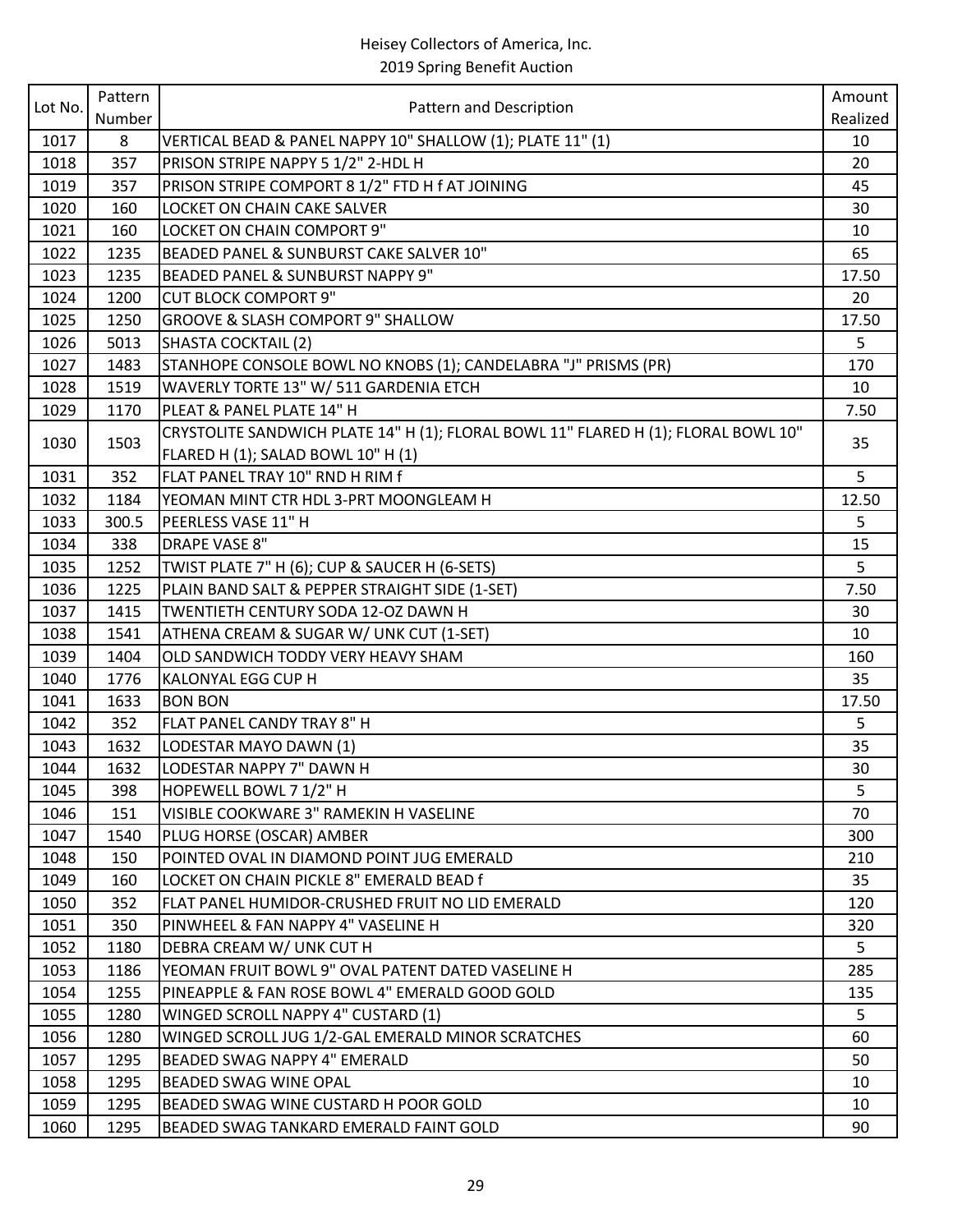|         | Pattern |                                                                                    | Amount   |
|---------|---------|------------------------------------------------------------------------------------|----------|
| Lot No. | Number  | Pattern and Description                                                            | Realized |
| 1017    | 8       | VERTICAL BEAD & PANEL NAPPY 10" SHALLOW (1); PLATE 11" (1)                         | 10       |
| 1018    | 357     | PRISON STRIPE NAPPY 5 1/2" 2-HDL H                                                 | 20       |
| 1019    | 357     | PRISON STRIPE COMPORT 8 1/2" FTD H f AT JOINING                                    | 45       |
| 1020    | 160     | LOCKET ON CHAIN CAKE SALVER                                                        | 30       |
| 1021    | 160     | LOCKET ON CHAIN COMPORT 9"                                                         | 10       |
| 1022    | 1235    | BEADED PANEL & SUNBURST CAKE SALVER 10"                                            | 65       |
| 1023    | 1235    | BEADED PANEL & SUNBURST NAPPY 9"                                                   | 17.50    |
| 1024    | 1200    | <b>CUT BLOCK COMPORT 9"</b>                                                        | 20       |
| 1025    | 1250    | <b>GROOVE &amp; SLASH COMPORT 9" SHALLOW</b>                                       | 17.50    |
| 1026    | 5013    | SHASTA COCKTAIL (2)                                                                | 5        |
| 1027    | 1483    | STANHOPE CONSOLE BOWL NO KNOBS (1); CANDELABRA "J" PRISMS (PR)                     | 170      |
| 1028    | 1519    | WAVERLY TORTE 13" W/ 511 GARDENIA ETCH                                             | 10       |
| 1029    | 1170    | PLEAT & PANEL PLATE 14" H                                                          | 7.50     |
| 1030    | 1503    | CRYSTOLITE SANDWICH PLATE 14" H (1); FLORAL BOWL 11" FLARED H (1); FLORAL BOWL 10" | 35       |
|         |         | FLARED H (1); SALAD BOWL 10" H (1)                                                 |          |
| 1031    | 352     | FLAT PANEL TRAY 10" RND H RIM f                                                    | 5        |
| 1032    | 1184    | YEOMAN MINT CTR HDL 3-PRT MOONGLEAM H                                              | 12.50    |
| 1033    | 300.5   | PEERLESS VASE 11" H                                                                | 5        |
| 1034    | 338     | <b>DRAPE VASE 8"</b>                                                               | 15       |
| 1035    | 1252    | TWIST PLATE 7" H (6); CUP & SAUCER H (6-SETS)                                      | 5        |
| 1036    | 1225    | PLAIN BAND SALT & PEPPER STRAIGHT SIDE (1-SET)                                     | 7.50     |
| 1037    | 1415    | TWENTIETH CENTURY SODA 12-OZ DAWN H                                                | 30       |
| 1038    | 1541    | ATHENA CREAM & SUGAR W/ UNK CUT (1-SET)                                            | 10       |
| 1039    | 1404    | OLD SANDWICH TODDY VERY HEAVY SHAM                                                 | 160      |
| 1040    | 1776    | <b>KALONYAL EGG CUP H</b>                                                          | 35       |
| 1041    | 1633    | <b>BON BON</b>                                                                     | 17.50    |
| 1042    | 352     | FLAT PANEL CANDY TRAY 8" H                                                         | 5        |
| 1043    | 1632    | LODESTAR MAYO DAWN (1)                                                             | 35       |
| 1044    | 1632    | LODESTAR NAPPY 7" DAWN H                                                           | 30       |
| 1045    | 398     | HOPEWELL BOWL 7 1/2" H                                                             | 5        |
| 1046    | 151     | VISIBLE COOKWARE 3" RAMEKIN H VASELINE                                             | 70       |
| 1047    | 1540    | PLUG HORSE (OSCAR) AMBER                                                           | 300      |
| 1048    | 150     | POINTED OVAL IN DIAMOND POINT JUG EMERALD                                          | 210      |
| 1049    | 160     | LOCKET ON CHAIN PICKLE 8" EMERALD BEAD f                                           | 35       |
| 1050    | 352     | FLAT PANEL HUMIDOR-CRUSHED FRUIT NO LID EMERALD                                    | 120      |
| 1051    | 350     | PINWHEEL & FAN NAPPY 4" VASELINE H                                                 | 320      |
| 1052    | 1180    | DEBRA CREAM W/ UNK CUT H                                                           | 5        |
| 1053    | 1186    | YEOMAN FRUIT BOWL 9" OVAL PATENT DATED VASELINE H                                  | 285      |
| 1054    | 1255    | PINEAPPLE & FAN ROSE BOWL 4" EMERALD GOOD GOLD                                     | 135      |
| 1055    | 1280    | WINGED SCROLL NAPPY 4" CUSTARD (1)                                                 | 5        |
| 1056    | 1280    | WINGED SCROLL JUG 1/2-GAL EMERALD MINOR SCRATCHES                                  | 60       |
| 1057    | 1295    | BEADED SWAG NAPPY 4" EMERALD                                                       | 50       |
| 1058    | 1295    | <b>BEADED SWAG WINE OPAL</b>                                                       | 10       |
| 1059    | 1295    | BEADED SWAG WINE CUSTARD H POOR GOLD                                               | 10       |
| 1060    | 1295    | BEADED SWAG TANKARD EMERALD FAINT GOLD                                             | 90       |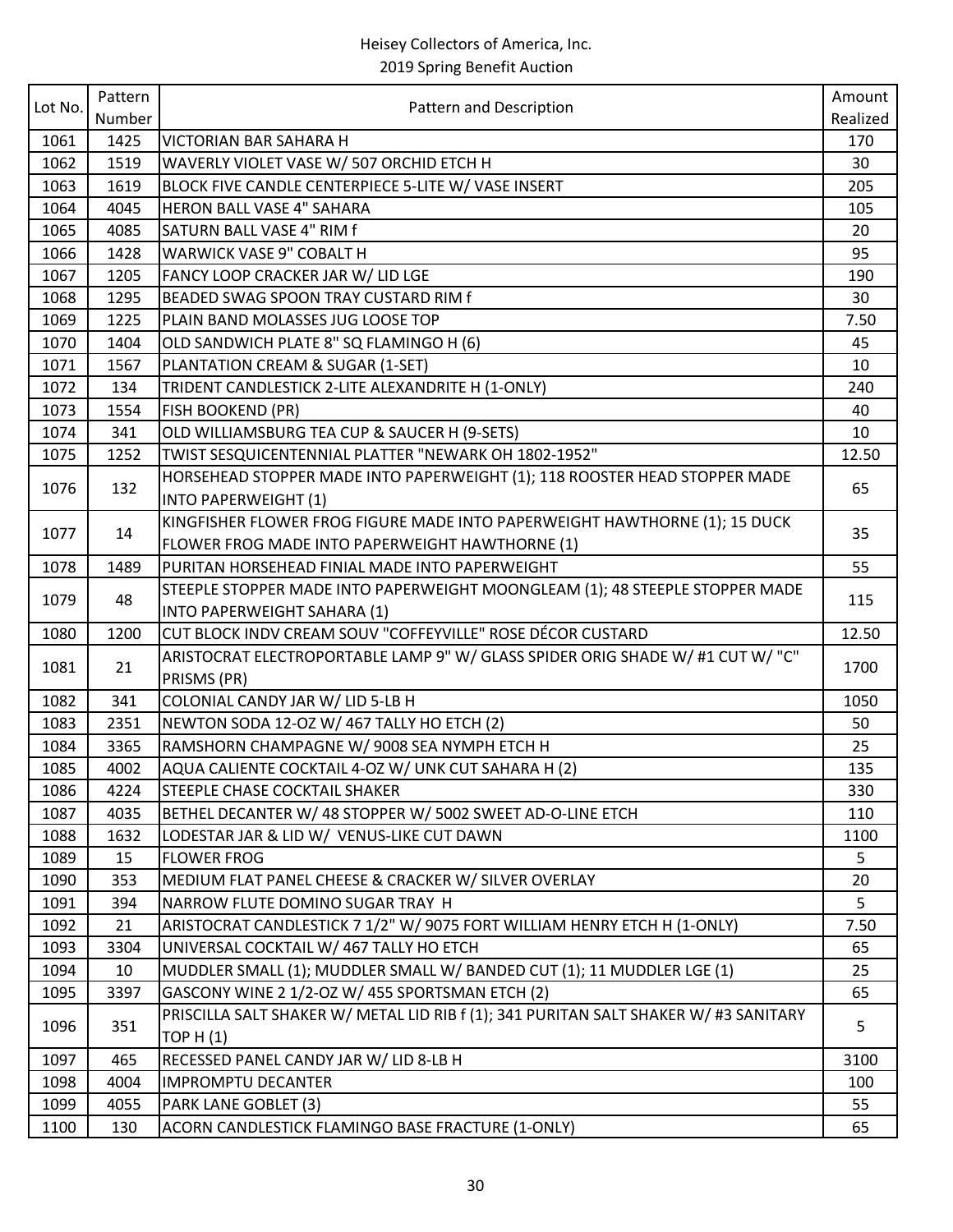|         | Pattern |                                                                                      | Amount   |
|---------|---------|--------------------------------------------------------------------------------------|----------|
| Lot No. | Number  | Pattern and Description                                                              | Realized |
| 1061    | 1425    | VICTORIAN BAR SAHARA H                                                               | 170      |
| 1062    | 1519    | WAVERLY VIOLET VASE W/ 507 ORCHID ETCH H                                             | 30       |
| 1063    | 1619    | BLOCK FIVE CANDLE CENTERPIECE 5-LITE W/ VASE INSERT                                  | 205      |
| 1064    | 4045    | <b>HERON BALL VASE 4" SAHARA</b>                                                     | 105      |
| 1065    | 4085    | SATURN BALL VASE 4" RIM f                                                            | 20       |
| 1066    | 1428    | <b>WARWICK VASE 9" COBALT H</b>                                                      | 95       |
| 1067    | 1205    | FANCY LOOP CRACKER JAR W/ LID LGE                                                    | 190      |
| 1068    | 1295    | BEADED SWAG SPOON TRAY CUSTARD RIM f                                                 | 30       |
| 1069    | 1225    | PLAIN BAND MOLASSES JUG LOOSE TOP                                                    | 7.50     |
| 1070    | 1404    | OLD SANDWICH PLATE 8" SQ FLAMINGO H (6)                                              | 45       |
| 1071    | 1567    | PLANTATION CREAM & SUGAR (1-SET)                                                     | 10       |
| 1072    | 134     | TRIDENT CANDLESTICK 2-LITE ALEXANDRITE H (1-ONLY)                                    | 240      |
| 1073    | 1554    | FISH BOOKEND (PR)                                                                    | 40       |
| 1074    | 341     | OLD WILLIAMSBURG TEA CUP & SAUCER H (9-SETS)                                         | 10       |
| 1075    | 1252    | TWIST SESQUICENTENNIAL PLATTER "NEWARK OH 1802-1952"                                 | 12.50    |
| 1076    | 132     | HORSEHEAD STOPPER MADE INTO PAPERWEIGHT (1); 118 ROOSTER HEAD STOPPER MADE           | 65       |
|         |         | <b>INTO PAPERWEIGHT (1)</b>                                                          |          |
| 1077    | 14      | KINGFISHER FLOWER FROG FIGURE MADE INTO PAPERWEIGHT HAWTHORNE (1); 15 DUCK           | 35       |
|         |         | FLOWER FROG MADE INTO PAPERWEIGHT HAWTHORNE (1)                                      |          |
| 1078    | 1489    | PURITAN HORSEHEAD FINIAL MADE INTO PAPERWEIGHT                                       | 55       |
| 1079    | 48      | STEEPLE STOPPER MADE INTO PAPERWEIGHT MOONGLEAM (1); 48 STEEPLE STOPPER MADE         | 115      |
|         |         | INTO PAPERWEIGHT SAHARA (1)                                                          |          |
| 1080    | 1200    | CUT BLOCK INDV CREAM SOUV "COFFEYVILLE" ROSE DÉCOR CUSTARD                           | 12.50    |
| 1081    | 21      | ARISTOCRAT ELECTROPORTABLE LAMP 9" W/ GLASS SPIDER ORIG SHADE W/ #1 CUT W/ "C"       | 1700     |
|         |         | PRISMS (PR)                                                                          |          |
| 1082    | 341     | COLONIAL CANDY JAR W/ LID 5-LB H                                                     | 1050     |
| 1083    | 2351    | NEWTON SODA 12-OZ W/ 467 TALLY HO ETCH (2)                                           | 50       |
| 1084    | 3365    | RAMSHORN CHAMPAGNE W/ 9008 SEA NYMPH ETCH H                                          | 25       |
| 1085    | 4002    | AQUA CALIENTE COCKTAIL 4-OZ W/ UNK CUT SAHARA H (2)                                  | 135      |
| 1086    | 4224    | <b>STEEPLE CHASE COCKTAIL SHAKER</b>                                                 | 330      |
| 1087    | 4035    | BETHEL DECANTER W/ 48 STOPPER W/ 5002 SWEET AD-O-LINE ETCH                           | 110      |
| 1088    | 1632    | LODESTAR JAR & LID W/ VENUS-LIKE CUT DAWN                                            | 1100     |
| 1089    | 15      | <b>FLOWER FROG</b>                                                                   | 5        |
| 1090    | 353     | MEDIUM FLAT PANEL CHEESE & CRACKER W/ SILVER OVERLAY                                 | 20       |
| 1091    | 394     | NARROW FLUTE DOMINO SUGAR TRAY H                                                     | 5        |
| 1092    | 21      | ARISTOCRAT CANDLESTICK 7 1/2" W/ 9075 FORT WILLIAM HENRY ETCH H (1-ONLY)             | 7.50     |
| 1093    | 3304    | UNIVERSAL COCKTAIL W/ 467 TALLY HO ETCH                                              | 65       |
| 1094    | 10      | MUDDLER SMALL (1); MUDDLER SMALL W/ BANDED CUT (1); 11 MUDDLER LGE (1)               | 25       |
| 1095    | 3397    | GASCONY WINE 2 1/2-OZ W/ 455 SPORTSMAN ETCH (2)                                      | 65       |
| 1096    | 351     | PRISCILLA SALT SHAKER W/ METAL LID RIB f (1); 341 PURITAN SALT SHAKER W/ #3 SANITARY | 5        |
|         |         | <b>TOP H (1)</b>                                                                     |          |
| 1097    | 465     | RECESSED PANEL CANDY JAR W/ LID 8-LB H                                               | 3100     |
| 1098    | 4004    | <b>IMPROMPTU DECANTER</b>                                                            | 100      |
| 1099    | 4055    | PARK LANE GOBLET (3)                                                                 | 55       |
| 1100    | 130     | ACORN CANDLESTICK FLAMINGO BASE FRACTURE (1-ONLY)                                    | 65       |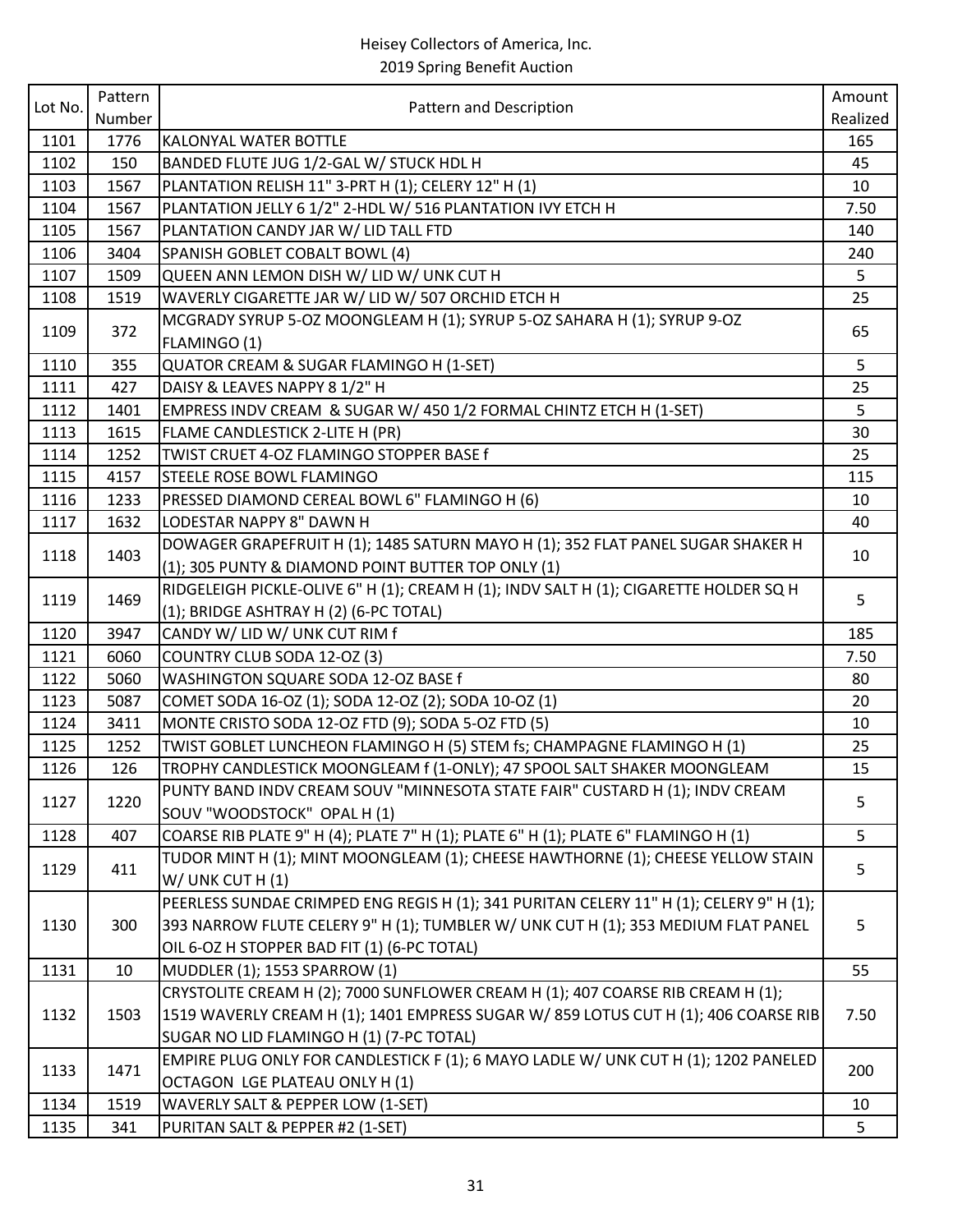| Lot No. | Pattern |                                                                                                            | Amount   |
|---------|---------|------------------------------------------------------------------------------------------------------------|----------|
|         | Number  | Pattern and Description                                                                                    | Realized |
| 1101    | 1776    | <b>KALONYAL WATER BOTTLE</b>                                                                               | 165      |
| 1102    | 150     | BANDED FLUTE JUG 1/2-GAL W/ STUCK HDL H                                                                    | 45       |
| 1103    | 1567    | PLANTATION RELISH 11" 3-PRT H (1); CELERY 12" H (1)                                                        | 10       |
| 1104    | 1567    | PLANTATION JELLY 6 1/2" 2-HDL W/ 516 PLANTATION IVY ETCH H                                                 | 7.50     |
| 1105    | 1567    | PLANTATION CANDY JAR W/ LID TALL FTD                                                                       | 140      |
| 1106    | 3404    | SPANISH GOBLET COBALT BOWL (4)                                                                             | 240      |
| 1107    | 1509    | QUEEN ANN LEMON DISH W/ LID W/ UNK CUT H                                                                   | 5        |
| 1108    | 1519    | WAVERLY CIGARETTE JAR W/ LID W/ 507 ORCHID ETCH H                                                          | 25       |
| 1109    | 372     | MCGRADY SYRUP 5-OZ MOONGLEAM H (1); SYRUP 5-OZ SAHARA H (1); SYRUP 9-OZ<br>FLAMINGO (1)                    | 65       |
| 1110    | 355     | QUATOR CREAM & SUGAR FLAMINGO H (1-SET)                                                                    | 5        |
| 1111    | 427     | DAISY & LEAVES NAPPY 8 1/2" H                                                                              | 25       |
| 1112    | 1401    | EMPRESS INDV CREAM & SUGAR W/ 450 1/2 FORMAL CHINTZ ETCH H (1-SET)                                         | 5        |
| 1113    | 1615    | FLAME CANDLESTICK 2-LITE H (PR)                                                                            | 30       |
| 1114    | 1252    | TWIST CRUET 4-OZ FLAMINGO STOPPER BASE f                                                                   | 25       |
| 1115    | 4157    | <b>STEELE ROSE BOWL FLAMINGO</b>                                                                           | 115      |
| 1116    | 1233    | PRESSED DIAMOND CEREAL BOWL 6" FLAMINGO H (6)                                                              | 10       |
| 1117    | 1632    | LODESTAR NAPPY 8" DAWN H                                                                                   | 40       |
|         |         | DOWAGER GRAPEFRUIT H (1); 1485 SATURN MAYO H (1); 352 FLAT PANEL SUGAR SHAKER H                            |          |
| 1118    | 1403    | (1); 305 PUNTY & DIAMOND POINT BUTTER TOP ONLY (1)                                                         | 10       |
| 1119    | 1469    | RIDGELEIGH PICKLE-OLIVE 6" H (1); CREAM H (1); INDV SALT H (1); CIGARETTE HOLDER SQ H                      | 5        |
|         |         | (1); BRIDGE ASHTRAY H (2) (6-PC TOTAL)                                                                     |          |
| 1120    | 3947    | CANDY W/ LID W/ UNK CUT RIM f                                                                              | 185      |
| 1121    | 6060    | COUNTRY CLUB SODA 12-OZ (3)                                                                                | 7.50     |
| 1122    | 5060    | WASHINGTON SQUARE SODA 12-OZ BASE f                                                                        | 80       |
| 1123    | 5087    | COMET SODA 16-OZ (1); SODA 12-OZ (2); SODA 10-OZ (1)                                                       | 20       |
| 1124    | 3411    | MONTE CRISTO SODA 12-OZ FTD (9); SODA 5-OZ FTD (5)                                                         | 10       |
| 1125    | 1252    | TWIST GOBLET LUNCHEON FLAMINGO H (5) STEM fs; CHAMPAGNE FLAMINGO H (1)                                     | 25       |
| 1126    | 126     | TROPHY CANDLESTICK MOONGLEAM f (1-ONLY); 47 SPOOL SALT SHAKER MOONGLEAM                                    | 15       |
| 1127    | 1220    | PUNTY BAND INDV CREAM SOUV "MINNESOTA STATE FAIR" CUSTARD H (1); INDV CREAM<br>SOUV "WOODSTOCK" OPAL H (1) | 5        |
| 1128    | 407     | COARSE RIB PLATE 9" H (4); PLATE 7" H (1); PLATE 6" H (1); PLATE 6" FLAMINGO H (1)                         | 5        |
| 1129    | 411     | TUDOR MINT H (1); MINT MOONGLEAM (1); CHEESE HAWTHORNE (1); CHEESE YELLOW STAIN                            | 5        |
|         |         | W/ UNK CUT H (1)                                                                                           |          |
|         |         | PEERLESS SUNDAE CRIMPED ENG REGIS H (1); 341 PURITAN CELERY 11" H (1); CELERY 9" H (1);                    |          |
| 1130    | 300     | 393 NARROW FLUTE CELERY 9" H (1); TUMBLER W/ UNK CUT H (1); 353 MEDIUM FLAT PANEL                          | 5        |
|         |         | OIL 6-OZ H STOPPER BAD FIT (1) (6-PC TOTAL)                                                                |          |
| 1131    | 10      | MUDDLER (1); 1553 SPARROW (1)                                                                              | 55       |
|         |         | CRYSTOLITE CREAM H (2); 7000 SUNFLOWER CREAM H (1); 407 COARSE RIB CREAM H (1);                            |          |
| 1132    | 1503    | 1519 WAVERLY CREAM H (1); 1401 EMPRESS SUGAR W/ 859 LOTUS CUT H (1); 406 COARSE RIB                        | 7.50     |
|         |         | SUGAR NO LID FLAMINGO H (1) (7-PC TOTAL)                                                                   |          |
| 1133    | 1471    | EMPIRE PLUG ONLY FOR CANDLESTICK F (1); 6 MAYO LADLE W/ UNK CUT H (1); 1202 PANELED                        | 200      |
|         |         | OCTAGON LGE PLATEAU ONLY H (1)                                                                             |          |
| 1134    | 1519    | WAVERLY SALT & PEPPER LOW (1-SET)                                                                          | 10       |
| 1135    | 341     | PURITAN SALT & PEPPER #2 (1-SET)                                                                           | 5        |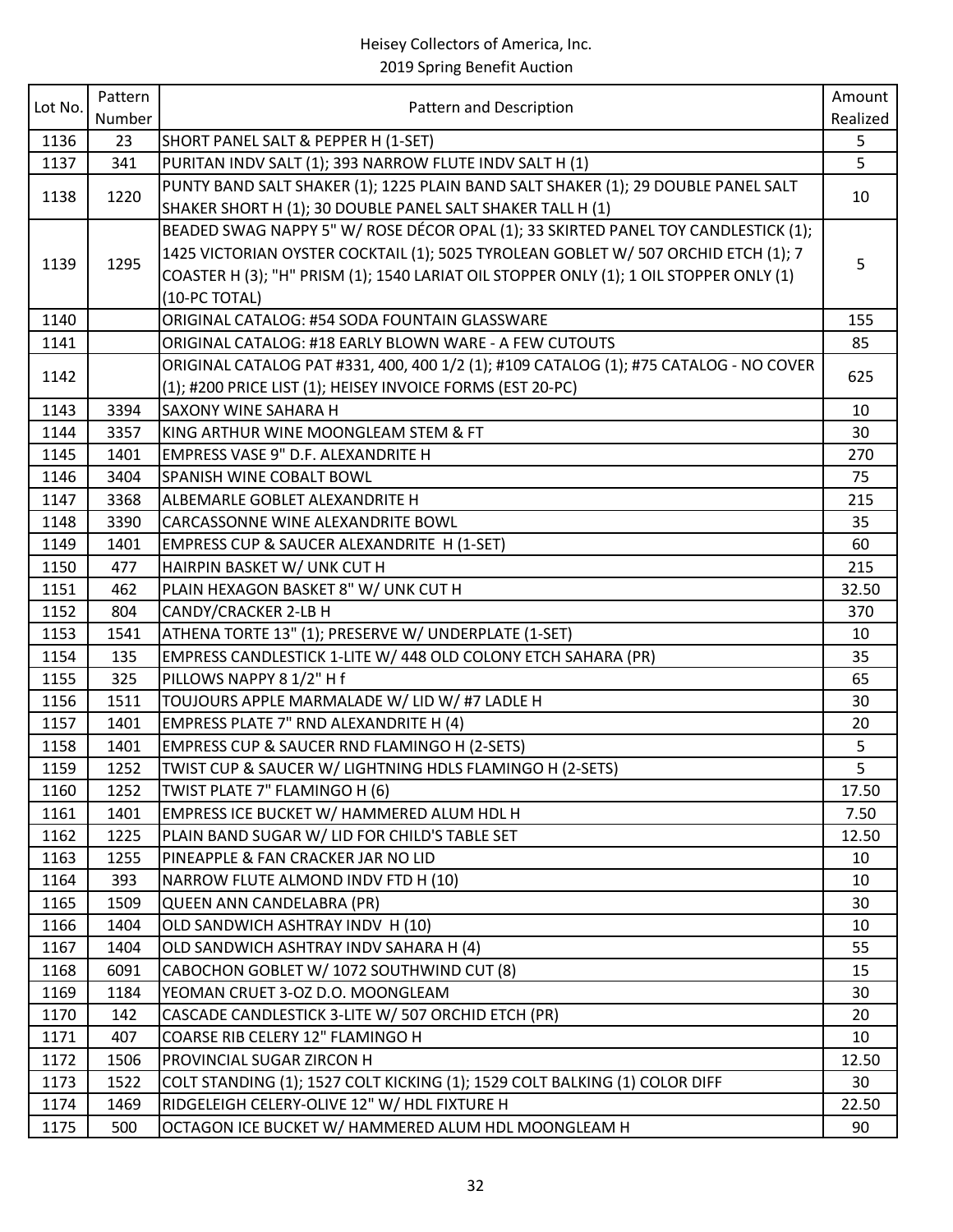| Lot No.      | Pattern     | Pattern and Description                                                                                               | Amount    |
|--------------|-------------|-----------------------------------------------------------------------------------------------------------------------|-----------|
|              | Number      |                                                                                                                       | Realized  |
| 1136         | 23          | SHORT PANEL SALT & PEPPER H (1-SET)                                                                                   | 5         |
| 1137         | 341         | PURITAN INDV SALT (1); 393 NARROW FLUTE INDV SALT H (1)                                                               | 5         |
| 1138         | 1220        | PUNTY BAND SALT SHAKER (1); 1225 PLAIN BAND SALT SHAKER (1); 29 DOUBLE PANEL SALT                                     | 10        |
|              |             | SHAKER SHORT H (1); 30 DOUBLE PANEL SALT SHAKER TALL H (1)                                                            |           |
|              |             | BEADED SWAG NAPPY 5" W/ ROSE DÉCOR OPAL (1); 33 SKIRTED PANEL TOY CANDLESTICK (1);                                    |           |
| 1139         | 1295        | 1425 VICTORIAN OYSTER COCKTAIL (1); 5025 TYROLEAN GOBLET W/ 507 ORCHID ETCH (1); 7                                    | 5         |
|              |             | COASTER H (3); "H" PRISM (1); 1540 LARIAT OIL STOPPER ONLY (1); 1 OIL STOPPER ONLY (1)                                |           |
|              |             | (10-PC TOTAL)                                                                                                         |           |
| 1140         |             | ORIGINAL CATALOG: #54 SODA FOUNTAIN GLASSWARE                                                                         | 155       |
| 1141         |             | ORIGINAL CATALOG: #18 EARLY BLOWN WARE - A FEW CUTOUTS                                                                | 85        |
| 1142         |             | ORIGINAL CATALOG PAT #331, 400, 400 1/2 (1); #109 CATALOG (1); #75 CATALOG - NO COVER                                 | 625       |
|              |             | (1); #200 PRICE LIST (1); HEISEY INVOICE FORMS (EST 20-PC)                                                            |           |
| 1143         | 3394        | <b>SAXONY WINE SAHARA H</b>                                                                                           | 10        |
| 1144         | 3357        | KING ARTHUR WINE MOONGLEAM STEM & FT                                                                                  | 30        |
| 1145         | 1401        | EMPRESS VASE 9" D.F. ALEXANDRITE H                                                                                    | 270       |
| 1146         | 3404        | <b>SPANISH WINE COBALT BOWL</b>                                                                                       | 75        |
| 1147         | 3368        | ALBEMARLE GOBLET ALEXANDRITE H                                                                                        | 215       |
| 1148         | 3390        | CARCASSONNE WINE ALEXANDRITE BOWL                                                                                     | 35        |
| 1149         | 1401        | EMPRESS CUP & SAUCER ALEXANDRITE H (1-SET)                                                                            | 60        |
| 1150         | 477         | HAIRPIN BASKET W/ UNK CUT H                                                                                           | 215       |
| 1151         | 462         | PLAIN HEXAGON BASKET 8" W/ UNK CUT H                                                                                  | 32.50     |
| 1152         | 804         | CANDY/CRACKER 2-LB H                                                                                                  | 370<br>10 |
| 1153<br>1154 | 1541<br>135 | ATHENA TORTE 13" (1); PRESERVE W/ UNDERPLATE (1-SET)<br>EMPRESS CANDLESTICK 1-LITE W/ 448 OLD COLONY ETCH SAHARA (PR) | 35        |
| 1155         | 325         | PILLOWS NAPPY 8 1/2" H f                                                                                              | 65        |
| 1156         | 1511        | TOUJOURS APPLE MARMALADE W/ LID W/ #7 LADLE H                                                                         | 30        |
| 1157         | 1401        | EMPRESS PLATE 7" RND ALEXANDRITE H (4)                                                                                | 20        |
| 1158         | 1401        | EMPRESS CUP & SAUCER RND FLAMINGO H (2-SETS)                                                                          | 5         |
| 1159         | 1252        | TWIST CUP & SAUCER W/ LIGHTNING HDLS FLAMINGO H (2-SETS)                                                              | 5         |
| 1160         | 1252        | TWIST PLATE 7" FLAMINGO H (6)                                                                                         | 17.50     |
| 1161         | 1401        | EMPRESS ICE BUCKET W/ HAMMERED ALUM HDL H                                                                             | 7.50      |
| 1162         | 1225        | PLAIN BAND SUGAR W/ LID FOR CHILD'S TABLE SET                                                                         | 12.50     |
| 1163         | 1255        | PINEAPPLE & FAN CRACKER JAR NO LID                                                                                    | 10        |
| 1164         | 393         | NARROW FLUTE ALMOND INDV FTD H (10)                                                                                   | 10        |
| 1165         | 1509        | QUEEN ANN CANDELABRA (PR)                                                                                             | 30        |
| 1166         | 1404        | OLD SANDWICH ASHTRAY INDV H (10)                                                                                      | 10        |
| 1167         | 1404        | OLD SANDWICH ASHTRAY INDV SAHARA H (4)                                                                                | 55        |
| 1168         | 6091        | CABOCHON GOBLET W/ 1072 SOUTHWIND CUT (8)                                                                             | 15        |
| 1169         | 1184        | YEOMAN CRUET 3-OZ D.O. MOONGLEAM                                                                                      | 30        |
| 1170         | 142         | CASCADE CANDLESTICK 3-LITE W/ 507 ORCHID ETCH (PR)                                                                    | 20        |
| 1171         | 407         | COARSE RIB CELERY 12" FLAMINGO H                                                                                      | 10        |
| 1172         | 1506        | PROVINCIAL SUGAR ZIRCON H                                                                                             | 12.50     |
| 1173         | 1522        | COLT STANDING (1); 1527 COLT KICKING (1); 1529 COLT BALKING (1) COLOR DIFF                                            | 30        |
| 1174         | 1469        | RIDGELEIGH CELERY-OLIVE 12" W/ HDL FIXTURE H                                                                          | 22.50     |
| 1175         | 500         | OCTAGON ICE BUCKET W/ HAMMERED ALUM HDL MOONGLEAM H                                                                   | 90        |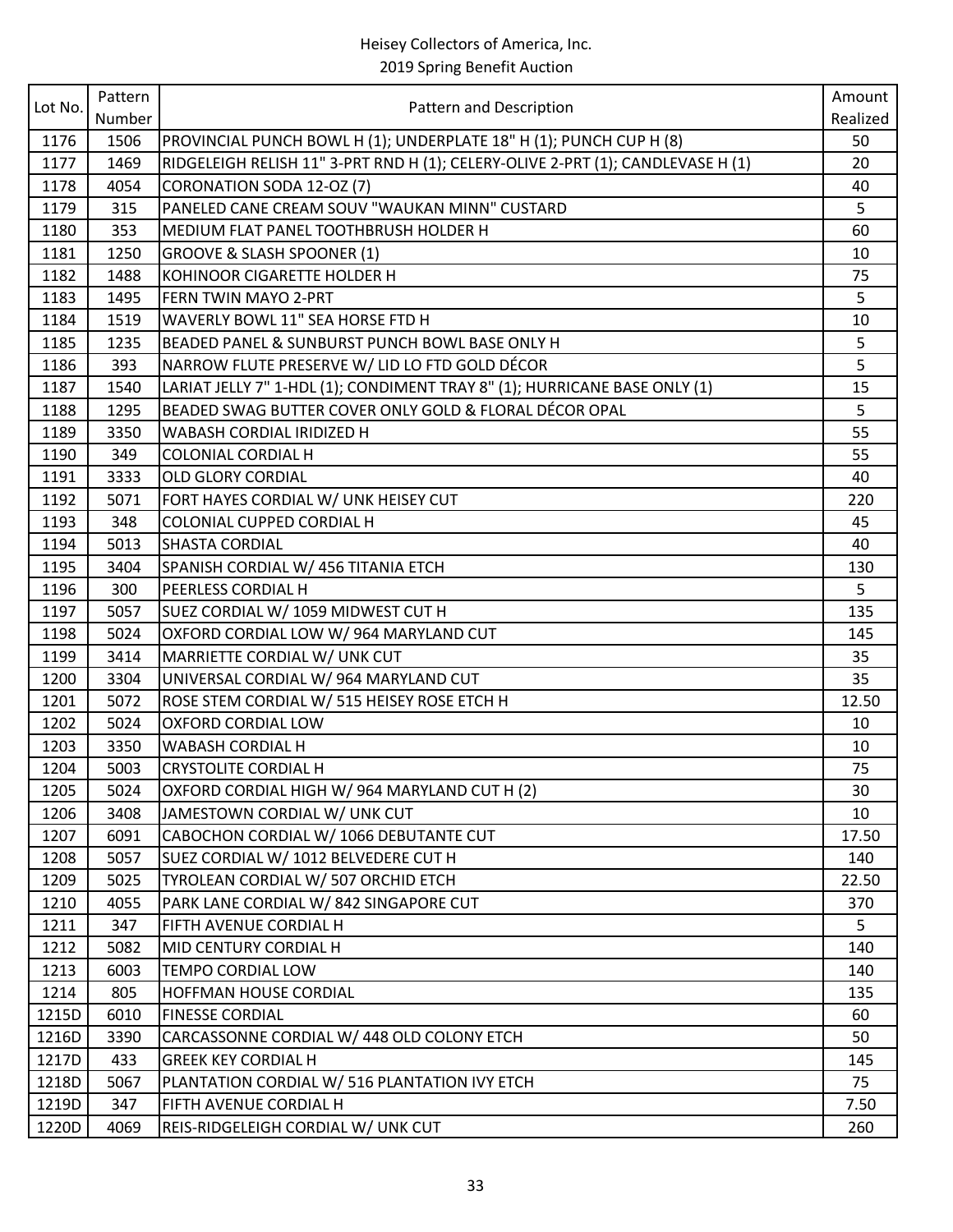|         | Pattern |                                                                                 | Amount   |
|---------|---------|---------------------------------------------------------------------------------|----------|
| Lot No. | Number  | Pattern and Description                                                         | Realized |
| 1176    | 1506    | PROVINCIAL PUNCH BOWL H (1); UNDERPLATE 18" H (1); PUNCH CUP H (8)              | 50       |
| 1177    | 1469    | RIDGELEIGH RELISH 11" 3-PRT RND H (1); CELERY-OLIVE 2-PRT (1); CANDLEVASE H (1) | 20       |
| 1178    | 4054    | CORONATION SODA 12-OZ (7)                                                       | 40       |
| 1179    | 315     | PANELED CANE CREAM SOUV "WAUKAN MINN" CUSTARD                                   | 5        |
| 1180    | 353     | MEDIUM FLAT PANEL TOOTHBRUSH HOLDER H                                           | 60       |
| 1181    | 1250    | <b>GROOVE &amp; SLASH SPOONER (1)</b>                                           | 10       |
| 1182    | 1488    | KOHINOOR CIGARETTE HOLDER H                                                     | 75       |
| 1183    | 1495    | <b>FERN TWIN MAYO 2-PRT</b>                                                     | 5        |
| 1184    | 1519    | WAVERLY BOWL 11" SEA HORSE FTD H                                                | 10       |
| 1185    | 1235    | BEADED PANEL & SUNBURST PUNCH BOWL BASE ONLY H                                  | 5        |
| 1186    | 393     | NARROW FLUTE PRESERVE W/ LID LO FTD GOLD DÉCOR                                  | 5        |
| 1187    | 1540    | LARIAT JELLY 7" 1-HDL (1); CONDIMENT TRAY 8" (1); HURRICANE BASE ONLY (1)       | 15       |
| 1188    | 1295    | BEADED SWAG BUTTER COVER ONLY GOLD & FLORAL DÉCOR OPAL                          | 5        |
| 1189    | 3350    | WABASH CORDIAL IRIDIZED H                                                       | 55       |
| 1190    | 349     | <b>COLONIAL CORDIAL H</b>                                                       | 55       |
| 1191    | 3333    | <b>OLD GLORY CORDIAL</b>                                                        | 40       |
| 1192    | 5071    | FORT HAYES CORDIAL W/ UNK HEISEY CUT                                            | 220      |
| 1193    | 348     | COLONIAL CUPPED CORDIAL H                                                       | 45       |
| 1194    | 5013    | <b>SHASTA CORDIAL</b>                                                           | 40       |
| 1195    | 3404    | SPANISH CORDIAL W/ 456 TITANIA ETCH                                             | 130      |
| 1196    | 300     | PEERLESS CORDIAL H                                                              | 5        |
| 1197    | 5057    | SUEZ CORDIAL W/ 1059 MIDWEST CUT H                                              | 135      |
| 1198    | 5024    | OXFORD CORDIAL LOW W/964 MARYLAND CUT                                           | 145      |
| 1199    | 3414    | MARRIETTE CORDIAL W/ UNK CUT                                                    | 35       |
| 1200    | 3304    | UNIVERSAL CORDIAL W/ 964 MARYLAND CUT                                           | 35       |
| 1201    | 5072    | ROSE STEM CORDIAL W/ 515 HEISEY ROSE ETCH H                                     | 12.50    |
| 1202    | 5024    | <b>OXFORD CORDIAL LOW</b>                                                       | 10       |
| 1203    | 3350    | <b>WABASH CORDIAL H</b>                                                         | 10       |
| 1204    | 5003    | <b>CRYSTOLITE CORDIAL H</b>                                                     | 75       |
| 1205    | 5024    | OXFORD CORDIAL HIGH W/ 964 MARYLAND CUT H (2)                                   | 30       |
| 1206    | 3408    | JAMESTOWN CORDIAL W/ UNK CUT                                                    | 10       |
| 1207    | 6091    | CABOCHON CORDIAL W/ 1066 DEBUTANTE CUT                                          | 17.50    |
| 1208    | 5057    | SUEZ CORDIAL W/ 1012 BELVEDERE CUT H                                            | 140      |
| 1209    | 5025    | TYROLEAN CORDIAL W/507 ORCHID ETCH                                              | 22.50    |
| 1210    | 4055    | PARK LANE CORDIAL W/842 SINGAPORE CUT                                           | 370      |
| 1211    | 347     | FIFTH AVENUE CORDIAL H                                                          | 5        |
| 1212    | 5082    | MID CENTURY CORDIAL H                                                           | 140      |
| 1213    | 6003    | TEMPO CORDIAL LOW                                                               | 140      |
| 1214    | 805     | <b>HOFFMAN HOUSE CORDIAL</b>                                                    | 135      |
| 1215D   | 6010    | <b>FINESSE CORDIAL</b>                                                          | 60       |
| 1216D   | 3390    | CARCASSONNE CORDIAL W/ 448 OLD COLONY ETCH                                      | 50       |
| 1217D   | 433     | <b>GREEK KEY CORDIAL H</b>                                                      | 145      |
| 1218D   | 5067    | PLANTATION CORDIAL W/ 516 PLANTATION IVY ETCH                                   | 75       |
| 1219D   | 347     | FIFTH AVENUE CORDIAL H                                                          | 7.50     |
| 1220D   | 4069    | REIS-RIDGELEIGH CORDIAL W/ UNK CUT                                              | 260      |